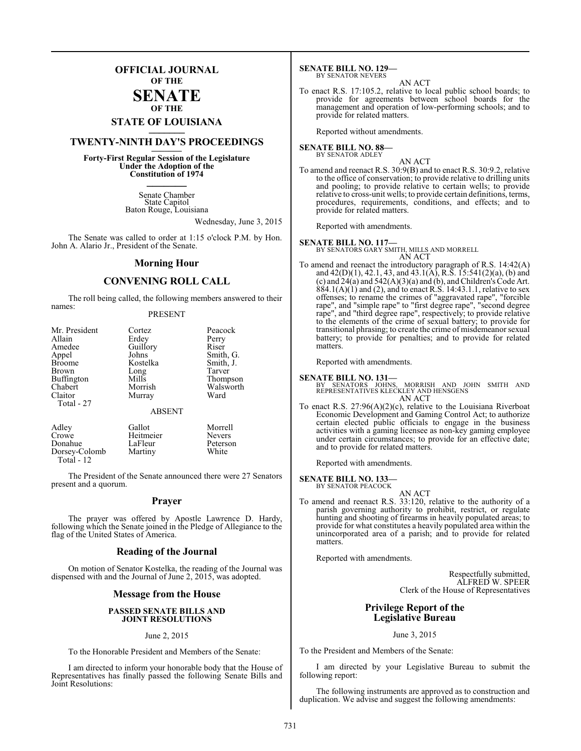### **OFFICIAL JOURNAL OF THE**

### **SENATE OF THE**

# **STATE OF LOUISIANA \_\_\_\_\_\_\_**

## **TWENTY-NINTH DAY'S PROCEEDINGS \_\_\_\_\_\_\_**

**Forty-First Regular Session of the Legislature Under the Adoption of the Constitution of 1974 \_\_\_\_\_\_\_**

> Senate Chamber State Capitol Baton Rouge, Louisiana

> > Wednesday, June 3, 2015

The Senate was called to order at 1:15 o'clock P.M. by Hon. John A. Alario Jr., President of the Senate.

### **Morning Hour**

### **CONVENING ROLL CALL**

The roll being called, the following members answered to their names:

### PRESENT

| Mr. President | Cortez        | Peacock   |
|---------------|---------------|-----------|
| Allain        | Erdey         | Perry     |
| Amedee        | Guillory      | Riser     |
| Appel         | Johns         | Smith, G. |
| <b>Broome</b> | Kostelka      | Smith, J. |
| Brown         | Long          | Tarver    |
| Buffington    | Mills         | Thompson  |
| Chabert       | Morrish       | Walsworth |
| Claitor       | Murray        | Ward      |
| Total - 27    |               |           |
|               | <b>ABSENT</b> |           |
| Adley         | Gallot        | Morrell   |

Crowe Heitmeier Nevers<br>
Donahue LaFleur Peterso LaFleur Peterson<br>Martiny White Dorsey-Colomb Total - 12

The President of the Senate announced there were 27 Senators present and a quorum.

### **Prayer**

The prayer was offered by Apostle Lawrence D. Hardy, following which the Senate joined in the Pledge of Allegiance to the flag of the United States of America.

### **Reading of the Journal**

On motion of Senator Kostelka, the reading of the Journal was dispensed with and the Journal of June 2, 2015, was adopted.

### **Message from the House**

### **PASSED SENATE BILLS AND JOINT RESOLUTIONS**

### June 2, 2015

To the Honorable President and Members of the Senate:

I am directed to inform your honorable body that the House of Representatives has finally passed the following Senate Bills and Joint Resolutions:

**SENATE BILL NO. 129—** BY SENATOR NEVERS

### AN ACT

To enact R.S. 17:105.2, relative to local public school boards; to provide for agreements between school boards for the management and operation of low-performing schools; and to provide for related matters.

Reported without amendments.

### **SENATE BILL NO. 88—** BY SENATOR ADLEY

AN ACT

To amend and reenact R.S. 30:9(B) and to enact R.S. 30:9.2, relative to the office of conservation; to provide relative to drilling units and pooling; to provide relative to certain wells; to provide relative to cross-unit wells; to provide certain definitions, terms, procedures, requirements, conditions, and effects; and to provide for related matters.

Reported with amendments.

### **SENATE BILL NO. 117—**

BY SENATORS GARY SMITH, MILLS AND MORRELL AN ACT

To amend and reenact the introductory paragraph of R.S. 14:42(A) and  $42(D)(1)$ ,  $42.1$ ,  $43$ , and  $43.1(A)$ , R.S.  $15:541(2)(a)$ , (b) and (c) and  $24(a)$  and  $542(A)(3)(a)$  and (b), and Children's Code Art.  $884.1(A)(1)$  and (2), and to enact R.S. 14:43.1.1, relative to sex offenses; to rename the crimes of "aggravated rape", "forcible rape", and "simple rape" to "first degree rape", "second degree rape", and "third degree rape", respectively; to provide relative to the elements of the crime of sexual battery; to provide for transitional phrasing; to create the crime of misdemeanor sexual battery; to provide for penalties; and to provide for related matters.

Reported with amendments.

### **SENATE BILL NO. 131—**

BY SENATORS JOHNS, MORRISH AND JOHN SMITH AND REPRESENTATIVES KLECKLEY AND HENSGENS AN ACT

To enact R.S. 27:96(A)(2)(c), relative to the Louisiana Riverboat Economic Development and Gaming Control Act; to authorize certain elected public officials to engage in the business activities with a gaming licensee as non-key gaming employee under certain circumstances; to provide for an effective date; and to provide for related matters.

Reported with amendments.

### **SENATE BILL NO. 133—**

BY SENATOR PEACOCK

AN ACT To amend and reenact R.S. 33:120, relative to the authority of a parish governing authority to prohibit, restrict, or regulate hunting and shooting of firearms in heavily populated areas; to provide for what constitutes a heavily populated area within the unincorporated area of a parish; and to provide for related matters.

Reported with amendments.

Respectfully submitted, ALFRED W. SPEER Clerk of the House of Representatives

### **Privilege Report of the Legislative Bureau**

June 3, 2015

To the President and Members of the Senate:

I am directed by your Legislative Bureau to submit the following report:

The following instruments are approved as to construction and duplication. We advise and suggest the following amendments: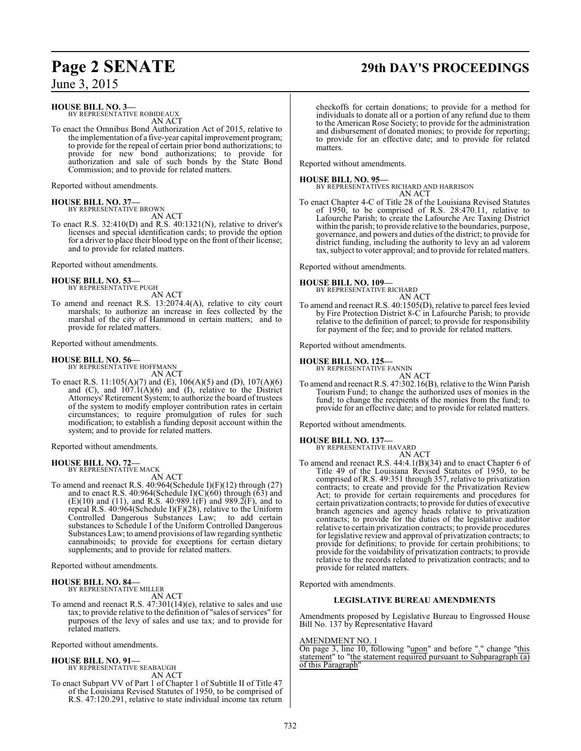# **Page 2 SENATE 29th DAY'S PROCEEDINGS**

June 3, 2015

**HOUSE BILL NO. 3—**

BY REPRESENTATIVE ROBIDEAUX AN ACT

To enact the Omnibus Bond Authorization Act of 2015, relative to the implementation of a five-year capital improvement program; to provide for the repeal of certain prior bond authorizations; to provide for new bond authorizations; to provide for authorization and sale of such bonds by the State Bond Commission; and to provide for related matters.

Reported without amendments.

**HOUSE BILL NO. 37—** BY REPRESENTATIVE BROWN

AN ACT

To enact R.S. 32:410(D) and R.S. 40:1321(N), relative to driver's licenses and special identification cards; to provide the option for a driver to place their blood type on the front of their license; and to provide for related matters.

Reported without amendments.

### **HOUSE BILL NO. 53—** BY REPRESENTATIVE PUGH

AN ACT

To amend and reenact R.S. 13:2074.4(A), relative to city court marshals; to authorize an increase in fees collected by the marshal of the city of Hammond in certain matters; and to provide for related matters.

Reported without amendments.

### **HOUSE BILL NO. 56—**

BY REPRESENTATIVE HOFFMANN AN ACT

To enact R.S. 11:105(A)(7) and (E), 106(A)(5) and (D), 107(A)(6) and  $(C)$ , and  $107.1(A)(6)$  and  $(I)$ , relative to the District Attorneys' Retirement System; to authorize the board of trustees of the system to modify employer contribution rates in certain circumstances; to require promulgation of rules for such modification; to establish a funding deposit account within the system; and to provide for related matters.

Reported without amendments.

### **HOUSE BILL NO. 72—** BY REPRESENTATIVE MACK

AN ACT

To amend and reenact R.S. 40:964(Schedule I)(F)(12) through (27) and to enact R.S. 40:964(Schedule I)(C)( $\overline{60}$ ) through ( $\overline{63}$ ) and (E)(10) and (11), and R.S. 40:989.1(F) and 989.2(F), and to repeal R.S. 40:964(Schedule I)(F)(28), relative to the Uniform Controlled Dangerous Substances Law; to add certain substances to Schedule I of the Uniform Controlled Dangerous Substances Law; to amend provisions oflawregarding synthetic cannabinoids; to provide for exceptions for certain dietary supplements; and to provide for related matters.

Reported without amendments.

### **HOUSE BILL NO. 84—**

BY REPRESENTATIVE MILLER AN ACT

To amend and reenact R.S. 47:301(14)(e), relative to sales and use tax; to provide relative to the definition of "sales of services" for purposes of the levy of sales and use tax; and to provide for related matters.

Reported without amendments.

### **HOUSE BILL NO. 91—**

BY REPRESENTATIVE SEABAUGH AN ACT

To enact Subpart VV of Part 1 of Chapter 1 of Subtitle II of Title 47 of the Louisiana Revised Statutes of 1950, to be comprised of R.S. 47:120.291, relative to state individual income tax return

checkoffs for certain donations; to provide for a method for individuals to donate all or a portion of any refund due to them to the American Rose Society; to provide for the administration and disbursement of donated monies; to provide for reporting; to provide for an effective date; and to provide for related matters.

Reported without amendments.

### **HOUSE BILL NO. 95—**

BY REPRESENTATIVES RICHARD AND HARRISON

AN ACT To enact Chapter 4-C of Title 28 of the Louisiana Revised Statutes of 1950, to be comprised of R.S. 28:470.11, relative to Lafourche Parish; to create the Lafourche Arc Taxing District within the parish; to provide relative to the boundaries, purpose, governance, and powers and duties ofthe district; to provide for district funding, including the authority to levy an ad valorem tax, subject to voter approval; and to provide for related matters.

Reported without amendments.

### **HOUSE BILL NO. 109—**

BY REPRESENTATIVE RICHARD

## AN ACT

To amend and reenact R.S. 40:1505(D), relative to parcel fees levied by Fire Protection District 8-C in Lafourche Parish; to provide relative to the definition of parcel; to provide for responsibility for payment of the fee; and to provide for related matters.

Reported without amendments.

### **HOUSE BILL NO. 125—**

BY REPRESENTATIVE FANNIN AN ACT

To amend and reenact R.S. 47:302.16(B), relative to the Winn Parish Tourism Fund; to change the authorized uses of monies in the fund; to change the recipients of the monies from the fund; to provide for an effective date; and to provide for related matters.

Reported without amendments.

### **HOUSE BILL NO. 137—**

BY REPRESENTATIVE HAVARD

AN ACT To amend and reenact R.S. 44:4.1(B)(34) and to enact Chapter 6 of Title 49 of the Louisiana Revised Statutes of 1950, to be comprised of R.S. 49:351 through 357, relative to privatization contracts; to create and provide for the Privatization Review Act; to provide for certain requirements and procedures for certain privatization contracts; to provide for duties of executive branch agencies and agency heads relative to privatization contracts; to provide for the duties of the legislative auditor relative to certain privatization contracts; to provide procedures for legislative review and approval of privatization contracts; to provide for definitions; to provide for certain prohibitions; to provide for the voidability of privatization contracts; to provide relative to the records related to privatization contracts; and to provide for related matters.

Reported with amendments.

### **LEGISLATIVE BUREAU AMENDMENTS**

Amendments proposed by Legislative Bureau to Engrossed House Bill No. 137 by Representative Havard

### AMENDMENT NO. 1

On page 3, line 10, following "upon" and before "." change "this statement" to "the statement required pursuant to Subparagraph  $\overline{a}$ ) of this Paragraph"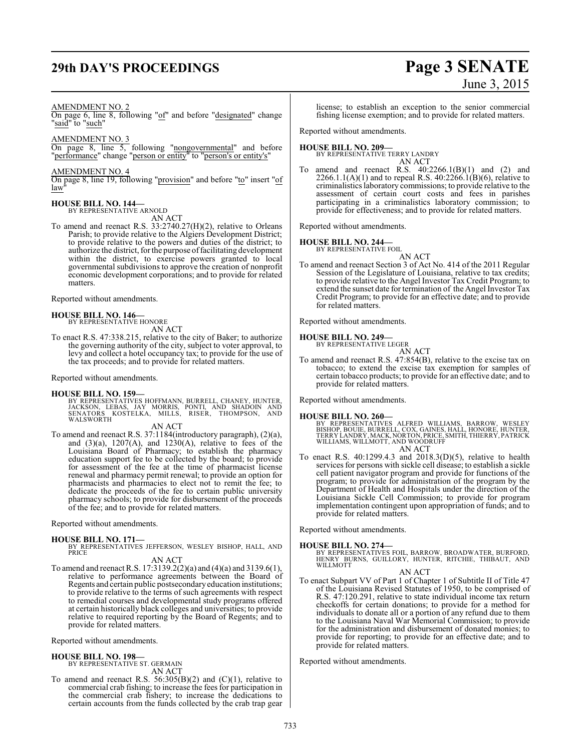# **29th DAY'S PROCEEDINGS Page 3 SENATE**

# June 3, 2015

### AMENDMENT NO. 2

On page 6, line 8, following "of" and before "designated" change "said" to "such"

AMENDMENT NO. 3

On page 8, line 5, following "nongovernmental" and before "performance" change "person or entity" to "person's or entity's"

### AMENDMENT NO. 4

On page 8, line 19, following "provision" and before "to" insert "of law

### **HOUSE BILL NO. 144—**

BY REPRESENTATIVE ARNOLD

AN ACT

To amend and reenact R.S. 33:2740.27(H)(2), relative to Orleans Parish; to provide relative to the Algiers Development District; to provide relative to the powers and duties of the district; to authorize the district, for the purpose offacilitating development within the district, to exercise powers granted to local governmental subdivisions to approve the creation of nonprofit economic development corporations; and to provide for related matters.

Reported without amendments.

# **HOUSE BILL NO. 146—** BY REPRESENTATIVE HONORE

AN ACT

To enact R.S. 47:338.215, relative to the city of Baker; to authorize the governing authority of the city, subject to voter approval, to levy and collect a hotel occupancy tax; to provide for the use of the tax proceeds; and to provide for related matters.

Reported without amendments.

**HOUSE BILL NO. 159—** BY REPRESENTATIVES HOFFMANN, BURRELL, CHANEY, HUNTER, JACKSON, LEBAS, JAY MORRIS, PONTI, AND SHADOIN AND SENATORS KOSTELKA, MILLS, RISER, THOMPSON, AND WALSWORTH<sup>1</sup>

AN ACT

To amend and reenact R.S. 37:1184(introductory paragraph), (2)(a), and  $(3)(a)$ ,  $1207(A)$ , and  $1230(A)$ , relative to fees of the Louisiana Board of Pharmacy; to establish the pharmacy education support fee to be collected by the board; to provide for assessment of the fee at the time of pharmacist license renewal and pharmacy permit renewal; to provide an option for pharmacists and pharmacies to elect not to remit the fee; to dedicate the proceeds of the fee to certain public university pharmacy schools; to provide for disbursement of the proceeds of the fee; and to provide for related matters.

Reported without amendments.

### **HOUSE BILL NO. 171—**

BY REPRESENTATIVES JEFFERSON, WESLEY BISHOP, HALL, AND **PRICE** 

AN ACT

To amend and reenact R.S. 17:3139.2(2)(a) and (4)(a) and 3139.6(1), relative to performance agreements between the Board of Regents and certain public postsecondaryeducation institutions; to provide relative to the terms of such agreements with respect to remedial courses and developmental study programs offered at certain historically black colleges and universities; to provide relative to required reporting by the Board of Regents; and to provide for related matters.

Reported without amendments.

### **HOUSE BILL NO. 198—** BY REPRESENTATIVE ST. GERMAIN

AN ACT

To amend and reenact R.S.  $56:305(B)(2)$  and  $(C)(1)$ , relative to commercial crab fishing; to increase the fees for participation in the commercial crab fishery; to increase the dedications to certain accounts from the funds collected by the crab trap gear license; to establish an exception to the senior commercial fishing license exemption; and to provide for related matters.

Reported without amendments.

### **HOUSE BILL NO. 209—**

BY REPRESENTATIVE TERRY LANDRY AN ACT

To amend and reenact R.S.  $40:2266.1(B)(1)$  and  $(2)$  and 2266.1.1(A)(1) and to repeal R.S.  $40:2266.1(B)(6)$ , relative to criminalistics laboratory commissions; to provide relative to the assessment of certain court costs and fees in parishes participating in a criminalistics laboratory commission; to provide for effectiveness; and to provide for related matters.

Reported without amendments.

### **HOUSE BILL NO. 244—**

BY REPRESENTATIVE FOIL AN ACT

To amend and reenact Section 3 of Act No. 414 of the 2011 Regular Session of the Legislature of Louisiana, relative to tax credits; to provide relative to the Angel Investor Tax Credit Program; to extend the sunset date for termination of the Angel Investor Tax Credit Program; to provide for an effective date; and to provide for related matters.

Reported without amendments.

### **HOUSE BILL NO. 249—**



To amend and reenact R.S. 47:854(B), relative to the excise tax on tobacco; to extend the excise tax exemption for samples of certain tobacco products; to provide for an effective date; and to provide for related matters.

Reported without amendments.

### **HOUSE BILL NO. 260—**

BY REPRESENTATIVES ALFRED WILLIAMS, BARROW, WESLEY<br>BISHOP, BOUIE, BURRELL, COX, GAINES, HALL, HONORE, HUNTER,<br>TERRY LANDRY,MACK,NORTON,PRICE,SMITH,THIERRY,PATRICK<br>WILLIAMS, WILLMOTT, AND WOODRUFF AN ACT

To enact R.S. 40:1299.4.3 and 2018.3(D)(5), relative to health services for persons with sickle cell disease; to establish a sickle cell patient navigator program and provide for functions of the program; to provide for administration of the program by the Department of Health and Hospitals under the direction of the Louisiana Sickle Cell Commission; to provide for program implementation contingent upon appropriation of funds; and to provide for related matters.

Reported without amendments.

- **HOUSE BILL NO. 274—** BY REPRESENTATIVES FOIL, BARROW, BROADWATER, BURFORD, HENRY BURNS, GUILLORY, HUNTER, RITCHIE, THIBAUT, AND WILLMOTT
	- AN ACT
- To enact Subpart VV of Part 1 of Chapter 1 of Subtitle II of Title 47 of the Louisiana Revised Statutes of 1950, to be comprised of R.S. 47:120.291, relative to state individual income tax return checkoffs for certain donations; to provide for a method for individuals to donate all or a portion of any refund due to them to the Louisiana Naval War Memorial Commission; to provide for the administration and disbursement of donated monies; to provide for reporting; to provide for an effective date; and to provide for related matters.

Reported without amendments.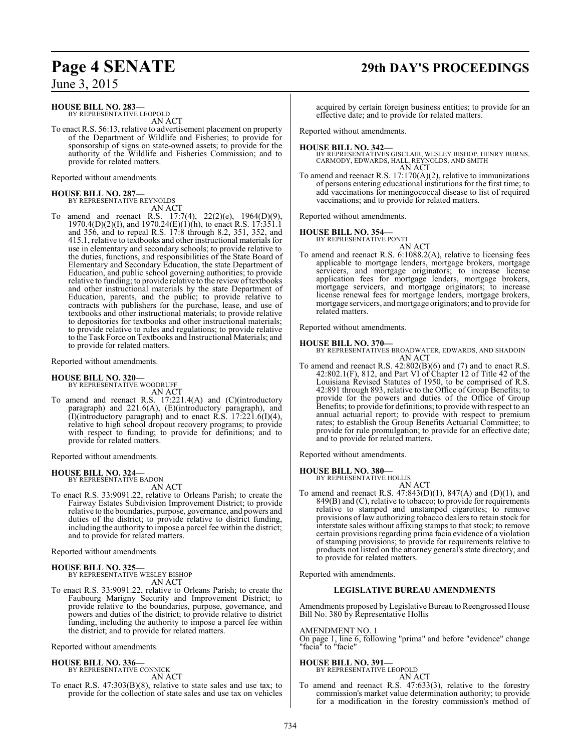### **HOUSE BILL NO. 283—**

BY REPRESENTATIVE LEOPOLD AN ACT

To enact R.S. 56:13, relative to advertisement placement on property of the Department of Wildlife and Fisheries; to provide for sponsorship of signs on state-owned assets; to provide for the authority of the Wildlife and Fisheries Commission; and to provide for related matters.

Reported without amendments.

# **HOUSE BILL NO. 287—** BY REPRESENTATIVE REYNOLDS

AN ACT

To amend and reenact R.S. 17:7(4), 22(2)(e), 1964(D)(9), 1970.4(D)(2)(I), and 1970.24(E)(1)(h), to enact R.S. 17:351.1 and 356, and to repeal R.S. 17:8 through 8.2, 351, 352, and 415.1, relative to textbooks and other instructional materials for use in elementary and secondary schools; to provide relative to the duties, functions, and responsibilities of the State Board of Elementary and Secondary Education, the state Department of Education, and public school governing authorities; to provide relative to funding; to provide relative to the reviewoftextbooks and other instructional materials by the state Department of Education, parents, and the public; to provide relative to contracts with publishers for the purchase, lease, and use of textbooks and other instructional materials; to provide relative to depositories for textbooks and other instructional materials; to provide relative to rules and regulations; to provide relative to the Task Force on Textbooks and Instructional Materials; and to provide for related matters.

Reported without amendments.

**HOUSE BILL NO. 320—** BY REPRESENTATIVE WOODRUFF AN ACT

To amend and reenact R.S. 17:221.4(A) and (C)(introductory paragraph) and 221.6(A), (E)(introductory paragraph), and (I)(introductory paragraph) and to enact R.S.  $17:221.6(1)(4)$ , relative to high school dropout recovery programs; to provide with respect to funding; to provide for definitions; and to provide for related matters.

Reported without amendments.

### **HOUSE BILL NO. 324—**

BY REPRESENTATIVE BADON AN ACT

To enact R.S. 33:9091.22, relative to Orleans Parish; to create the Fairway Estates Subdivision Improvement District; to provide relative to the boundaries, purpose, governance, and powers and duties of the district; to provide relative to district funding, including the authority to impose a parcel fee within the district; and to provide for related matters.

Reported without amendments.

### **HOUSE BILL NO. 325—**

BY REPRESENTATIVE WESLEY BISHOP AN ACT

To enact R.S. 33:9091.22, relative to Orleans Parish; to create the Faubourg Marigny Security and Improvement District; to provide relative to the boundaries, purpose, governance, and powers and duties of the district; to provide relative to district funding, including the authority to impose a parcel fee within the district; and to provide for related matters.

Reported without amendments.

### **HOUSE BILL NO. 336—**

BY REPRESENTATIVE CONNICK AN ACT

To enact R.S. 47:303(B)(8), relative to state sales and use tax; to provide for the collection of state sales and use tax on vehicles

# **Page 4 SENATE 29th DAY'S PROCEEDINGS**

acquired by certain foreign business entities; to provide for an effective date; and to provide for related matters.

Reported without amendments.

### **HOUSE BILL NO. 342—**

BY REPRESENTATIVES GISCLAIR, WESLEY BISHOP, HENRY BURNS, CARMODY, EDWARDS, HALL, REYNOLDS, AND SMITH AN ACT

To amend and reenact R.S. 17:170(A)(2), relative to immunizations of persons entering educational institutions for the first time; to add vaccinations for meningococcal disease to list of required vaccinations; and to provide for related matters.

Reported without amendments.

### **HOUSE BILL NO. 354—**

BY REPRESENTATIVE PONTI AN ACT

To amend and reenact R.S. 6:1088.2(A), relative to licensing fees applicable to mortgage lenders, mortgage brokers, mortgage servicers, and mortgage originators; to increase license application fees for mortgage lenders, mortgage brokers, mortgage servicers, and mortgage originators; to increase license renewal fees for mortgage lenders, mortgage brokers, mortgage servicers, and mortgage originators; and to provide for related matters.

Reported without amendments.

### **HOUSE BILL NO. 370—**

BY REPRESENTATIVES BROADWATER, EDWARDS, AND SHADOIN AN ACT

To amend and reenact R.S. 42:802(B)(6) and (7) and to enact R.S. 42:802.1(F), 812, and Part VI of Chapter 12 of Title 42 of the Louisiana Revised Statutes of 1950, to be comprised of R.S. 42:891 through 893, relative to the Office of Group Benefits; to provide for the powers and duties of the Office of Group Benefits; to provide for definitions; to provide with respect to an annual actuarial report; to provide with respect to premium rates; to establish the Group Benefits Actuarial Committee; to provide for rule promulgation; to provide for an effective date; and to provide for related matters.

Reported without amendments.

**HOUSE BILL NO. 380—**

BY REPRESENTATIVE HOLLIS

AN ACT To amend and reenact R.S. 47:843(D)(1), 847(A) and (D)(1), and 849(B) and (C), relative to tobacco; to provide for requirements relative to stamped and unstamped cigarettes; to remove provisions of law authorizing tobacco dealers to retain stock for interstate sales without affixing stamps to that stock; to remove certain provisions regarding prima facia evidence of a violation of stamping provisions; to provide for requirements relative to products not listed on the attorney general's state directory; and to provide for related matters.

Reported with amendments.

### **LEGISLATIVE BUREAU AMENDMENTS**

Amendments proposed by Legislative Bureau to Reengrossed House Bill No. 380 by Representative Hollis

### AMENDMENT NO. 1

On page 1, line 6, following "prima" and before "evidence" change "facia" to "facie"

### **HOUSE BILL NO. 391—**

BY REPRESENTATIVE LEOPOLD AN ACT

To amend and reenact R.S. 47:633(3), relative to the forestry commission's market value determination authority; to provide for a modification in the forestry commission's method of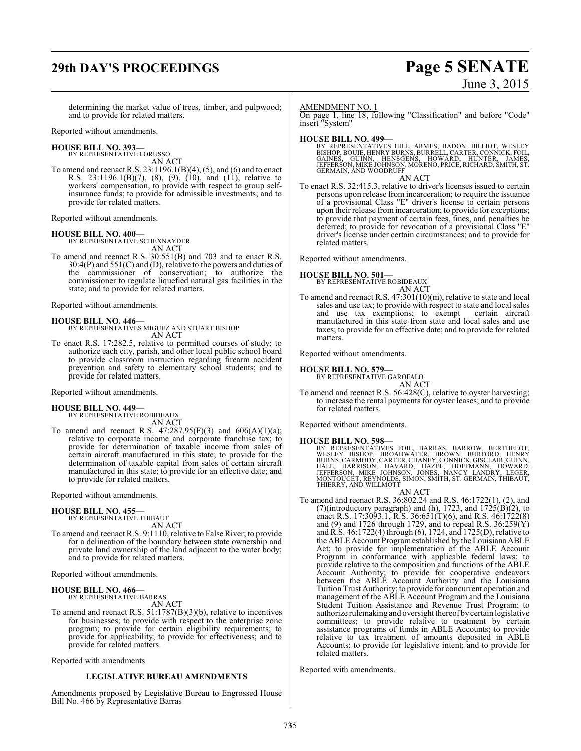# **29th DAY'S PROCEEDINGS Page 5 SENATE**

# June 3, 2015

determining the market value of trees, timber, and pulpwood; and to provide for related matters.

Reported without amendments.

### **HOUSE BILL NO. 393—**

BY REPRESENTATIVE LORUSSO AN ACT

To amend and reenact R.S. 23:1196.1(B)(4), (5), and (6) and to enact R.S. 23:1196.1(B)(7), (8), (9), (10), and (11), relative to workers' compensation, to provide with respect to group selfinsurance funds; to provide for admissible investments; and to provide for related matters.

Reported without amendments.

### **HOUSE BILL NO. 400—**

BY REPRESENTATIVE SCHEXNAYDER AN ACT

To amend and reenact R.S. 30:551(B) and 703 and to enact R.S.  $30:4(P)$  and  $551(C)$  and (D), relative to the powers and duties of the commissioner of conservation; to authorize the commissioner to regulate liquefied natural gas facilities in the state; and to provide for related matters.

Reported without amendments.

**HOUSE BILL NO. 446—** BY REPRESENTATIVES MIGUEZ AND STUART BISHOP AN ACT

To enact R.S. 17:282.5, relative to permitted courses of study; to authorize each city, parish, and other local public school board to provide classroom instruction regarding firearm accident prevention and safety to elementary school students; and to provide for related matters.

Reported without amendments.

### **HOUSE BILL NO. 449—**

BY REPRESENTATIVE ROBIDEAUX AN ACT

To amend and reenact R.S.  $47:287.95(F)(3)$  and  $606(A)(1)(a)$ ; relative to corporate income and corporate franchise tax; to provide for determination of taxable income from sales of certain aircraft manufactured in this state; to provide for the determination of taxable capital from sales of certain aircraft manufactured in this state; to provide for an effective date; and to provide for related matters.

Reported without amendments.

### **HOUSE BILL NO. 455—**

BY REPRESENTATIVE THIBAUT AN ACT

To amend and reenact R.S. 9:1110, relative to False River; to provide for a delineation of the boundary between state ownership and private land ownership of the land adjacent to the water body; and to provide for related matters.

Reported without amendments.

### **HOUSE BILL NO. 466—** BY REPRESENTATIVE BARRAS

AN ACT

To amend and reenact R.S. 51:1787(B)(3)(b), relative to incentives for businesses; to provide with respect to the enterprise zone program; to provide for certain eligibility requirements; to provide for applicability; to provide for effectiveness; and to provide for related matters.

Reported with amendments.

### **LEGISLATIVE BUREAU AMENDMENTS**

Amendments proposed by Legislative Bureau to Engrossed House Bill No. 466 by Representative Barras

### AMENDMENT NO. 1

On page 1, line 18, following "Classification" and before "Code" insert "System"

### **HOUSE BILL NO. 499—**

BY REPRESENTATIVES HILL, ARMES, BADON, BILLIOT, WESLEY<br>BISHOP, BOUIE,HENRY BURNS,BURRELL,CARTER,CONNICK,FOIL,<br>GAINES, GUINN, HENSGENS, HOWARD, HUNTER, JAMES, JEFFERSON, MIKE JOHNSON, MORENO, PRICE, RICHARD, SMITH, ST. GERMAIN, AND WOODRUFF

AN ACT

To enact R.S. 32:415.3, relative to driver's licenses issued to certain persons upon release from incarceration; to require the issuance of a provisional Class "E" driver's license to certain persons upon their release from incarceration; to provide for exceptions; to provide that payment of certain fees, fines, and penalties be deferred; to provide for revocation of a provisional Class "E" driver's license under certain circumstances; and to provide for related matters.

Reported without amendments.

### **HOUSE BILL NO. 501—**

BY REPRESENTATIVE ROBIDEAUX AN ACT

To amend and reenact R.S. 47:301(10)(m), relative to state and local sales and use tax; to provide with respect to state and local sales and use tax exemptions; to exempt certain aircraft and use  $\text{tax}$  exemptions; to exempt manufactured in this state from state and local sales and use taxes; to provide for an effective date; and to provide for related matters.

Reported without amendments.

# **HOUSE BILL NO. 579—** BY REPRESENTATIVE GAROFALO

AN ACT

To amend and reenact R.S. 56:428(C), relative to oyster harvesting; to increase the rental payments for oyster leases; and to provide for related matters.

Reported without amendments.

### **HOUSE BILL NO. 598—**

BY REPRESENTATIVES FOIL, BARRAS, BARROW, BERTHELOT,<br>WESLEY BISHOP, BROADWATER, BROWN, BURFORD, HENRY<br>BURNS,CARMODY,CARTER,CHANEY,CONNICK,GISCLAIR,GUINN,<br>HALL, HARRISON, HAVARD, HAZEL, HOFFMANN, HOWARD,<br>JEFFERSON, MIKE JOHN THIERRY, AND WILLMOTT

AN ACT

To amend and reenact R.S. 36:802.24 and R.S. 46:1722(1), (2), and (7)(introductory paragraph) and (h), 1723, and  $1725(B)(2)$ , to enact R.S. 17:3093.1, R.S. 36:651(T)(6), and R.S. 46:1722(8) and (9) and 1726 through 1729, and to repeal R.S.  $36:259(Y)$ and R.S. 46:1722(4) through (6), 1724, and 1725(D), relative to the ABLE Account Programestablished by the Louisiana ABLE Act; to provide for implementation of the ABLE Account Program in conformance with applicable federal laws; to provide relative to the composition and functions of the ABLE Account Authority; to provide for cooperative endeavors between the ABLE Account Authority and the Louisiana Tuition Trust Authority; to provide for concurrent operation and management of the ABLE Account Program and the Louisiana Student Tuition Assistance and Revenue Trust Program; to authorize rulemaking and oversight thereofby certain legislative committees; to provide relative to treatment by certain assistance programs of funds in ABLE Accounts; to provide relative to tax treatment of amounts deposited in ABLE Accounts; to provide for legislative intent; and to provide for related matters.

Reported with amendments.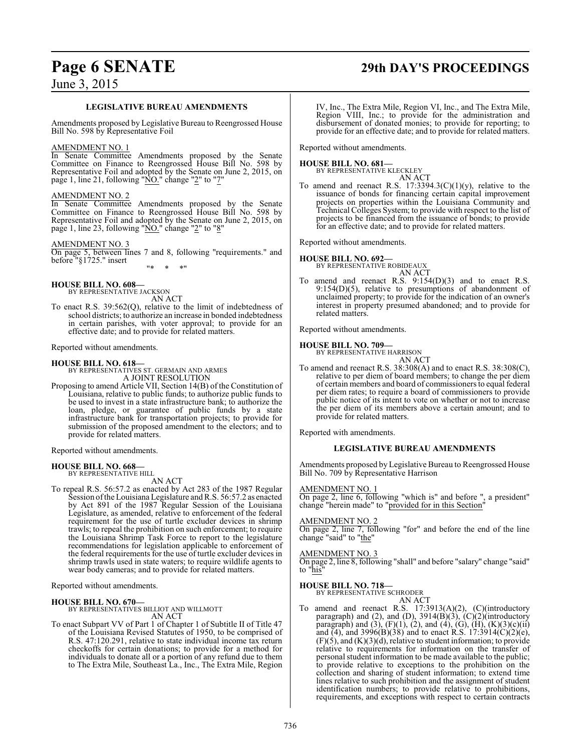# **Page 6 SENATE 29th DAY'S PROCEEDINGS**

June 3, 2015

### **LEGISLATIVE BUREAU AMENDMENTS**

Amendments proposed by Legislative Bureau to Reengrossed House Bill No. 598 by Representative Foil

### AMENDMENT NO. 1

In Senate Committee Amendments proposed by the Senate Committee on Finance to Reengrossed House Bill No. 598 by Representative Foil and adopted by the Senate on June 2, 2015, on page 1, line 21, following "NO." change "2" to "7"

### AMENDMENT NO. 2

In Senate Committee Amendments proposed by the Senate Committee on Finance to Reengrossed House Bill No. 598 by Representative Foil and adopted by the Senate on June 2, 2015, on page 1, line 23, following "NO." change "2" to "8"

### AMENDMENT NO. 3

On page 5, between lines 7 and 8, following "requirements." and before "§1725." insert "\* \* \*"

**HOUSE BILL NO. 608—**

BY REPRESENTATIVE JACKSON AN ACT

To enact R.S. 39:562(Q), relative to the limit of indebtedness of school districts; to authorize an increase in bonded indebtedness in certain parishes, with voter approval; to provide for an effective date; and to provide for related matters.

Reported without amendments.

### **HOUSE BILL NO. 618—**

BY REPRESENTATIVES ST. GERMAIN AND ARMES A JOINT RESOLUTION

Proposing to amend Article VII, Section 14(B) of the Constitution of Louisiana, relative to public funds; to authorize public funds to be used to invest in a state infrastructure bank; to authorize the loan, pledge, or guarantee of public funds by a state infrastructure bank for transportation projects; to provide for submission of the proposed amendment to the electors; and to provide for related matters.

Reported without amendments.

# **HOUSE BILL NO. 668—** BY REPRESENTATIVE HILL

AN ACT

To repeal R.S. 56:57.2 as enacted by Act 283 of the 1987 Regular Session ofthe Louisiana Legislature andR.S. 56:57.2 as enacted by Act 891 of the 1987 Regular Session of the Louisiana Legislature, as amended, relative to enforcement of the federal requirement for the use of turtle excluder devices in shrimp trawls; to repeal the prohibition on such enforcement; to require the Louisiana Shrimp Task Force to report to the legislature recommendations for legislation applicable to enforcement of the federal requirements for the use of turtle excluder devices in shrimp trawls used in state waters; to require wildlife agents to wear body cameras; and to provide for related matters.

Reported without amendments.

### **HOUSE BILL NO. 670—**

BY REPRESENTATIVES BILLIOT AND WILLMOTT AN ACT

To enact Subpart VV of Part 1 of Chapter 1 of Subtitle II of Title 47 of the Louisiana Revised Statutes of 1950, to be comprised of R.S. 47:120.291, relative to state individual income tax return checkoffs for certain donations; to provide for a method for individuals to donate all or a portion of any refund due to them to The Extra Mile, Southeast La., Inc., The Extra Mile, Region IV, Inc., The Extra Mile, Region VI, Inc., and The Extra Mile, Region VIII, Inc.; to provide for the administration and disbursement of donated monies; to provide for reporting; to provide for an effective date; and to provide for related matters.

Reported without amendments.

### **HOUSE BILL NO. 681—**

BY REPRESENTATIVE KLECKLEY AN ACT

To amend and reenact R.S.  $17:3394.3(C)(1)(y)$ , relative to the issuance of bonds for financing certain capital improvement projects on properties within the Louisiana Community and Technical Colleges System; to provide with respect to the list of projects to be financed from the issuance of bonds; to provide for an effective date; and to provide for related matters.

Reported without amendments.

## **HOUSE BILL NO. 692—** BY REPRESENTATIVE ROBIDEAUX

AN ACT

To amend and reenact R.S. 9:154(D)(3) and to enact R.S. 9:154(D)(5), relative to presumptions of abandonment of unclaimed property; to provide for the indication of an owner's interest in property presumed abandoned; and to provide for related matters.

Reported without amendments.

**HOUSE BILL NO. 709—**

BY REPRESENTATIVE HARRISON AN ACT

To amend and reenact R.S. 38:308(A) and to enact R.S. 38:308(C), relative to per diem of board members; to change the per diem of certain members and board of commissioners to equal federal per diem rates; to require a board of commissioners to provide public notice of its intent to vote on whether or not to increase the per diem of its members above a certain amount; and to provide for related matters.

Reported with amendments.

### **LEGISLATIVE BUREAU AMENDMENTS**

Amendments proposed by Legislative Bureau to Reengrossed House Bill No. 709 by Representative Harrison

### AMENDMENT NO. 1

On page 2, line 6, following "which is" and before ", a president" change "herein made" to "provided for in this Section"

### AMENDMENT NO. 2

On page 2, line 7, following "for" and before the end of the line change "said" to "the"

### AMENDMENT NO. 3

On page 2, line 8, following "shall" and before "salary" change "said" to "his"

### **HOUSE BILL NO. 718—**

BY REPRESENTATIVE SCHRODER AN ACT

To amend and reenact R.S. 17:3913(A)(2), (C)(introductory paragraph) and (2), and (D),  $3914(B)(3)$ ,  $(C)(2)$ (introductory paragraph) and (3),  $(F)(1)$ , (2), and (4), (G),  $(H)$ ,  $(K)(3)(c)(ii)$ and (4), and 3996(B)(38) and to enact R.S. 17:3914(C)(2)(e),  $(F)(5)$ , and  $(K)(3)(d)$ , relative to student information; to provide relative to requirements for information on the transfer of personal student information to be made available to the public; to provide relative to exceptions to the prohibition on the collection and sharing of student information; to extend time lines relative to such prohibition and the assignment of student identification numbers; to provide relative to prohibitions, requirements, and exceptions with respect to certain contracts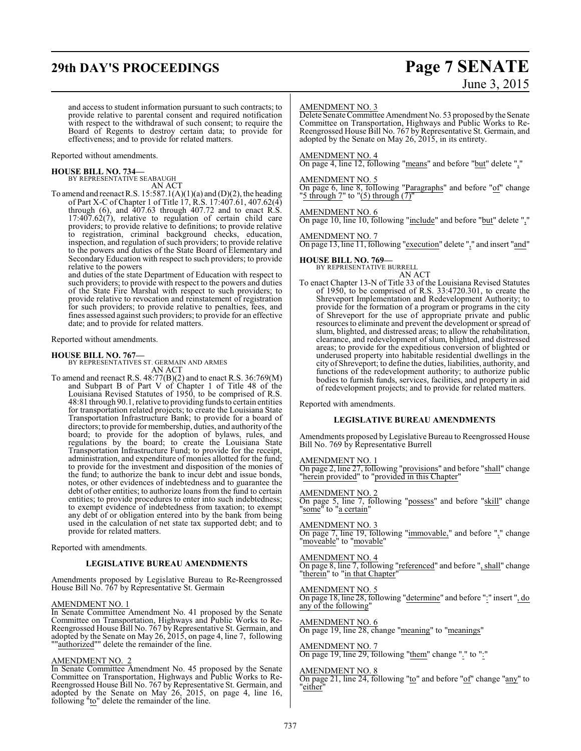# **29th DAY'S PROCEEDINGS Page 7 SENATE**

# June 3, 2015

and access to student information pursuant to such contracts; to provide relative to parental consent and required notification with respect to the withdrawal of such consent; to require the Board of Regents to destroy certain data; to provide for effectiveness; and to provide for related matters.

### Reported without amendments.

# **HOUSE BILL NO. 734—** BY REPRESENTATIVE SEABAUGH

AN ACT

To amend and reenact R.S.  $15:587.1(A)(1)(a)$  and  $(D)(2)$ , the heading of Part X-C of Chapter 1 of Title 17, R.S. 17:407.61, 407.62(4) through  $(6)$ , and  $407.63$  through  $407.72$  and to enact R.S. 17:407.62(7), relative to regulation of certain child care providers; to provide relative to definitions; to provide relative to registration, criminal background checks, education, inspection, and regulation of such providers; to provide relative to the powers and duties of the State Board of Elementary and Secondary Education with respect to such providers; to provide relative to the powers

and duties of the state Department of Education with respect to such providers; to provide with respect to the powers and duties of the State Fire Marshal with respect to such providers; to provide relative to revocation and reinstatement of registration for such providers; to provide relative to penalties, fees, and fines assessed against such providers; to provide for an effective date; and to provide for related matters.

Reported without amendments.

**HOUSE BILL NO. 767—** BY REPRESENTATIVES ST. GERMAIN AND ARMES AN ACT

To amend and reenact R.S. 48:77(B)(2) and to enact R.S. 36:769(M) and Subpart B of Part V of Chapter 1 of Title 48 of the Louisiana Revised Statutes of 1950, to be comprised of R.S. 48:81 through 90.1, relative to providing fundsto certain entities for transportation related projects; to create the Louisiana State Transportation Infrastructure Bank; to provide for a board of directors; to provide for membership, duties, and authority ofthe board; to provide for the adoption of bylaws, rules, and regulations by the board; to create the Louisiana State Transportation Infrastructure Fund; to provide for the receipt, administration, and expenditure of monies allotted for the fund; to provide for the investment and disposition of the monies of the fund; to authorize the bank to incur debt and issue bonds, notes, or other evidences of indebtedness and to guarantee the debt of other entities; to authorize loans from the fund to certain entities; to provide procedures to enter into such indebtedness; to exempt evidence of indebtedness from taxation; to exempt any debt of or obligation entered into by the bank from being used in the calculation of net state tax supported debt; and to provide for related matters.

Reported with amendments.

### **LEGISLATIVE BUREAU AMENDMENTS**

Amendments proposed by Legislative Bureau to Re-Reengrossed House Bill No. 767 by Representative St. Germain

### AMENDMENT NO. 1

In Senate Committee Amendment No. 41 proposed by the Senate Committee on Transportation, Highways and Public Works to Re-Reengrossed House Bill No. 767 by Representative St. Germain, and adopted by the Senate on May 26, 2015, on page 4, line 7, following ""authorized"" delete the remainder of the line.

### AMENDMENT NO. 2

In Senate Committee Amendment No. 45 proposed by the Senate Committee on Transportation, Highways and Public Works to Re-Reengrossed House Bill No. 767 by Representative St. Germain, and adopted by the Senate on May 26, 2015, on page 4, line 16, following "to" delete the remainder of the line.

### AMENDMENT NO. 3

Delete Senate Committee Amendment No. 53 proposed by the Senate Committee on Transportation, Highways and Public Works to Re-Reengrossed House Bill No. 767 by Representative St. Germain, and adopted by the Senate on May 26, 2015, in its entirety.

### AMENDMENT NO. 4

On page 4, line 12, following "means" and before "but" delete ","

### AMENDMENT NO. 5

On page 6, line 8, following "Paragraphs" and before "of" change "5 through 7" to " $(5)$  through  $(7)$ "

### AMENDMENT NO. 6

On page 10, line 10, following "include" and before "but" delete ","

### AMEND<u>MENT NO. 7</u>

On page 13, line 11, following "execution" delete "," and insert "and"

### **HOUSE BILL NO. 769—**

BY REPRESENTATIVE BURRELL AN ACT

To enact Chapter 13-N of Title 33 of the Louisiana Revised Statutes of 1950, to be comprised of R.S. 33:4720.301, to create the Shreveport Implementation and Redevelopment Authority; to provide for the formation of a program or programs in the city of Shreveport for the use of appropriate private and public resources to eliminate and prevent the development or spread of slum, blighted, and distressed areas; to allow the rehabilitation, clearance, and redevelopment of slum, blighted, and distressed areas; to provide for the expeditious conversion of blighted or underused property into habitable residential dwellings in the city of Shreveport; to define the duties, liabilities, authority, and functions of the redevelopment authority; to authorize public bodies to furnish funds, services, facilities, and property in aid of redevelopment projects; and to provide for related matters.

Reported with amendments.

### **LEGISLATIVE BUREAU AMENDMENTS**

Amendments proposed by Legislative Bureau to Reengrossed House Bill No. 769 by Representative Burrell

### AMENDMENT NO. 1

On page 2, line 27, following "provisions" and before "shall" change "herein provided" to "provided in this Chapter"

### AMENDMENT NO. 2

On page 5, line 7, following "possess" and before "skill" change "some" to "a certain"

### AMENDMENT NO. 3

On page 7, line 19, following "immovable," and before "," change "moveable" to "movable"

### AMENDMENT NO. 4

On page 8, line 7, following "referenced" and before ", shall" change "therein" to "in that Chapter"

### AMENDMENT NO. 5

On page 18, line 28, following "determine" and before ":" insert ", do any of the following"

### AMENDMENT NO. 6

On page 19, line 28, change "meaning" to "meanings"

### AMENDMENT NO. 7

On page 19, line 29, following "them" change "." to ":"

### AMENDMENT NO. 8

On page 21, line 24, following "to" and before "of" change "any" to "either"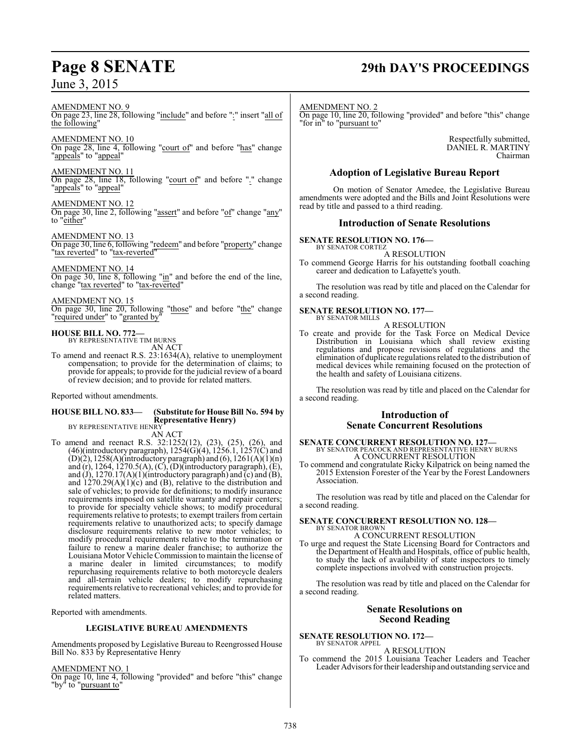# **Page 8 SENATE 29th DAY'S PROCEEDINGS**

AMENDMENT NO. 9 On page 23, line 28, following "include" and before ":" insert "all of the following"

AMENDMENT NO. 10 On page 28, line 4, following "court of" and before "has" change "appeals" to "appeal"

AMENDMENT NO. 11 On page 28, line 18, following "court of" and before "." change "appeals" to "appeal"

### AMENDMENT NO. 12

On page 30, line 2, following "assert" and before "of" change "any" to "either"

AMENDMENT NO. 13 On page 30, line 6, following "redeem" and before "property" change "tax reverted" to "tax-reverted"

AMENDMENT NO. 14

On page 30, line 8, following "in" and before the end of the line, change "tax reverted" to "tax-reverted"

### AMENDMENT NO. 15

On page 30, line 20, following "those" and before "the" change "required under" to "granted by"

**HOUSE BILL NO. 772—**

BY REPRESENTATIVE TIM BURNS AN ACT

To amend and reenact R.S. 23:1634(A), relative to unemployment compensation; to provide for the determination of claims; to provide for appeals; to provide for the judicial review of a board of review decision; and to provide for related matters.

Reported without amendments.

### **HOUSE BILL NO. 833— (Substitute for House Bill No. 594 by Representative Henry)**

BY REPRESENTATIVE HENRY AN ACT

To amend and reenact R.S. 32:1252(12), (23), (25), (26), and (46)(introductory paragraph),  $1254(G)(4)$ ,  $1256.1$ ,  $1257(C)$  and (D)(2),  $1258(A)$ (introductory paragraph) and (6),  $1261(A)(1)$ (n) and  $(r)$ , 1264, 1270.5(A),  $(C)$ ,  $(D)$ (introductory paragraph),  $(E)$ , and (J), 1270.17(A)(1)(introductory paragraph) and  $\overline{c}$ ) and  $\overline{B}$ ), and  $1270.29(A)(1)(c)$  and (B), relative to the distribution and sale of vehicles; to provide for definitions; to modify insurance requirements imposed on satellite warranty and repair centers; to provide for specialty vehicle shows; to modify procedural requirements relative to protests; to exempt trailers from certain requirements relative to unauthorized acts; to specify damage disclosure requirements relative to new motor vehicles; to modify procedural requirements relative to the termination or failure to renew a marine dealer franchise; to authorize the Louisiana Motor Vehicle Commission to maintain the license of a marine dealer in limited circumstances; to modify repurchasing requirements relative to both motorcycle dealers and all-terrain vehicle dealers; to modify repurchasing requirements relative to recreational vehicles; and to provide for related matters.

Reported with amendments.

### **LEGISLATIVE BUREAU AMENDMENTS**

Amendments proposed by Legislative Bureau to Reengrossed House Bill No. 833 by Representative Henry

AMENDMENT NO. 1

On page 10, line 4, following "provided" and before "this" change "by<sup>"</sup> to "pursuant to"

AMENDMENT NO. 2 On page 10, line 20, following "provided" and before "this" change "for in" to "pursuant to"

> Respectfully submitted, DANIEL R. MARTINY Chairman

### **Adoption of Legislative Bureau Report**

On motion of Senator Amedee, the Legislative Bureau amendments were adopted and the Bills and Joint Resolutions were read by title and passed to a third reading.

### **Introduction of Senate Resolutions**

**SENATE RESOLUTION NO. 176—**

BY SENATOR CORTEZ A RESOLUTION

To commend George Harris for his outstanding football coaching career and dedication to Lafayette's youth.

The resolution was read by title and placed on the Calendar for a second reading.

### **SENATE RESOLUTION NO. 177—** BY SENATOR MILLS

A RESOLUTION

To create and provide for the Task Force on Medical Device Distribution in Louisiana which shall review existing regulations and propose revisions of regulations and the elimination of duplicate regulations related to the distribution of medical devices while remaining focused on the protection of the health and safety of Louisiana citizens.

The resolution was read by title and placed on the Calendar for a second reading.

### **Introduction of Senate Concurrent Resolutions**

**SENATE CONCURRENT RESOLUTION NO. 127—** BY SENATOR PEACOCK AND REPRESENTATIVE HENRY BURNS A CONCURRENT RESOLUTION

To commend and congratulate Ricky Kilpatrick on being named the 2015 Extension Forester of the Year by the Forest Landowners Association.

The resolution was read by title and placed on the Calendar for a second reading.

# **SENATE CONCURRENT RESOLUTION NO. 128—** BY SENATOR BROWN

A CONCURRENT RESOLUTION To urge and request the State Licensing Board for Contractors and the Department of Health and Hospitals, office of public health, to study the lack of availability of state inspectors to timely complete inspections involved with construction projects.

The resolution was read by title and placed on the Calendar for a second reading.

### **Senate Resolutions on Second Reading**

### **SENATE RESOLUTION NO. 172—** BY SENATOR APPEL

A RESOLUTION

To commend the 2015 Louisiana Teacher Leaders and Teacher Leader Advisors fortheir leadership and outstanding service and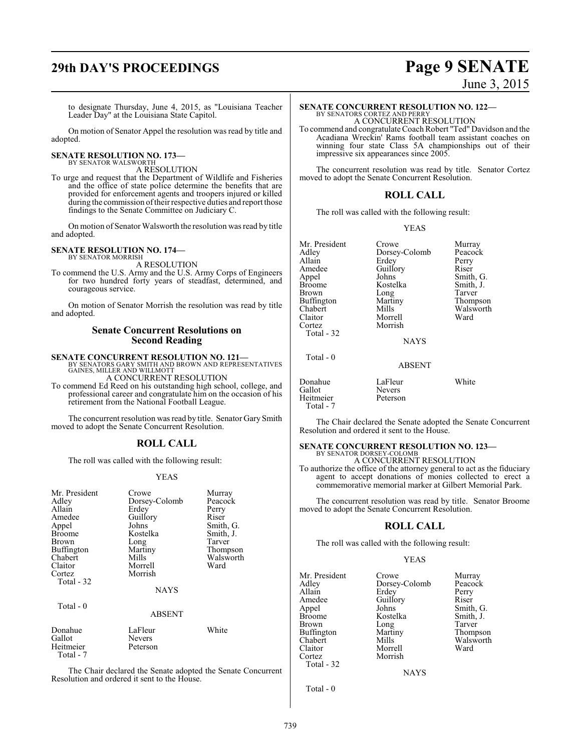# **29th DAY'S PROCEEDINGS Page 9 SENATE**

# June 3, 2015

to designate Thursday, June 4, 2015, as "Louisiana Teacher Leader Day" at the Louisiana State Capitol.

On motion of Senator Appel the resolution was read by title and adopted.

## **SENATE RESOLUTION NO. 173—** BY SENATOR WALSWORTH

A RESOLUTION

To urge and request that the Department of Wildlife and Fisheries and the office of state police determine the benefits that are provided for enforcement agents and troopers injured or killed during the commission oftheir respective duties and report those findings to the Senate Committee on Judiciary C.

On motion of Senator Walsworth the resolution was read by title and adopted.

### **SENATE RESOLUTION NO. 174—** BY SENATOR MORRISH

A RESOLUTION

To commend the U.S. Army and the U.S. Army Corps of Engineers for two hundred forty years of steadfast, determined, and courageous service.

On motion of Senator Morrish the resolution was read by title and adopted.

### **Senate Concurrent Resolutions on Second Reading**

**SENATE CONCURRENT RESOLUTION NO. 121—** BY SENATORS GARY SMITH AND BROWN AND REPRESENTATIVES GAINES, MILLER AND WILLMOTT

A CONCURRENT RESOLUTION

To commend Ed Reed on his outstanding high school, college, and professional career and congratulate him on the occasion of his retirement from the National Football League.

The concurrent resolution was read by title. Senator Gary Smith moved to adopt the Senate Concurrent Resolution.

### **ROLL CALL**

The roll was called with the following result:

### YEAS

| Mr. President<br>Adley<br>Allain<br>Amedee<br>Appel<br>Broome<br>Brown<br><b>Buffington</b><br>Chabert<br>Claitor<br>Cortez<br>Total - 32 | Crowe<br>Dorsey-Colomb<br>Erdey<br>Guillory<br>Johns<br>Kostelka<br>Long<br>Martiny<br>Mills<br>Morrell<br>Morrish | Murray<br>Peacock<br>Perry<br>Riser<br>Smith, G.<br>Smith, J.<br>Tarver<br>Thompson<br>Walsworth<br>Ward |
|-------------------------------------------------------------------------------------------------------------------------------------------|--------------------------------------------------------------------------------------------------------------------|----------------------------------------------------------------------------------------------------------|
|                                                                                                                                           | <b>NAYS</b>                                                                                                        |                                                                                                          |
| Total - 0                                                                                                                                 | <b>ABSENT</b>                                                                                                      |                                                                                                          |
| Donahue<br>Gallot<br>Heitmeier<br>$Total - 7$                                                                                             | LaFleur<br>Nevers<br>Peterson                                                                                      | White                                                                                                    |

The Chair declared the Senate adopted the Senate Concurrent Resolution and ordered it sent to the House.

### **SENATE CONCURRENT RESOLUTION NO. 122—** BY SENATORS CORTEZ AND PERRY A CONCURRENT RESOLUTION

To commend and congratulate Coach Robert "Ted" Davidson and the Acadiana Wreckin' Rams football team assistant coaches on winning four state Class 5A championships out of their impressive six appearances since 2005.

The concurrent resolution was read by title. Senator Cortez moved to adopt the Senate Concurrent Resolution.

### **ROLL CALL**

The roll was called with the following result:

### YEAS

| Mr. President     |
|-------------------|
| Adley             |
| Allain            |
| Amedee            |
| Appel             |
| <b>Broome</b>     |
| <b>Brown</b>      |
| <b>Buffington</b> |
| Chabert           |
| Claitor           |
| Cortez            |
| Total - 32        |

Dorsey-Colomb Peacock<br>Erdey Perry Erdey Perry<br>Guillory Riser Guillory<br>Johns Kostelka Smith,<br>Long Tarver Long<br>Martiny Martiny Thompson<br>Mills Walsworth Morrell Morrish

Crowe Murray<br>Dorsey-Colomb Peacock Smith, G.<br>Smith, J. Walsworth<br>Ward

### **NAYS**

ABSENT

### Donahue LaFleur White<br>Gallot Nevers Nevers<br>Peterson Heitmeier

Total - 7

Total - 0

The Chair declared the Senate adopted the Senate Concurrent Resolution and ordered it sent to the House.

# **SENATE CONCURRENT RESOLUTION NO. 123—** BY SENATOR DORSEY-COLOMB

A CONCURRENT RESOLUTION

To authorize the office of the attorney general to act as the fiduciary agent to accept donations of monies collected to erect a commemorative memorial marker at Gilbert Memorial Park.

The concurrent resolution was read by title. Senator Broome moved to adopt the Senate Concurrent Resolution.

### **ROLL CALL**

The roll was called with the following result:

### YEAS

Mr. President Crowe Murray<br>Adley Dorsey-Colomb Peacock Adley Dorsey-Colomb Peacock Allain Erdey Perry Amedee Guillory Riser<br>
Appel Johns Smith Appel Johns Smith, G.<br>Broome Kostelka Smith, J. Broome Kostelka Smith,<br>Brown Long Tarver Buffington Martin<br>Chabert Mills Chabert Mills Walsworth<br>
Claitor Morrell Ward Claitor Morrell<br>Cortez Morrish Morrish Total - 32

Long Tarver<br>
Martiny Thompson

**NAYS** 

Total - 0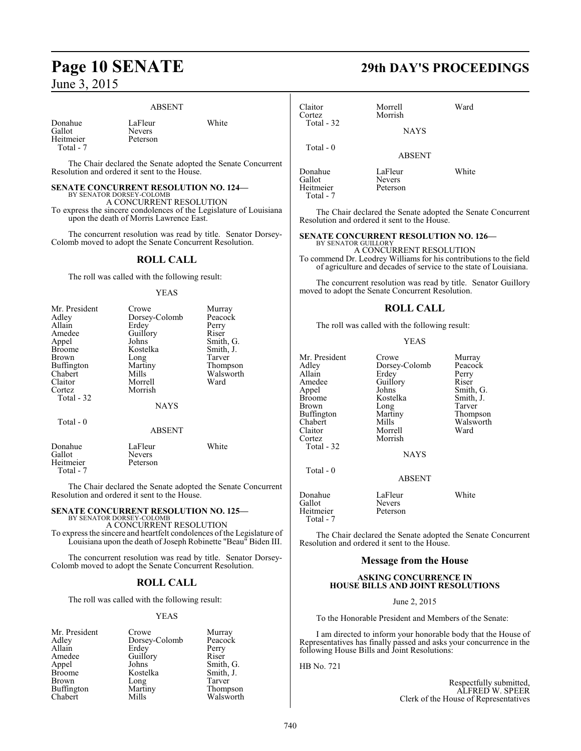### ABSENT

| Donahue   |  |
|-----------|--|
| Gallot    |  |
| Heitmeier |  |
| Total - 7 |  |

Heitmeier Total - 7 LaFleur White Peterson

The Chair declared the Senate adopted the Senate Concurrent Resolution and ordered it sent to the House.

# **SENATE CONCURRENT RESOLUTION NO. 124—**<br>BY SENATOR DORSEY-COLOMB<br>A CONCURRENT RESOLUTION

Nevers

To express the sincere condolences of the Legislature of Louisiana upon the death of Morris Lawrence East.

The concurrent resolution was read by title. Senator Dorsey-Colomb moved to adopt the Senate Concurrent Resolution.

### **ROLL CALL**

The roll was called with the following result:

### YEAS

| Mr. President | Crowe         | Murray    |
|---------------|---------------|-----------|
| Adley         | Dorsey-Colomb | Peacock   |
| Allain        | Erdev         | Perry     |
| Amedee        | Guillory      | Riser     |
| Appel         | Johns         | Smith, G. |
| <b>Broome</b> | Kostelka      | Smith, J. |
| Brown         | Long          | Tarver    |
| Buffington    | Martiny       | Thompson  |
| Chabert       | Mills         | Walsworth |
| Claitor       | Morrell       | Ward      |
| Cortez        | Morrish       |           |
| Total - 32    |               |           |
|               | <b>NAYS</b>   |           |
| Total - 0     |               |           |
|               | <b>ABSENT</b> |           |
| Donahue       | LaFleur       | White     |
| Gallot        | Nevers        |           |
| Heitmeier     | Peterson      |           |

The Chair declared the Senate adopted the Senate Concurrent Resolution and ordered it sent to the House.

# **SENATE CONCURRENT RESOLUTION NO. 125—** BY SENATOR DORSEY-COLOMB

A CONCURRENT RESOLUTION To express the sincere and heartfelt condolences of the Legislature of Louisiana upon the death of Joseph Robinette "Beau" Biden III.

The concurrent resolution was read by title. Senator Dorsey-Colomb moved to adopt the Senate Concurrent Resolution.

### **ROLL CALL**

The roll was called with the following result:

### YEAS

| Mr. President | Crowe         | Murray    |
|---------------|---------------|-----------|
| Adley         | Dorsey-Colomb | Peacock   |
| Allain        | Erdey         | Perry     |
| Amedee        | Guillory      | Riser     |
| Appel         | Johns         | Smith, G. |
| <b>Broome</b> | Kostelka      | Smith, J. |
| <b>Brown</b>  | Long          | Tarver    |
| Buffington    | Martiny       | Thompson  |
| Chabert       | Mills         | Walsworth |

# **Page 10 SENATE 29th DAY'S PROCEEDINGS**

| Claitor<br>Cortez<br>Total - 32             | Morrell<br>Morrish<br><b>NAYS</b> | Ward  |  |
|---------------------------------------------|-----------------------------------|-------|--|
| Total $-0$                                  | <b>ABSENT</b>                     |       |  |
| Donahue<br>Gallot<br>Heitmeier<br>Total - 7 | LaFleur<br>Nevers<br>Peterson     | White |  |

The Chair declared the Senate adopted the Senate Concurrent Resolution and ordered it sent to the House.

### **SENATE CONCURRENT RESOLUTION NO. 126—**

BY SENATOR GUILLORY A CONCURRENT RESOLUTION

To commend Dr. Leodrey Williams for his contributions to the field of agriculture and decades of service to the state of Louisiana.

The concurrent resolution was read by title. Senator Guillory moved to adopt the Senate Concurrent Resolution.

### **ROLL CALL**

The roll was called with the following result:

### YEAS

| Mr. President<br>Adlev<br>Allain<br>Amedee<br>Appel<br>Broome<br>Brown<br>Buffington<br>Chabert<br>Claitor<br>Cortez<br>Total - 32 | Crowe<br>Dorsey-Colomb<br>Erdey<br>Guillory<br>Johns<br>Kostelka<br>Long<br>Martiny<br>Mills<br>Morrell<br>Morrish<br><b>NAYS</b> | Murray<br>Peacock<br>Perry<br>Riser<br>Smith, G.<br>Smith, J.<br>Tarver<br>Thompson<br>Walsworth<br>Ward |
|------------------------------------------------------------------------------------------------------------------------------------|-----------------------------------------------------------------------------------------------------------------------------------|----------------------------------------------------------------------------------------------------------|
| Total - 0                                                                                                                          | <b>ABSENT</b>                                                                                                                     |                                                                                                          |
| Donahue<br>Gallot<br>Heitmeier<br>Total - 7                                                                                        | LaFleur<br><b>Nevers</b><br>Peterson                                                                                              | White                                                                                                    |

The Chair declared the Senate adopted the Senate Concurrent Resolution and ordered it sent to the House.

### **Message from the House**

### **ASKING CONCURRENCE IN HOUSE BILLS AND JOINT RESOLUTIONS**

June 2, 2015

To the Honorable President and Members of the Senate:

I am directed to inform your honorable body that the House of Representatives has finally passed and asks your concurrence in the following House Bills and Joint Resolutions:

HB No. 721

Respectfully submitted, ALFRED W. SPEER Clerk of the House of Representatives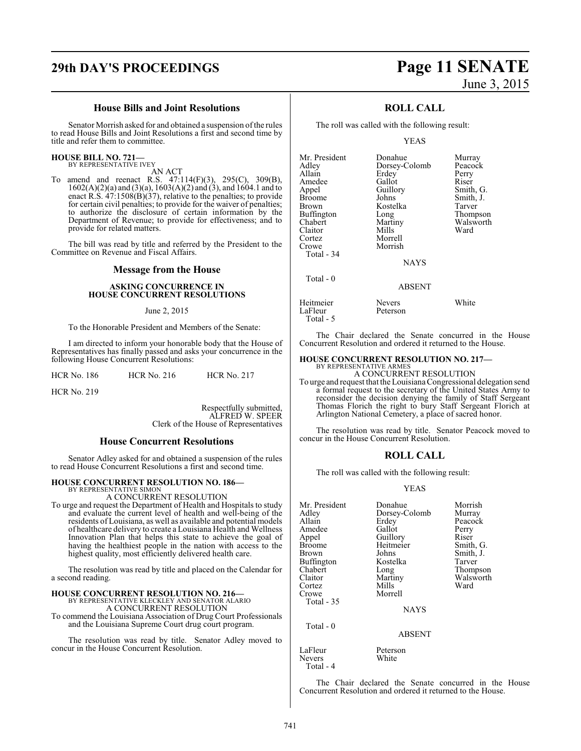### **House Bills and Joint Resolutions**

Senator Morrish asked for and obtained a suspension ofthe rules to read House Bills and Joint Resolutions a first and second time by title and refer them to committee.

### **HOUSE BILL NO. 721—** BY REPRESENTATIVE IVEY

AN ACT

To amend and reenact R.S. 47:114(F)(3), 295(C), 309(B),  $1602(A)(2)(a)$  and  $(3)(a)$ ,  $1603(A)(2)$  and  $(3)$ , and  $1604.1$  and to enact R.S.  $\frac{47.1508(B)}{37}$ , relative to the penalties; to provide for certain civil penalties; to provide for the waiver of penalties; to authorize the disclosure of certain information by the Department of Revenue; to provide for effectiveness; and to provide for related matters.

The bill was read by title and referred by the President to the Committee on Revenue and Fiscal Affairs.

### **Message from the House**

### **ASKING CONCURRENCE IN HOUSE CONCURRENT RESOLUTIONS**

### June 2, 2015

To the Honorable President and Members of the Senate:

I am directed to inform your honorable body that the House of Representatives has finally passed and asks your concurrence in the following House Concurrent Resolutions:

HCR No. 219

Respectfully submitted, ALFRED W. SPEER Clerk of the House of Representatives

### **House Concurrent Resolutions**

Senator Adley asked for and obtained a suspension of the rules to read House Concurrent Resolutions a first and second time.

### **HOUSE CONCURRENT RESOLUTION NO. 186—**

BY REPRESENTATIVE SIMON A CONCURRENT RESOLUTION

To urge and request the Department of Health and Hospitals to study and evaluate the current level of health and well-being of the residents of Louisiana, as well as available and potential models of healthcare delivery to create a Louisiana Health and Wellness Innovation Plan that helps this state to achieve the goal of having the healthiest people in the nation with access to the highest quality, most efficiently delivered health care.

The resolution was read by title and placed on the Calendar for a second reading.

# **HOUSE CONCURRENT RESOLUTION NO. 216—** BY REPRESENTATIVE KLECKLEY AND SENATOR ALARIO

A CONCURRENT RESOLUTION

To commend the Louisiana Association of Drug Court Professionals and the Louisiana Supreme Court drug court program.

The resolution was read by title. Senator Adley moved to concur in the House Concurrent Resolution.

# **29th DAY'S PROCEEDINGS Page 11 SENATE** June 3, 2015

### **ROLL CALL**

The roll was called with the following result:

### YEAS

| Mr. President<br>Adley<br>Allain<br>Amedee<br>Appel<br><b>Broome</b><br>Brown<br>Buffington<br>Chabert<br>Claitor | Donahue<br>Dorsey-Colomb<br>Erdey<br>Gallot<br>Guillory<br>Johns<br>Kostelka<br>Long<br>Martiny<br>Mills | Murray<br>Peacock<br>Perry<br>Riser<br>Smith, G.<br>Smith, J.<br>Tarver<br>Thompson<br>Walsworth<br>Ward |
|-------------------------------------------------------------------------------------------------------------------|----------------------------------------------------------------------------------------------------------|----------------------------------------------------------------------------------------------------------|
| Cortez<br>Crowe<br>Total - 34                                                                                     | Morrell<br>Morrish<br><b>NAYS</b>                                                                        |                                                                                                          |
| Total - 0                                                                                                         | <b>ABSENT</b>                                                                                            |                                                                                                          |

| Heitmeier | <b>Nevers</b> | White |
|-----------|---------------|-------|
| LaFleur   | Peterson      |       |
| Total - 5 |               |       |

The Chair declared the Senate concurred in the House Concurrent Resolution and ordered it returned to the House.

### **HOUSE CONCURRENT RESOLUTION NO. 217—**

BY REPRESENTATIVE ARMES A CONCURRENT RESOLUTION

To urge and request that the Louisiana Congressional delegation send a formal request to the secretary of the United States Army to reconsider the decision denying the family of Staff Sergeant Thomas Florich the right to bury Staff Sergeant Florich at Arlington National Cemetery, a place of sacred honor.

The resolution was read by title. Senator Peacock moved to concur in the House Concurrent Resolution.

### **ROLL CALL**

The roll was called with the following result:

### YEAS

| Mr. President | Donahue       | Morrish   |
|---------------|---------------|-----------|
| Adley         | Dorsey-Colomb | Murray    |
| Allain        | Erdey         | Peacock   |
| Amedee        | Gallot        | Perry     |
| Appel         | Guillory      | Riser     |
| <b>Broome</b> | Heitmeier     | Smith, G. |
| Brown         | Johns         | Smith, J. |
| Buffington    | Kostelka      | Tarver    |
| Chabert       | Long          | Thompson  |
| Claitor       | Martiny       | Walsworth |
| Cortez        | Mills         | Ward      |
| Crowe         | Morrell       |           |
| Total - 35    |               |           |
|               | <b>NAYS</b>   |           |
| Total $-0$    |               |           |
|               | <b>ABSENT</b> |           |
| LaFleur       | Peterson      |           |
| <b>Nevers</b> | White         |           |

The Chair declared the Senate concurred in the House Concurrent Resolution and ordered it returned to the House.

Total - 4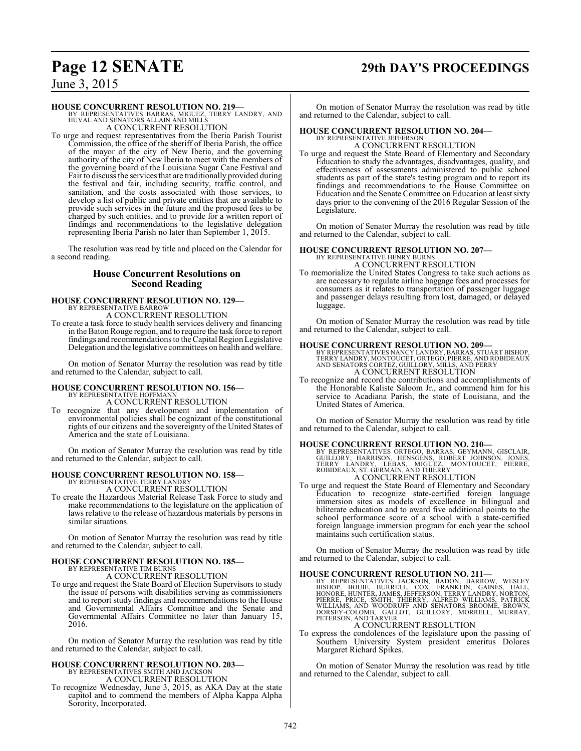# **Page 12 SENATE 29th DAY'S PROCEEDINGS**

June 3, 2015

### **HOUSE CONCURRENT RESOLUTION NO. 219—**

BY REPRESENTATIVES BARRAS, MIGUEZ, TERRY LANDRY, AND HUVAL AND SENATORS ALLAIN AND MILLS A CONCURRENT RESOLUTION

To urge and request representatives from the Iberia Parish Tourist Commission, the office of the sheriff of Iberia Parish, the office of the mayor of the city of New Iberia, and the governing authority of the city of New Iberia to meet with the members of the governing board of the Louisiana Sugar Cane Festival and Fair to discuss the services that are traditionally provided during the festival and fair, including security, traffic control, and sanitation, and the costs associated with those services, to develop a list of public and private entities that are available to provide such services in the future and the proposed fees to be charged by such entities, and to provide for a written report of findings and recommendations to the legislative delegation representing Iberia Parish no later than September 1, 2015.

The resolution was read by title and placed on the Calendar for a second reading.

### **House Concurrent Resolutions on Second Reading**

### **HOUSE CONCURRENT RESOLUTION NO. 129—** BY REPRESENTATIVE BARROW A CONCURRENT RESOLUTION

To create a task force to study health services delivery and financing in the Baton Rouge region, and to require the task force to report findings and recommendations to the Capital Region Legislative Delegation and the legislative committees on health and welfare.

On motion of Senator Murray the resolution was read by title and returned to the Calendar, subject to call.

### **HOUSE CONCURRENT RESOLUTION NO. 156—** BY REPRESENTATIVE HOFFMANN A CONCURRENT RESOLUTION

- 
- To recognize that any development and implementation of environmental policies shall be cognizant of the constitutional rights of our citizens and the sovereignty of the United States of America and the state of Louisiana.

On motion of Senator Murray the resolution was read by title and returned to the Calendar, subject to call.

# **HOUSE CONCURRENT RESOLUTION NO. 158—**

BY REPRESENTATIVE TERRY LANDRY A CONCURRENT RESOLUTION

To create the Hazardous Material Release Task Force to study and make recommendations to the legislature on the application of laws relative to the release of hazardous materials by persons in similar situations.

On motion of Senator Murray the resolution was read by title and returned to the Calendar, subject to call.

### **HOUSE CONCURRENT RESOLUTION NO. 185—** BY REPRESENTATIVE TIM BURNS A CONCURRENT RESOLUTION

To urge and request the State Board of Election Supervisors to study the issue of persons with disabilities serving as commissioners and to report study findings and recommendations to the House and Governmental Affairs Committee and the Senate and Governmental Affairs Committee no later than January 15, 2016.

On motion of Senator Murray the resolution was read by title and returned to the Calendar, subject to call.

### **HOUSE CONCURRENT RESOLUTION NO. 203—**

BY REPRESENTATIVES SMITH AND JACKSON A CONCURRENT RESOLUTION

To recognize Wednesday, June 3, 2015, as AKA Day at the state capitol and to commend the members of Alpha Kappa Alpha Sorority, Incorporated.

On motion of Senator Murray the resolution was read by title and returned to the Calendar, subject to call.

### **HOUSE CONCURRENT RESOLUTION NO. 204—** BY REPRESENTATIVE JEFFERSON

A CONCURRENT RESOLUTION

To urge and request the State Board of Elementary and Secondary Education to study the advantages, disadvantages, quality, and effectiveness of assessments administered to public school students as part of the state's testing program and to report its findings and recommendations to the House Committee on Education and the Senate Committee on Education at least sixty days prior to the convening of the 2016 Regular Session of the Legislature.

On motion of Senator Murray the resolution was read by title and returned to the Calendar, subject to call.

# **HOUSE CONCURRENT RESOLUTION NO. 207—** BY REPRESENTATIVE HENRY BURNS

A CONCURRENT RESOLUTION

To memorialize the United States Congress to take such actions as are necessary to regulate airline baggage fees and processes for consumers as it relates to transportation of passenger luggage and passenger delays resulting from lost, damaged, or delayed luggage.

On motion of Senator Murray the resolution was read by title and returned to the Calendar, subject to call.

### **HOUSE CONCURRENT RESOLUTION NO. 209—**

- BY REPRESENTATIVES NANCY LANDRY, BARRAS, STUART BISHOP,<br>TERRY LANDRY, MONTOUCET, ORTEGO, PIERRE, AND PERRY<br>AND SENATORS CORTEZ, GUILLORY, MILLS, AND PERRY<br>A CONCURRENT RESOLUTION
- To recognize and record the contributions and accomplishments of the Honorable Kaliste Saloom Jr., and commend him for his service to Acadiana Parish, the state of Louisiana, and the United States of America.

On motion of Senator Murray the resolution was read by title and returned to the Calendar, subject to call.

**HOUSE CONCURRENT RESOLUTION NO. 210**<br>BY REPRESENTATIVES ORTEGO, BARRAS, GEYMANN, GISCLAIR,<br>GUILLORY, HARRISON, HENSGENS, ROBERT JOHNSON, JONES,<br>TERRY LANDRY, LEBAS, MIGUEZ, MONTOUCET, PIERRE,<br>ROBIDEAUX, ST. GERMAIN, AND T A CONCURRENT RESOLUTION

To urge and request the State Board of Elementary and Secondary Education to recognize state-certified foreign language immersion sites as models of excellence in bilingual and biliterate education and to award five additional points to the school performance score of a school with a state-certified foreign language immersion program for each year the school maintains such certification status.

On motion of Senator Murray the resolution was read by title and returned to the Calendar, subject to call.

**HOUSE CONCURRENT RESOLUTION NO. 211—**<br>BY REPRESENTATIVES JACKSON, BADON, BARROW, WESLEY<br>BISHOP, BOUIE, BURRELL, COX, FRANKLIN, GAINES, HALL,<br>HONORE, HUNTER, JAMES, JEFFERSON, TERRY LANDRY, NORTON,<br>PIERRE, PRICE, SMITH, TH

A CONCURRENT RESOLUTION

To express the condolences of the legislature upon the passing of Southern University System president emeritus Dolores Margaret Richard Spikes.

On motion of Senator Murray the resolution was read by title and returned to the Calendar, subject to call.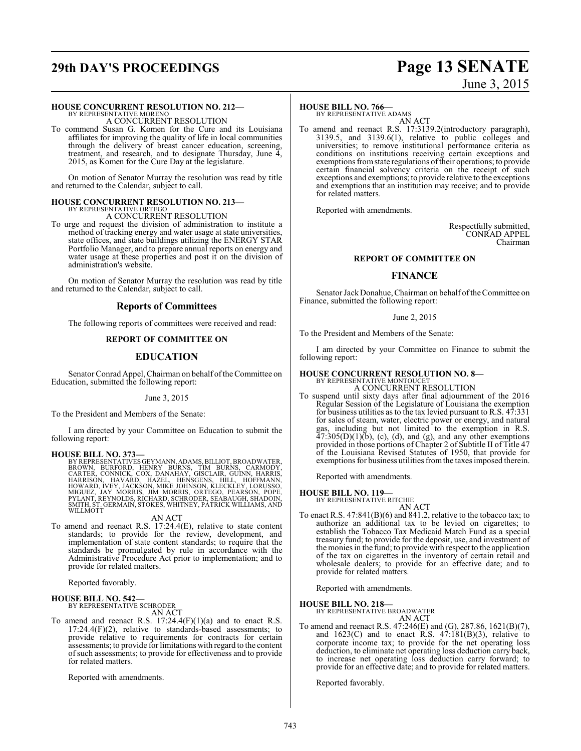# **29th DAY'S PROCEEDINGS Page 13 SENATE**

### **HOUSE CONCURRENT RESOLUTION NO. 212—**

BY REPRESENTATIVE MORENO A CONCURRENT RESOLUTION

To commend Susan G. Komen for the Cure and its Louisiana affiliates for improving the quality of life in local communities through the delivery of breast cancer education, screening, treatment, and research, and to designate Thursday, June 4, 2015, as Komen for the Cure Day at the legislature.

On motion of Senator Murray the resolution was read by title and returned to the Calendar, subject to call.

### **HOUSE CONCURRENT RESOLUTION NO. 213—** BY REPRESENTATIVE ORTEGO

### A CONCURRENT RESOLUTION

To urge and request the division of administration to institute a method of tracking energy and water usage at state universities, state offices, and state buildings utilizing the ENERGY STAR Portfolio Manager, and to prepare annual reports on energy and water usage at these properties and post it on the division of administration's website.

On motion of Senator Murray the resolution was read by title and returned to the Calendar, subject to call.

### **Reports of Committees**

The following reports of committees were received and read:

### **REPORT OF COMMITTEE ON**

### **EDUCATION**

Senator Conrad Appel, Chairman on behalf of the Committee on Education, submitted the following report:

### June 3, 2015

To the President and Members of the Senate:

I am directed by your Committee on Education to submit the following report:

**HOUSE BILL NO. 373—** BY REPRESENTATIVES GEYMANN, ADAMS,BILLIOT,BROADWATER, BROWN, BURFORD, HENRY BURNS, TIM BURNS, CARMODY,<br>CARTER, CONNICK, COX, DANAHAY, GISCLAIR, GUNN, HARRISON, HAVARD, HAZEL, HENSGENS, HILL, HOFFMANN,<br>HARRISON, HAVARD, HAZEL, HENSGENS, HILL, HOFFMANN,<br>MIGUEZ, JAY MORRIS, JIM

### AN ACT

To amend and reenact R.S. 17:24.4(E), relative to state content standards; to provide for the review, development, and implementation of state content standards; to require that the standards be promulgated by rule in accordance with the Administrative Procedure Act prior to implementation; and to provide for related matters.

Reported favorably.

### **HOUSE BILL NO. 542—**

BY REPRESENTATIVE SCHRODER AN ACT

To amend and reenact R.S.  $17:24.4(F)(1)(a)$  and to enact R.S.  $17:24.4(F)(2)$ , relative to standards-based assessments; to provide relative to requirements for contracts for certain assessments; to provide for limitations with regard to the content ofsuch assessments; to provide for effectiveness and to provide for related matters.

Reported with amendments.

# June 3, 2015

### **HOUSE BILL NO. 766—**

BY REPRESENTATIVE ADAMS AN ACT

To amend and reenact R.S. 17:3139.2(introductory paragraph), 3139.5, and 3139.6(1), relative to public colleges and universities; to remove institutional performance criteria as conditions on institutions receiving certain exceptions and exemptions fromstate regulations oftheir operations; to provide certain financial solvency criteria on the receipt of such exceptions and exemptions; to provide relative to the exceptions and exemptions that an institution may receive; and to provide for related matters.

Reported with amendments.

Respectfully submitted, CONRAD APPEL Chairman

### **REPORT OF COMMITTEE ON**

### **FINANCE**

Senator JackDonahue, Chairman on behalf ofthe Committee on Finance, submitted the following report:

June 2, 2015

To the President and Members of the Senate:

I am directed by your Committee on Finance to submit the following report:

# **HOUSE CONCURRENT RESOLUTION NO. 8—** BY REPRESENTATIVE MONTOUCET

A CONCURRENT RESOLUTION

To suspend until sixty days after final adjournment of the 2016 Regular Session of the Legislature of Louisiana the exemption for business utilities as to the tax levied pursuant to R.S. 47:331 for sales of steam, water, electric power or energy, and natural gas, including but not limited to the exemption in R.S.  $47:305(D)(1)(b)$ , (c), (d), and (g), and any other exemptions provided in those portions of Chapter 2 of Subtitle II of Title 47 of the Louisiana Revised Statutes of 1950, that provide for exemptions for business utilities fromthe taxes imposed therein.

Reported with amendments.

### **HOUSE BILL NO. 119—**

- BY REPRESENTATIVE RITCHIE AN ACT
- To enact R.S. 47:841(B)(6) and 841.2, relative to the tobacco tax; to authorize an additional tax to be levied on cigarettes; to establish the Tobacco Tax Medicaid Match Fund as a special treasury fund; to provide for the deposit, use, and investment of the monies in the fund; to provide with respect to the application of the tax on cigarettes in the inventory of certain retail and wholesale dealers; to provide for an effective date; and to provide for related matters.

Reported with amendments.

### **HOUSE BILL NO. 218—**

BY REPRESENTATIVE BROADWATER AN ACT

To amend and reenact R.S. 47:246(E) and (G), 287.86, 1621(B)(7), and  $1623(C)$  and to enact R.S.  $47:181(B)(3)$ , relative to corporate income tax; to provide for the net operating loss deduction, to eliminate net operating loss deduction carry back, to increase net operating loss deduction carry forward; to provide for an effective date; and to provide for related matters.

Reported favorably.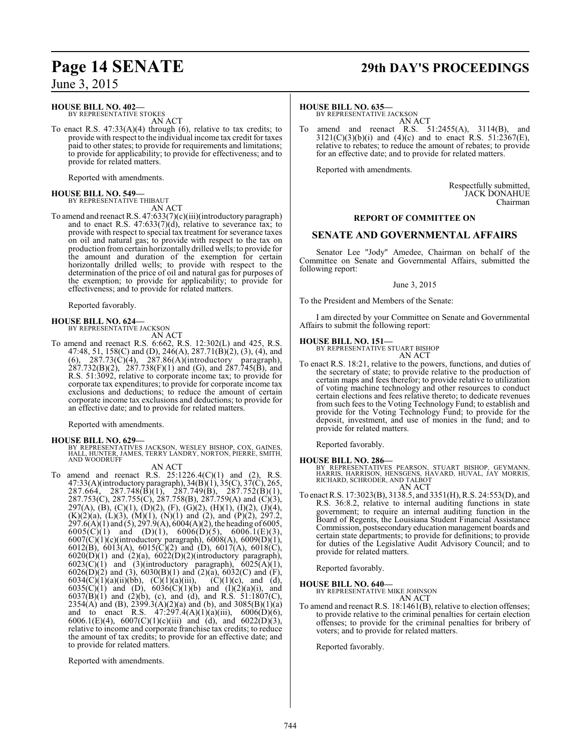### **HOUSE BILL NO. 402—**

BY REPRESENTATIVE STOKES AN ACT

To enact R.S. 47:33(A)(4) through (6), relative to tax credits; to provide with respect to the individual income tax credit for taxes paid to other states; to provide for requirements and limitations; to provide for applicability; to provide for effectiveness; and to provide for related matters.

Reported with amendments.

# **HOUSE BILL NO. 549—** BY REPRESENTATIVE THIBAUT

AN ACT

To amend and reenact R.S. 47:633(7)(c)(iii)(introductory paragraph) and to enact R.S. 47:633(7)(d), relative to severance tax; to provide with respect to special tax treatment for severance taxes on oil and natural gas; to provide with respect to the tax on production fromcertain horizontally drilled wells; to provide for the amount and duration of the exemption for certain horizontally drilled wells; to provide with respect to the determination of the price of oil and natural gas for purposes of the exemption; to provide for applicability; to provide for effectiveness; and to provide for related matters.

Reported favorably.

# **HOUSE BILL NO. 624—** BY REPRESENTATIVE JACKSON

AN ACT

To amend and reenact R.S. 6:662, R.S. 12:302(L) and 425, R.S. 47:48, 51, 158(C) and (D), 246(A), 287.71(B)(2), (3), (4), and  $(6)$ , 287.73 $(\dot{C})(4)$ , 287.86 $(\dot{A})(\text{introductory}$  paragraph),  $287.732(B)(2)$ ,  $287.738(F)(1)$  and (G), and  $287.745(B)$ , and R.S. 51:3092, relative to corporate income tax; to provide for corporate tax expenditures; to provide for corporate income tax exclusions and deductions; to reduce the amount of certain corporate income tax exclusions and deductions; to provide for an effective date; and to provide for related matters.

Reported with amendments.

### **HOUSE BILL NO. 629—**

BY REPRESENTATIVES JACKSON, WESLEY BISHOP, COX, GAINES, HALL, HUNTER, JAMES, TERRY LANDRY, NORTON, PIERRE, SMITH, AND WOODRUFF

### AN ACT

To amend and reenact R.S.  $25:1226.4(C)(1)$  and  $(2)$ , R.S. 47:33(A)(introductory paragraph), 34(B)(1), 35(C), 37(C), 265,  $287.664, 287.748(B)(1), 287.749(B), 287.752(B)(1),$ 287.753(C), 287.755(C), 287.758(B), 287.759(A) and (C)(3), 297(A), (B), (C)(1), (D)(2), (F), (G)(2), (H)(1), (I)(2), (J)(4),  $(K)(2)(a)$ ,  $(L)(3)$ ,  $(M)(1)$ ,  $(N)(1)$  and  $(2)$ , and  $(P)(2)$ ,  $297.2$ , 297.6(A)(1) and (5), 297.9(A), 6004(A)(2), the heading of 6005,  $6005(C)(1)$  and  $(D)(1)$ ,  $6006(D)(5)$ ,  $6006.1(E)(3)$ , 6007(C)(1)(c)(introductory paragraph), 6008(A), 6009(D)(1), 6012(B), 6013(A), 6015(C)(2) and (D), 6017(A), 6018(C),  $6020(D)(1)$  and  $(2)(a)$ ,  $6022(D)(2)(introductory paragraph)$ ,  $6023(\text{C})(1)$  and  $(3)(\text{introductory paragraph}), 6025(\text{A})(1),$  $6026(D)(2)$  and (3),  $6030(B)(1)$  and  $(2)(a)$ ,  $6032(C)$  and  $(F)$ , 6034(C)(1)(a)(ii)(bb), (C)(1)(a)(iii), (C)(1)(c), and (d), 6035(C)(1) and (D), 6036(C)(1)(b) and (I)(2)(a)(i), and  $6037(B)(1)$  and  $(2)(b)$ , (c), and (d), and R.S. 51:1807(C), 2354(A) and (B), 2399.3(A)(2)(a) and (b), and 3085(B)(1)(a) and to enact R.S.  $47:297.4(A)(1)(a)(iii)$ ,  $6006(D)(6)$ , 6006.1(E)(4), 6007(C)(1)(c)(iii) and (d), and 6022(D)(3), relative to income and corporate franchise tax credits; to reduce the amount of tax credits; to provide for an effective date; and to provide for related matters.

Reported with amendments.

# **Page 14 SENATE 29th DAY'S PROCEEDINGS**

### **HOUSE BILL NO. 635—**

BY REPRESENTATIVE JACKSON AN ACT

To amend and reenact R.S. 51:2455(A), 3114(B), and  $3121(C)(3)(b)(i)$  and  $(4)(c)$  and to enact R.S.  $51:2367(E)$ , relative to rebates; to reduce the amount of rebates; to provide for an effective date; and to provide for related matters.

Reported with amendments.

Respectfully submitted, JACK DONAHUE Chairman

### **REPORT OF COMMITTEE ON**

### **SENATE AND GOVERNMENTAL AFFAIRS**

Senator Lee "Jody" Amedee, Chairman on behalf of the Committee on Senate and Governmental Affairs, submitted the following report:

June 3, 2015

To the President and Members of the Senate:

I am directed by your Committee on Senate and Governmental Affairs to submit the following report:

### **HOUSE BILL NO. 151—**

BY REPRESENTATIVE STUART BISHOP AN ACT

To enact R.S. 18:21, relative to the powers, functions, and duties of the secretary of state; to provide relative to the production of certain maps and fees therefor; to provide relative to utilization of voting machine technology and other resources to conduct certain elections and fees relative thereto; to dedicate revenues from such fees to the Voting Technology Fund; to establish and provide for the Voting Technology Fund; to provide for the deposit, investment, and use of monies in the fund; and to provide for related matters.

Reported favorably.

### **HOUSE BILL NO. 286—**

BY REPRESENTATIVES PEARSON, STUART BISHOP, GEYMANN, HARRIS, HARRISON, HENSGENS, HAVARD, HUVAL, JAY MORRIS, RICHARD, SCHRODER, AND TALBOT AN ACT

To enact R.S. 17:3023(B), 3138.5, and 3351(H), R.S. 24:553(D), and R.S. 36:8.2, relative to internal auditing functions in state government; to require an internal auditing function in the Board of Regents, the Louisiana Student Financial Assistance Commission, postsecondary education management boards and certain state departments; to provide for definitions; to provide for duties of the Legislative Audit Advisory Council; and to provide for related matters.

Reported favorably.

**HOUSE BILL NO. 640—** BY REPRESENTATIVE MIKE JOHNSON

AN ACT

To amend and reenact R.S. 18:1461(B), relative to election offenses; to provide relative to the criminal penalties for certain election offenses; to provide for the criminal penalties for bribery of voters; and to provide for related matters.

Reported favorably.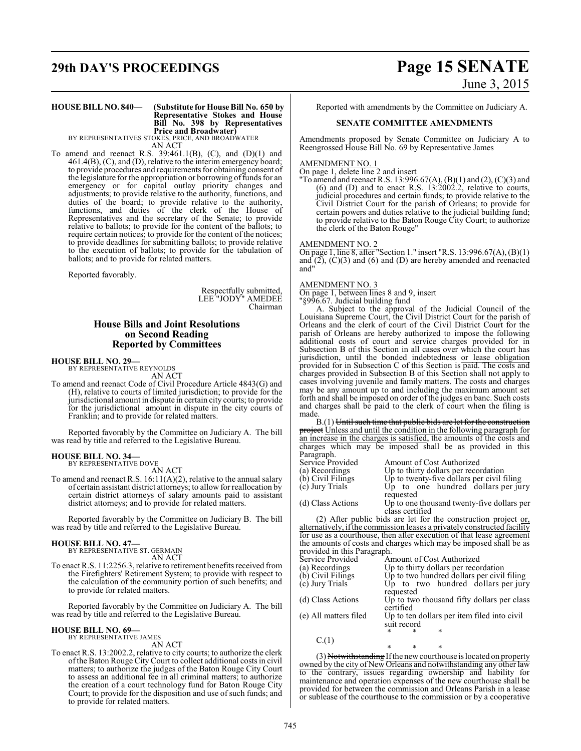# **29th DAY'S PROCEEDINGS Page 15 SENATE**

# June 3, 2015

### **HOUSE BILL NO. 840— (Substitute for House Bill No. 650 by Representative Stokes and House Bill No. 398 by Representatives Price and Broadwater)** BY REPRESENTATIVES STOKES, PRICE, AND BROADWATER

AN ACT

To amend and reenact R.S. 39:461.1(B), (C), and (D)(1) and 461.4(B), (C), and (D), relative to the interim emergency board; to provide procedures and requirements for obtaining consent of the legislature for the appropriation or borrowing of funds for an emergency or for capital outlay priority changes and adjustments; to provide relative to the authority, functions, and duties of the board; to provide relative to the authority, functions, and duties of the clerk of the House of Representatives and the secretary of the Senate; to provide relative to ballots; to provide for the content of the ballots; to require certain notices; to provide for the content of the notices; to provide deadlines for submitting ballots; to provide relative to the execution of ballots; to provide for the tabulation of ballots; and to provide for related matters.

Reported favorably.

Respectfully submitted, LEE "JODY" AMEDEE Chairman

### **House Bills and Joint Resolutions on Second Reading Reported by Committees**

**HOUSE BILL NO. 29—** BY REPRESENTATIVE REYNOLDS

AN ACT

To amend and reenact Code of Civil Procedure Article 4843(G) and (H), relative to courts of limited jurisdiction; to provide for the jurisdictional amount in dispute in certain city courts; to provide for the jurisdictional amount in dispute in the city courts of Franklin; and to provide for related matters.

Reported favorably by the Committee on Judiciary A. The bill was read by title and referred to the Legislative Bureau.

# **HOUSE BILL NO. 34—** BY REPRESENTATIVE DOVE

AN ACT

To amend and reenact R.S. 16:11(A)(2), relative to the annual salary of certain assistant district attorneys; to allow for reallocation by certain district attorneys of salary amounts paid to assistant district attorneys; and to provide for related matters.

Reported favorably by the Committee on Judiciary B. The bill was read by title and referred to the Legislative Bureau.

### **HOUSE BILL NO. 47—**

BY REPRESENTATIVE ST. GERMAIN AN ACT

To enact R.S. 11:2256.3, relative to retirement benefits received from the Firefighters' Retirement System; to provide with respect to the calculation of the community portion of such benefits; and to provide for related matters.

Reported favorably by the Committee on Judiciary A. The bill was read by title and referred to the Legislative Bureau.

### **HOUSE BILL NO. 69—**

BY REPRESENTATIVE JAMES AN ACT

To enact R.S. 13:2002.2, relative to city courts; to authorize the clerk ofthe Baton Rouge City Court to collect additional costs in civil matters; to authorize the judges of the Baton Rouge City Court to assess an additional fee in all criminal matters; to authorize the creation of a court technology fund for Baton Rouge City Court; to provide for the disposition and use of such funds; and to provide for related matters.

Reported with amendments by the Committee on Judiciary A.

### **SENATE COMMITTEE AMENDMENTS**

Amendments proposed by Senate Committee on Judiciary A to Reengrossed House Bill No. 69 by Representative James

### AMENDMENT NO. 1

On page 1, delete line 2 and insert

"To amend and reenact R.S. 13:996.67(A),  $(B)(1)$  and  $(2)$ ,  $(C)(3)$  and (6) and (D) and to enact R.S. 13:2002.2, relative to courts, judicial procedures and certain funds; to provide relative to the Civil District Court for the parish of Orleans; to provide for certain powers and duties relative to the judicial building fund; to provide relative to the Baton Rouge City Court; to authorize the clerk of the Baton Rouge"

### AMENDMENT NO. 2

On page 1, line 8, after "Section 1." insert "R.S. 13:996.67(A), (B)(1) and  $(2)$ ,  $(C)(3)$  and  $(6)$  and  $(D)$  are hereby amended and reenacted and"

### AMENDMENT NO. 3

On page 1, between lines 8 and 9, insert

"§996.67. Judicial building fund A. Subject to the approval of the Judicial Council of the Louisiana Supreme Court, the Civil District Court for the parish of Orleans and the clerk of court of the Civil District Court for the parish of Orleans are hereby authorized to impose the following additional costs of court and service charges provided for in Subsection B of this Section in all cases over which the court has jurisdiction, until the bonded indebtedness or lease obligation provided for in Subsection C of this Section is paid. The costs and charges provided in Subsection B of this Section shall not apply to cases involving juvenile and family matters. The costs and charges may be any amount up to and including the maximum amount set forth and shall be imposed on order of the judges en banc. Such costs and charges shall be paid to the clerk of court when the filing is made.

B.(1) Until such time that public bids are let for the construction project Unless and until the condition in the following paragraph for an increase in the charges is satisfied, the amounts of the costs and charges which may be imposed shall be as provided in this Paragraph.  $\delta$  Amount of Cost Authorized

| Service Provided  | AIIIOUIII OI COSLAUIIIOIIZEU               |
|-------------------|--------------------------------------------|
| (a) Recordings    | Up to thirty dollars per recordation       |
| (b) Civil Filings | Up to twenty-five dollars per civil filing |
| (c) Jury Trials   | Up to one hundred dollars per jury         |
|                   | requested                                  |
| (d) Class Actions | Up to one thousand twenty-five dollars per |
|                   | class certified                            |
|                   |                                            |

(2) After public bids are let for the construction project  $or$ , alternatively, ifthe commission leases a privately constructed facility for use as a courthouse, then after execution of that lease agreement the amounts of costs and charges which may be imposed shall be as provided in this Paragraph.

| Service Provided                     | Amount of Cost Authorized                                       |
|--------------------------------------|-----------------------------------------------------------------|
| (a) Recordings                       | Up to thirty dollars per recordation                            |
| (b) Civil Filings<br>(c) Jury Trials | Up to two hundred dollars per civil filing                      |
|                                      | Up to two hundred dollars per jury                              |
|                                      | requested                                                       |
| (d) Class Actions                    | Up to two thousand fifty dollars per class<br>certified         |
| (e) All matters filed                | Up to ten dollars per item filed into civil<br>suit record<br>* |
| C(1)                                 |                                                                 |
|                                      |                                                                 |

\* \* \* (3) Notwithstanding If the new courthouse is located on property owned by the city of New Orleans and notwithstanding any other law to the contrary, issues regarding ownership and liability for maintenance and operation expenses of the new courthouse shall be provided for between the commission and Orleans Parish in a lease or sublease of the courthouse to the commission or by a cooperative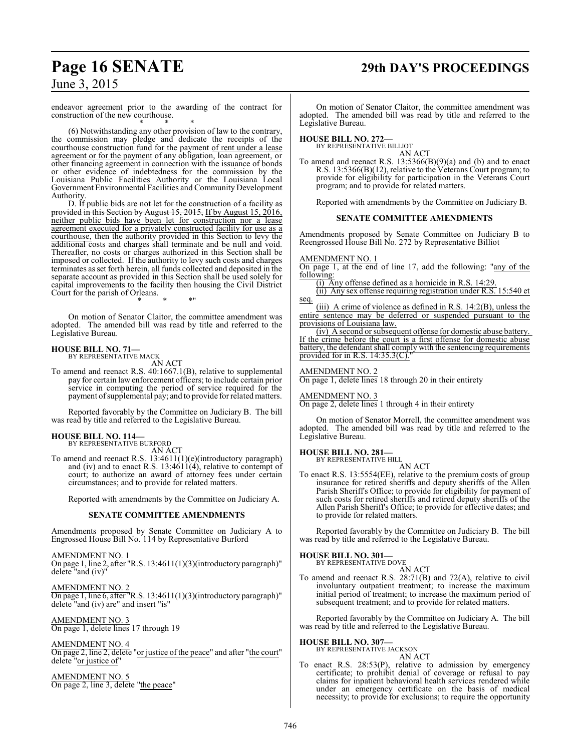# **Page 16 SENATE 29th DAY'S PROCEEDINGS**

June 3, 2015

endeavor agreement prior to the awarding of the contract for construction of the new courthouse. \* \* \*

(6) Notwithstanding any other provision of law to the contrary, the commission may pledge and dedicate the receipts of the courthouse construction fund for the payment of rent under a lease agreement or for the payment of any obligation, loan agreement, or other financing agreement in connection with the issuance of bonds or other evidence of indebtedness for the commission by the Louisiana Public Facilities Authority or the Louisiana Local Government Environmental Facilities and Community Development Authority.

D. <del>If public bids are not let for the construction of a facility as</del> provided in this Section by August 15, 2015, If by August 15, 2016, neither public bids have been let for construction nor a lease agreement executed for a privately constructed facility for use as a courthouse, then the authority provided in this Section to levy the additional costs and charges shall terminate and be null and void. Thereafter, no costs or charges authorized in this Section shall be imposed or collected. If the authority to levy such costs and charges terminates as set forth herein, all funds collected and deposited in the separate account as provided in this Section shall be used solely for capital improvements to the facility then housing the Civil District Court for the parish of Orleans. \* \* \*"

On motion of Senator Claitor, the committee amendment was adopted. The amended bill was read by title and referred to the Legislative Bureau.

# **HOUSE BILL NO. 71—** BY REPRESENTATIVE MACK

AN ACT

To amend and reenact R.S. 40:1667.1(B), relative to supplemental pay for certain law enforcement officers; to include certain prior service in computing the period of service required for the payment of supplemental pay; and to provide for related matters.

Reported favorably by the Committee on Judiciary B. The bill was read by title and referred to the Legislative Bureau.

### **HOUSE BILL NO. 114—** BY REPRESENTATIVE BURFORD

AN ACT

To amend and reenact R.S. 13:4611(1)(e)(introductory paragraph) and (iv) and to enact R.S. 13:4611(4), relative to contempt of court; to authorize an award of attorney fees under certain circumstances; and to provide for related matters.

Reported with amendments by the Committee on Judiciary A.

### **SENATE COMMITTEE AMENDMENTS**

Amendments proposed by Senate Committee on Judiciary A to Engrossed House Bill No. 114 by Representative Burford

AMENDMENT NO. 1 On page 1, line 2, after "R.S. 13:4611(1)(3)(introductory paragraph)" delete "and (iv)"

AMENDMENT NO. 2 On page 1, line 6, after "R.S. 13:4611(1)(3)(introductory paragraph)" delete "and (iv) are" and insert "is"

AMENDMENT NO. 3 On page 1, delete lines 17 through 19

AMENDMENT NO. 4 On page 2, line 2, delete "or justice of the peace" and after "the court" delete "or justice of"

AMENDMENT NO. 5 On page 2, line 3, delete "the peace"

On motion of Senator Claitor, the committee amendment was adopted. The amended bill was read by title and referred to the Legislative Bureau.

**HOUSE BILL NO. 272—** BY REPRESENTATIVE BILLIOT

AN ACT To amend and reenact R.S. 13:5366(B)(9)(a) and (b) and to enact R.S. 13:5366(B)(12), relative to the Veterans Court program; to provide for eligibility for participation in the Veterans Court program; and to provide for related matters.

Reported with amendments by the Committee on Judiciary B.

### **SENATE COMMITTEE AMENDMENTS**

Amendments proposed by Senate Committee on Judiciary B to Reengrossed House Bill No. 272 by Representative Billiot

### AMENDMENT NO. 1

On page 1, at the end of line 17, add the following: "any of the following:

(i) Any offense defined as a homicide in R.S. 14:29. (ii) Any sex offense requiring registration under R.S. 15:540 et

seq. (iii) A crime of violence as defined in R.S. 14:2(B), unless the entire sentence may be deferred or suspended pursuant to the provisions of Louisiana law.

(iv) A second or subsequent offense for domestic abuse battery. If the crime before the court is a first offense for domestic abuse battery, the defendant shall comply with the sentencing requirements provided for in R.S.  $14:35.3(C)$ .

### AMENDMENT NO. 2

On page 1, delete lines 18 through 20 in their entirety

### AMENDMENT NO. 3

On page 2, delete lines 1 through 4 in their entirety

On motion of Senator Morrell, the committee amendment was adopted. The amended bill was read by title and referred to the Legislative Bureau.

### **HOUSE BILL NO. 281—**

BY REPRESENTATIVE HILL AN ACT

To enact R.S. 13:5554(EE), relative to the premium costs of group insurance for retired sheriffs and deputy sheriffs of the Allen Parish Sheriff's Office; to provide for eligibility for payment of such costs for retired sheriffs and retired deputy sheriffs of the Allen Parish Sheriff's Office; to provide for effective dates; and to provide for related matters.

Reported favorably by the Committee on Judiciary B. The bill was read by title and referred to the Legislative Bureau.

# **HOUSE BILL NO. 301—** BY REPRESENTATIVE DOVE

AN ACT

To amend and reenact R.S. 28:71(B) and 72(A), relative to civil involuntary outpatient treatment; to increase the maximum initial period of treatment; to increase the maximum period of subsequent treatment; and to provide for related matters.

Reported favorably by the Committee on Judiciary A. The bill was read by title and referred to the Legislative Bureau.

**HOUSE BILL NO. 307—**

BY REPRESENTATIVE JACKSON AN ACT

To enact R.S. 28:53(P), relative to admission by emergency certificate; to prohibit denial of coverage or refusal to pay claims for inpatient behavioral health services rendered while under an emergency certificate on the basis of medical necessity; to provide for exclusions; to require the opportunity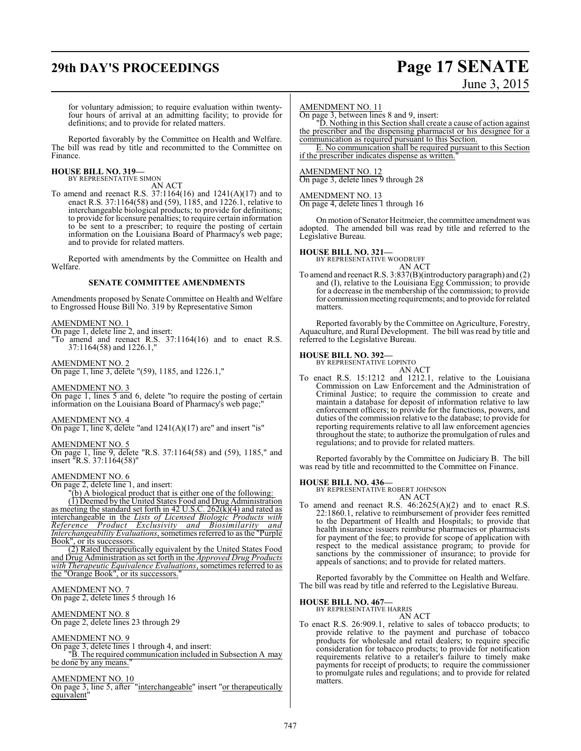# **29th DAY'S PROCEEDINGS Page 17 SENATE**

# June 3, 2015

for voluntary admission; to require evaluation within twentyfour hours of arrival at an admitting facility; to provide for definitions; and to provide for related matters.

Reported favorably by the Committee on Health and Welfare. The bill was read by title and recommitted to the Committee on Finance.

# **HOUSE BILL NO. 319—** BY REPRESENTATIVE SIMON

AN ACT

To amend and reenact R.S. 37:1164(16) and 1241(A)(17) and to enact R.S. 37:1164(58) and (59), 1185, and 1226.1, relative to interchangeable biological products; to provide for definitions; to provide for licensure penalties; to require certain information to be sent to a prescriber; to require the posting of certain information on the Louisiana Board of Pharmacy's web page; and to provide for related matters.

Reported with amendments by the Committee on Health and Welfare.

### **SENATE COMMITTEE AMENDMENTS**

Amendments proposed by Senate Committee on Health and Welfare to Engrossed House Bill No. 319 by Representative Simon

AMENDMENT NO. 1

On page 1, delete line 2, and insert: "To amend and reenact R.S. 37:1164(16) and to enact R.S.

### AMENDMENT NO. 2

37:1164(58) and 1226.1,"

On page 1, line 3, delete "(59), 1185, and 1226.1,"

AMENDMENT NO. 3

On page 1, lines 5 and 6, delete "to require the posting of certain information on the Louisiana Board of Pharmacy's web page;"

### AMENDMENT NO. 4

On page 1, line 8, delete "and 1241(A)(17) are" and insert "is"

### AMENDMENT NO. 5

On page 1, line 9, delete "R.S. 37:1164(58) and (59), 1185," and insert "R.S. 37:1164(58)"

### AMENDMENT NO. 6

On page 2, delete line 1, and insert:

"(b) A biological product that is either one of the following:

(1) Deemed by the United States Food and Drug Administration as meeting the standard set forth in 42 U.S.C. 262(k)(4) and rated as interchangeable in the *Lists of Licensed Biologic Products with Reference Product Exclusivity and Biosimilarity and Interchangeability Evaluations*, sometimes referred to as the "Purple Book", or its successors.

(2) Rated therapeutically equivalent by the United States Food and Drug Administration as set forth in the *Approved Drug Products with Therapeutic Equivalence Evaluations*, sometimes referred to as the "Orange Book", or its successors."

### AMENDMENT NO. 7

On page 2, delete lines 5 through 16

### AMENDMENT NO. 8

On page 2, delete lines 23 through 29

### AMENDMENT NO. 9

On page 3, delete lines 1 through 4, and insert: "B. The required communication included in Subsection A may be done by any means.

### AMENDMENT NO. 10

On page 3, line 5, after "interchangeable" insert "or therapeutically equivalent"

### AMENDMENT NO. 11

On page 3, between lines 8 and 9, insert:

"D. Nothing in this Section shall create a cause of action against the prescriber and the dispensing pharmacist or his designee for a communication as required pursuant to this Section.

E. No communication shall be required pursuant to this Section if the prescriber indicates dispense as written.

### AMENDMENT NO. 12

On page 3, delete lines 9 through 28

### AMENDMENT NO. 13

On page 4, delete lines 1 through 16

On motion of Senator Heitmeier, the committee amendment was adopted. The amended bill was read by title and referred to the Legislative Bureau.

### **HOUSE BILL NO. 321—**

BY REPRESENTATIVE WOODRUFF

AN ACT To amend and reenact R.S. 3:837(B)(introductory paragraph) and (2) and (I), relative to the Louisiana Egg Commission; to provide for a decrease in the membership of the commission; to provide for commission meeting requirements; and to provide for related matters.

Reported favorably by the Committee on Agriculture, Forestry, Aquaculture, and Rural Development. The bill was read by title and referred to the Legislative Bureau.

### **HOUSE BILL NO. 392—**

BY REPRESENTATIVE LOPINTO AN ACT

To enact R.S. 15:1212 and 1212.1, relative to the Louisiana Commission on Law Enforcement and the Administration of Criminal Justice; to require the commission to create and maintain a database for deposit of information relative to law enforcement officers; to provide for the functions, powers, and duties of the commission relative to the database; to provide for reporting requirements relative to all law enforcement agencies throughout the state; to authorize the promulgation of rules and regulations; and to provide for related matters.

Reported favorably by the Committee on Judiciary B. The bill was read by title and recommitted to the Committee on Finance.

### **HOUSE BILL NO. 436—**

BY REPRESENTATIVE ROBERT JOHNSON AN ACT

To amend and reenact R.S.  $46:2625(A)(2)$  and to enact R.S. 22:1860.1, relative to reimbursement of provider fees remitted to the Department of Health and Hospitals; to provide that health insurance issuers reimburse pharmacies or pharmacists for payment of the fee; to provide for scope of application with respect to the medical assistance program; to provide for sanctions by the commissioner of insurance; to provide for appeals of sanctions; and to provide for related matters.

Reported favorably by the Committee on Health and Welfare. The bill was read by title and referred to the Legislative Bureau.

### **HOUSE BILL NO. 467—**

BY REPRESENTATIVE HARRIS

AN ACT To enact R.S. 26:909.1, relative to sales of tobacco products; to provide relative to the payment and purchase of tobacco products for wholesale and retail dealers; to require specific consideration for tobacco products; to provide for notification requirements relative to a retailer's failure to timely make payments for receipt of products; to require the commissioner to promulgate rules and regulations; and to provide for related matters.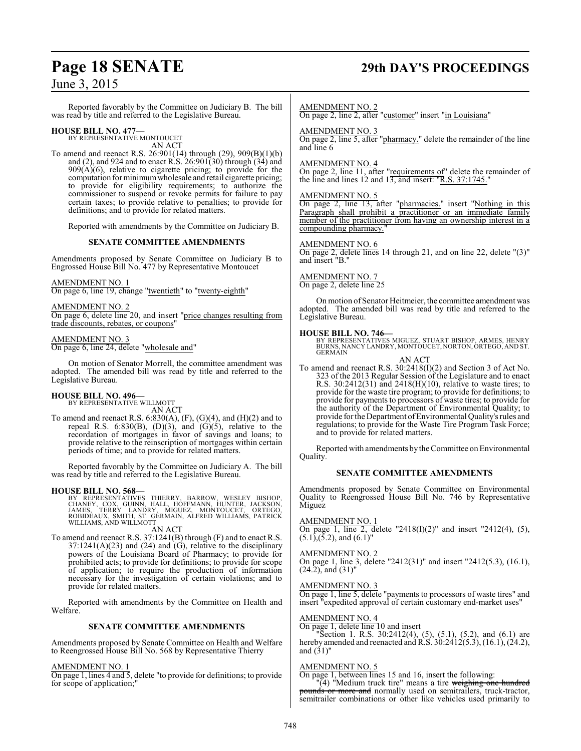# **Page 18 SENATE 29th DAY'S PROCEEDINGS**

## June 3, 2015

Reported favorably by the Committee on Judiciary B. The bill was read by title and referred to the Legislative Bureau.

### **HOUSE BILL NO. 477—**

BY REPRESENTATIVE MONTOUCET AN ACT

To amend and reenact R.S. 26:901(14) through (29), 909(B)(1)(b) and (2), and 924 and to enact R.S. 26:901(30) through (34) and  $909(A)(6)$ , relative to cigarette pricing; to provide for the computation for minimum wholesale and retail cigarette pricing; to provide for eligibility requirements; to authorize the commissioner to suspend or revoke permits for failure to pay certain taxes; to provide relative to penalties; to provide for definitions; and to provide for related matters.

Reported with amendments by the Committee on Judiciary B.

### **SENATE COMMITTEE AMENDMENTS**

Amendments proposed by Senate Committee on Judiciary B to Engrossed House Bill No. 477 by Representative Montoucet

### AMENDMENT NO. 1

On page 6, line 19, change "twentieth" to "twenty-eighth"

### AMENDMENT NO. 2

On page 6, delete line 20, and insert "price changes resulting from trade discounts, rebates, or coupons"

### AMENDMENT NO. 3

On page 6, line 24, delete "wholesale and"

On motion of Senator Morrell, the committee amendment was adopted. The amended bill was read by title and referred to the Legislative Bureau.

**HOUSE BILL NO. 496—** BY REPRESENTATIVE WILLMOTT AN ACT

To amend and reenact R.S.  $6:830(A), (F), (G)(4),$  and  $(H)(2)$  and to repeal R.S.  $6:830(B)$ ,  $(D)(3)$ , and  $(G)(5)$ , relative to the recordation of mortgages in favor of savings and loans; to provide relative to the reinscription of mortgages within certain periods of time; and to provide for related matters.

Reported favorably by the Committee on Judiciary A. The bill was read by title and referred to the Legislative Bureau.

### **HOUSE BILL NO. 568—**

BY REPRESENTATIVES THIERRY, BARROW, WESLEY BISHOP,<br>CHANEY, COX, GUINN, HALL, HOFFMANN, HUNTER, JACKSON,<br>JAMES, TERRY LANDRY, MIGUEZ, MONTOUCET, ORTEGO,<br>ROBIDEAUX, SMITH, ST. GERMAIN, ALFRED WILLIAMS, PATRICK<br>WILLIAMS, AND

### AN ACT

To amend and reenact R.S. 37:1241(B) through (F) and to enact R.S.  $37:1241(A)(23)$  and  $(24)$  and  $(G)$ , relative to the disciplinary powers of the Louisiana Board of Pharmacy; to provide for prohibited acts; to provide for definitions; to provide for scope of application; to require the production of information necessary for the investigation of certain violations; and to provide for related matters.

Reported with amendments by the Committee on Health and Welfare.

### **SENATE COMMITTEE AMENDMENTS**

Amendments proposed by Senate Committee on Health and Welfare to Reengrossed House Bill No. 568 by Representative Thierry

### AMENDMENT NO. 1

On page 1, lines 4 and 5, delete "to provide for definitions; to provide for scope of application;"

### AMENDMENT NO. 2

On page 2, line 2, after "customer" insert "in Louisiana"

### AMENDMENT NO. 3

On page 2, line 5, after "pharmacy." delete the remainder of the line and line 6

### AMENDMENT NO. 4

On page 2, line 11, after "requirements of" delete the remainder of the line and lines 12 and 13, and insert: "R.S. 37:1745."

### AMENDMENT NO. 5

On page 2, line 13, after "pharmacies." insert "Nothing in this Paragraph shall prohibit a practitioner or an immediate family member of the practitioner from having an ownership interest in a compounding pharmacy.

### AMENDMENT NO. 6

On page 2, delete lines 14 through 21, and on line 22, delete "(3)" and insert "B."

### AMENDMENT NO. 7

On page 2, delete line 25

On motion of Senator Heitmeier, the committee amendment was adopted. The amended bill was read by title and referred to the Legislative Bureau.

### **HOUSE BILL NO. 746—**

BY REPRESENTATIVES MIGUEZ, STUART BISHOP, ARMES, HENRY BURNS, NANCY LANDRY, MONTOUCET, NORTON, ORTEGO, AND ST. GERMAIN

AN ACT

To amend and reenact R.S. 30:2418(I)(2) and Section 3 of Act No. 323 of the 2013 Regular Session of the Legislature and to enact R.S. 30:2412(31) and 2418(H)(10), relative to waste tires; to provide for the waste tire program; to provide for definitions; to provide for payments to processors of waste tires; to provide for the authority of the Department of Environmental Quality; to provide for the Department ofEnvironmental Quality's rules and regulations; to provide for the Waste Tire Program Task Force; and to provide for related matters.

Reported with amendments by the Committee on Environmental Quality.

### **SENATE COMMITTEE AMENDMENTS**

Amendments proposed by Senate Committee on Environmental Quality to Reengrossed House Bill No. 746 by Representative Miguez

### AMENDMENT NO. 1

On page 1, line 2, delete "2418(I)(2)" and insert "2412(4), (5),  $(5.1)$ , $(5.2)$ , and  $(6.1)$ "

### AMENDMENT NO. 2

On page 1, line 3, delete "2412(31)" and insert "2412(5.3), (16.1),  $(24.2)$ , and  $(31)$ "

### AMENDMENT NO. 3

On page 1, line 5, delete "payments to processors of waste tires" and insert "expedited approval of certain customary end-market uses"

### AMENDMENT NO. 4

On page 1, delete line 10 and insert

"Section 1. R.S. 30:2412(4), (5), (5.1), (5.2), and (6.1) are hereby amended and reenacted and R.S.  $30:2412(5.3), (16.1), (24.2),$ and  $(31)$ "

### AMENDMENT NO. 5

On page 1, between lines 15 and 16, insert the following:

"(4) "Medium truck tire" means a tire weighing one hundred pounds or more and normally used on semitrailers, truck-tractor, semitrailer combinations or other like vehicles used primarily to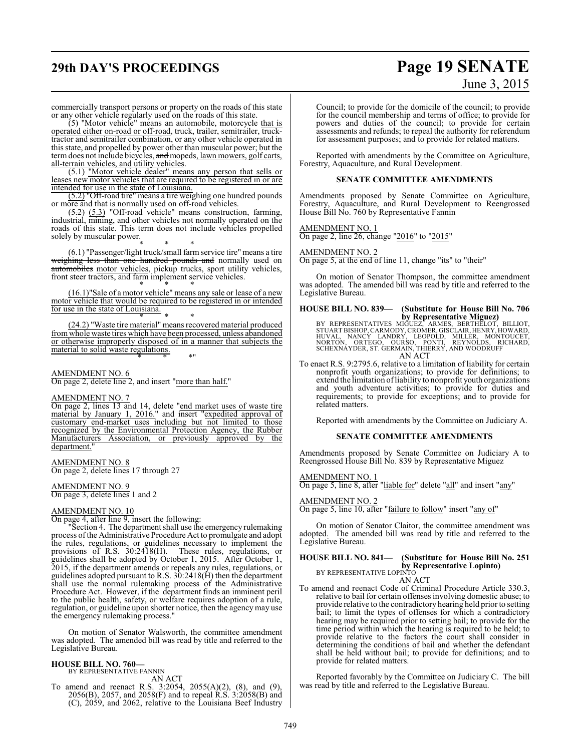# **29th DAY'S PROCEEDINGS Page 19 SENATE**

# June 3, 2015

commercially transport persons or property on the roads of this state or any other vehicle regularly used on the roads of this state.

(5) "Motor vehicle" means an automobile, motorcycle that is operated either on-road or off-road, truck, trailer, semitrailer, trucktractor and semitrailer combination, or any other vehicle operated in this state, and propelled by power other than muscular power; but the term does not include bicycles, and mopeds, lawn mowers, golf carts, all-terrain vehicles, and utility vehicles.

(5.1) "Motor vehicle dealer" means any person that sells or leases new motor vehicles that are required to be registered in or are intended for use in the state of Louisiana.

(5.2) "Off-road tire" means a tire weighing one hundred pounds or more and that is normally used on off-road vehicles.

(5.2) (5.3) "Off-road vehicle" means construction, farming, industrial, mining, and other vehicles not normally operated on the roads of this state. This term does not include vehicles propelled solely by muscular power.

\* \* \* (6.1) "Passenger/light truck/small farm service tire" means a tire weighing less than one hundred pounds and normally used on automobiles motor vehicles, pickup trucks, sport utility vehicles, front steer tractors, and farm implement service vehicles. \* \* \*

(16.1)"Sale of a motor vehicle" means any sale or lease of a new motor vehicle that would be required to be registered in or intended for use in the state of Louisiana. \* \* \*

(24.2) "Waste tire material" means recovered material produced from whole waste tires which have been processed, unless abandoned or otherwise improperly disposed of in a manner that subjects the material to solid waste regulations. \* \* \*"

AMENDMENT NO. 6

On page 2, delete line 2, and insert "more than half."

### AMENDMENT NO. 7

On page 2, lines 13 and 14, delete "end market uses of waste tire material by January 1, 2016." and insert "expedited approval of customary end-market uses including but not limited to those recognized by the Environmental Protection Agency, the Rubber Manufacturers Association, or previously approved by the department.

### AMENDMENT NO. 8

On page 2, delete lines 17 through 27

### AMENDMENT NO. 9

On page 3, delete lines 1 and 2

### AMENDMENT NO. 10

On page 4, after line 9, insert the following:

"Section 4. The department shall use the emergency rulemaking process ofthe Administrative Procedure Act to promulgate and adopt the rules, regulations, or guidelines necessary to implement the provisions of R.S. 30:2418(H). These rules, regulations, or guidelines shall be adopted by October 1, 2015. After October 1, 2015, if the department amends or repeals any rules, regulations, or guidelines adopted pursuant to R.S. 30:2418(H) then the department shall use the normal rulemaking process of the Administrative Procedure Act. However, if the department finds an imminent peril to the public health, safety, or welfare requires adoption of a rule, regulation, or guideline upon shorter notice, then the agency may use the emergency rulemaking process."

On motion of Senator Walsworth, the committee amendment was adopted. The amended bill was read by title and referred to the Legislative Bureau.

# **HOUSE BILL NO. 760—** BY REPRESENTATIVE FANNIN

AN ACT

To amend and reenact R.S. 3:2054, 2055(A)(2), (8), and (9), 2056(B), 2057, and 2058(F) and to repeal R.S. 3:2058(B) and (C), 2059, and 2062, relative to the Louisiana Beef Industry Council; to provide for the domicile of the council; to provide for the council membership and terms of office; to provide for powers and duties of the council; to provide for certain assessments and refunds; to repeal the authority for referendum for assessment purposes; and to provide for related matters.

Reported with amendments by the Committee on Agriculture, Forestry, Aquaculture, and Rural Development.

### **SENATE COMMITTEE AMENDMENTS**

Amendments proposed by Senate Committee on Agriculture, Forestry, Aquaculture, and Rural Development to Reengrossed House Bill No. 760 by Representative Fannin

AMENDMENT NO. 1 On page 2, line 26, change "2016" to "2015"

AMENDMENT NO. 2

On page 5, at the end of line 11, change "its" to "their"

On motion of Senator Thompson, the committee amendment was adopted. The amended bill was read by title and referred to the Legislative Bureau.

**HOUSE BILL NO. 839— (Substitute for House Bill No. 706**

by Representative Miguez)<br>STUART BISHOP, CARMODY, CROMER, BERTHELOT, BILLIOT,<br>HUVAL, NANCY LANDRY, LEOPOLD, MILLER, MONTOUCET,<br>NORTON, ORTEGO, OURSO, PONTI, REYNOLDS, RICHARD,<br>SCHEXNAYDER, ST. GERMAIN, THIERRY, AND WOODRUF AN ACT

To enact R.S. 9:2795.6, relative to a limitation of liability for certain nonprofit youth organizations; to provide for definitions; to extend the limitation ofliability to nonprofit youth organizations and youth adventure activities; to provide for duties and requirements; to provide for exceptions; and to provide for related matters.

Reported with amendments by the Committee on Judiciary A.

### **SENATE COMMITTEE AMENDMENTS**

Amendments proposed by Senate Committee on Judiciary A to Reengrossed House Bill No. 839 by Representative Miguez

AMENDMENT NO. 1

On page 5, line 8, after "liable for" delete "all" and insert "any"

### AMENDMENT NO. 2

On page 5, line 10, after "failure to follow" insert "any of"

On motion of Senator Claitor, the committee amendment was adopted. The amended bill was read by title and referred to the Legislative Bureau.

### **HOUSE BILL NO. 841— (Substitute for House Bill No. 251 by Representative Lopinto)** BY REPRESENTATIVE LOPINTO

AN ACT

To amend and reenact Code of Criminal Procedure Article 330.3, relative to bail for certain offenses involving domestic abuse; to provide relative to the contradictory hearing held prior to setting bail; to limit the types of offenses for which a contradictory hearing may be required prior to setting bail; to provide for the time period within which the hearing is required to be held; to provide relative to the factors the court shall consider in determining the conditions of bail and whether the defendant shall be held without bail; to provide for definitions; and to provide for related matters.

Reported favorably by the Committee on Judiciary C. The bill was read by title and referred to the Legislative Bureau.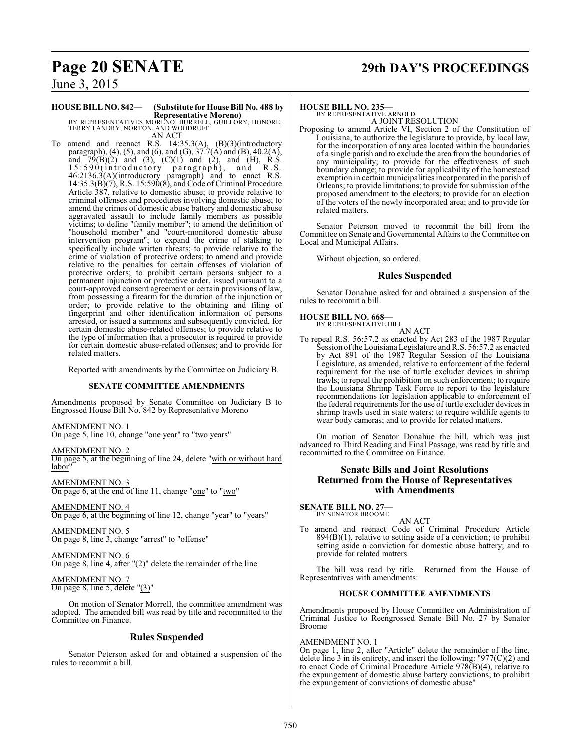# **Page 20 SENATE 29th DAY'S PROCEEDINGS**

June 3, 2015

# **HOUSE BILL NO. 842— (Substitute for House Bill No. 488 by**

**Representative Moreno)** BY REPRESENTATIVES MORENO, BURRELL, GUILLORY, HONORE, TERRY LANDRY, NORTON, AND WOODRUFF AN ACT

To amend and reenact R.S. 14:35.3(A), (B)(3)(introductory paragraph), (4), (5), and (6), and (G),  $37.7(A)$  and (B), 40.2(A), and  $79(B)(2)$  and  $(3)$ ,  $(C)(1)$  and  $(2)$ , and  $(H)$ , R.S. 15:590(introductory paragraph), and R.S. 46:2136.3(A)(introductory paragraph) and to enact R.S. 14:35.3(B)(7), R.S. 15:590(8), and Code of Criminal Procedure Article 387, relative to domestic abuse; to provide relative to criminal offenses and procedures involving domestic abuse; to amend the crimes of domestic abuse battery and domestic abuse aggravated assault to include family members as possible victims; to define "family member"; to amend the definition of "household member" and "court-monitored domestic abuse intervention program"; to expand the crime of stalking to specifically include written threats; to provide relative to the crime of violation of protective orders; to amend and provide relative to the penalties for certain offenses of violation of protective orders; to prohibit certain persons subject to a permanent injunction or protective order, issued pursuant to a court-approved consent agreement or certain provisions of law, from possessing a firearm for the duration of the injunction or order; to provide relative to the obtaining and filing of fingerprint and other identification information of persons arrested, or issued a summons and subsequently convicted, for certain domestic abuse-related offenses; to provide relative to the type of information that a prosecutor is required to provide for certain domestic abuse-related offenses; and to provide for related matters.

Reported with amendments by the Committee on Judiciary B.

### **SENATE COMMITTEE AMENDMENTS**

Amendments proposed by Senate Committee on Judiciary B to Engrossed House Bill No. 842 by Representative Moreno

### AMENDMENT NO. 1

On page 5, line 10, change "one year" to "two years"

### AMENDMENT NO. 2

On page 5, at the beginning of line 24, delete "with or without hard labor"

AMENDMENT NO. 3 On page 6, at the end of line 11, change "one" to "two"

AMENDMENT NO. 4 On page 6, at the beginning of line 12, change "year" to "years"

AMENDMENT NO. 5 On page 8, line 3, change "arrest" to "offense"

AMENDMENT NO. 6 On page 8, line 4, after "(2)" delete the remainder of the line

AMENDMENT NO. 7 On page 8, line 5, delete "(3)"

On motion of Senator Morrell, the committee amendment was adopted. The amended bill was read by title and recommitted to the Committee on Finance.

### **Rules Suspended**

Senator Peterson asked for and obtained a suspension of the rules to recommit a bill.

### **HOUSE BILL NO. 235—**

BY REPRESENTATIVE ARNOLD A JOINT RESOLUTION

Proposing to amend Article VI, Section 2 of the Constitution of Louisiana, to authorize the legislature to provide, by local law, for the incorporation of any area located within the boundaries of a single parish and to exclude the area from the boundaries of any municipality; to provide for the effectiveness of such boundary change; to provide for applicability of the homestead exemption in certain municipalities incorporated in the parish of Orleans; to provide limitations; to provide for submission ofthe proposed amendment to the electors; to provide for an election of the voters of the newly incorporated area; and to provide for related matters.

Senator Peterson moved to recommit the bill from the Committee on Senate and Governmental Affairs to the Committee on Local and Municipal Affairs.

Without objection, so ordered.

### **Rules Suspended**

Senator Donahue asked for and obtained a suspension of the rules to recommit a bill.

# **HOUSE BILL NO. 668—** BY REPRESENTATIVE HILL

AN ACT

To repeal R.S. 56:57.2 as enacted by Act 283 of the 1987 Regular Session of the Louisiana Legislature and R.S. 56:57.2 as enacted by Act 891 of the 1987 Regular Session of the Louisiana Legislature, as amended, relative to enforcement of the federal requirement for the use of turtle excluder devices in shrimp trawls; to repeal the prohibition on such enforcement; to require the Louisiana Shrimp Task Force to report to the legislature recommendations for legislation applicable to enforcement of the federal requirements for the use of turtle excluder devices in shrimp trawls used in state waters; to require wildlife agents to wear body cameras; and to provide for related matters.

On motion of Senator Donahue the bill, which was just advanced to Third Reading and Final Passage, was read by title and recommitted to the Committee on Finance.

### **Senate Bills and Joint Resolutions Returned from the House of Representatives with Amendments**

**SENATE BILL NO. 27—**<br>BY SENATOR BROOME

AN ACT To amend and reenact Code of Criminal Procedure Article  $894(B)(1)$ , relative to setting aside of a conviction; to prohibit setting aside a conviction for domestic abuse battery; and to provide for related matters.

The bill was read by title. Returned from the House of Representatives with amendments:

### **HOUSE COMMITTEE AMENDMENTS**

Amendments proposed by House Committee on Administration of Criminal Justice to Reengrossed Senate Bill No. 27 by Senator Broome

### AMENDMENT NO. 1

On page 1, line 2, after "Article" delete the remainder of the line, delete line 3 in its entirety, and insert the following: "977 $(C)(2)$  and to enact Code of Criminal Procedure Article 978(B)(4), relative to the expungement of domestic abuse battery convictions; to prohibit the expungement of convictions of domestic abuse"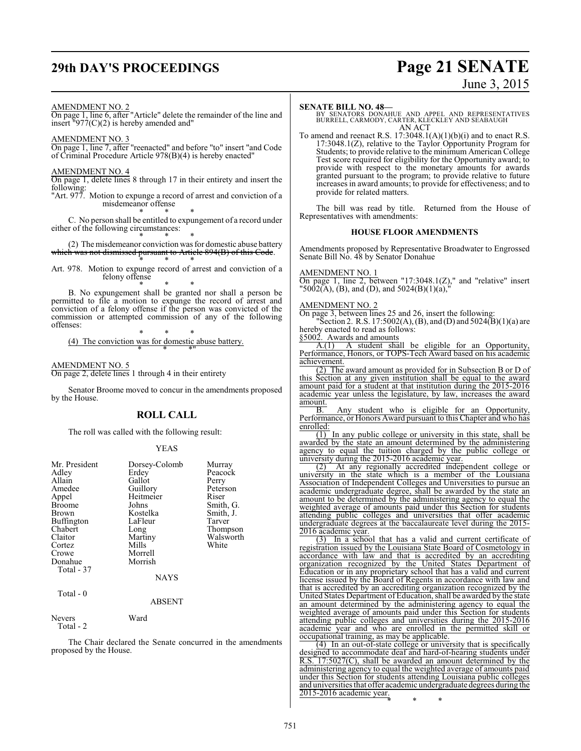# **29th DAY'S PROCEEDINGS Page 21 SENATE**

# June 3, 2015

### AMENDMENT NO. 2

On page 1, line 6, after "Article" delete the remainder of the line and insert  $\frac{1077}{(C)(2)}$  is hereby amended and"

AMENDMENT NO. 3

On page 1, line 7, after "reenacted" and before "to" insert "and Code of Criminal Procedure Article 978(B)(4) is hereby enacted"

### AMENDMENT NO. 4

On page 1, delete lines 8 through 17 in their entirety and insert the following:

"Art. 977. Motion to expunge a record of arrest and conviction of a misdemeanor offense

\* \* \* C. No person shall be entitled to expungement of a record under either of the following circumstances:

\* \* \* (2) Themisdemeanor conviction was for domestic abuse battery which was not dismissed pursuant to Article 894(B) of this Code.

\* \* \* Art. 978. Motion to expunge record of arrest and conviction of a felony offense

\* \* \* B. No expungement shall be granted nor shall a person be permitted to file a motion to expunge the record of arrest and conviction of a felony offense if the person was convicted of the commission or attempted commission of any of the following offenses:

\* \* \* (4) The conviction was for domestic abuse battery. \* \* \*"

### AMENDMENT NO. 5

On page 2, delete lines 1 through 4 in their entirety

Senator Broome moved to concur in the amendments proposed by the House.

### **ROLL CALL**

The roll was called with the following result:

### YEAS

| Mr. President<br>Adley<br>Allain<br>Amedee<br>Appel<br><b>Broome</b><br>Brown<br><b>Buffington</b><br>Chabert<br>Claitor<br>Cortez<br>Crowe<br>Donahue<br>Total - 37 | Dorsey-Colomb<br>Erdey<br>Gallot<br>Guillory<br>Heitmeier<br>Johns<br>Kostelka<br>LaFleur<br>Long<br>Martiny<br>Mills<br>Morrell<br>Morrish<br><b>NAYS</b> | Murray<br>Peacock<br>Perry<br>Peterson<br>Riser<br>Smith, G.<br>Smith, J.<br>Tarver<br>Thompson<br>Walsworth<br>White |
|----------------------------------------------------------------------------------------------------------------------------------------------------------------------|------------------------------------------------------------------------------------------------------------------------------------------------------------|-----------------------------------------------------------------------------------------------------------------------|
| Total - 0                                                                                                                                                            | <b>ABSENT</b>                                                                                                                                              |                                                                                                                       |
| <b>T</b>                                                                                                                                                             | $\mathbf{v}$                                                                                                                                               |                                                                                                                       |

### Nevers Ward Total - 2

The Chair declared the Senate concurred in the amendments proposed by the House.

### **SENATE BILL NO. 48—**

BY SENATORS DONAHUE AND APPEL AND REPRESENTATIVES BURRELL, CARMODY, CARTER, KLECKLEY AND SEABAUGH AN ACT

To amend and reenact R.S. 17:3048.1(A)(1)(b)(i) and to enact R.S. 17:3048.1(Z), relative to the Taylor Opportunity Program for Students; to provide relative to the minimum American College Test score required for eligibility for the Opportunity award; to provide with respect to the monetary amounts for awards granted pursuant to the program; to provide relative to future increases in award amounts; to provide for effectiveness; and to provide for related matters.

The bill was read by title. Returned from the House of Representatives with amendments:

### **HOUSE FLOOR AMENDMENTS**

Amendments proposed by Representative Broadwater to Engrossed Senate Bill No. 48 by Senator Donahue

### AMENDMENT NO. 1

On page 1, line 2, between "17:3048.1(Z)," and "relative" insert "5002(A), (B), and (D), and 5024(B)(1)(a),"

### AMENDMENT NO. 2

On page 3, between lines 25 and 26, insert the following: "Section 2. R.S. 17:5002(A), (B), and (D) and 5024(B)(1)(a) are hereby enacted to read as follows: §5002. Awards and amounts

A.(1) A student shall be eligible for an Opportunity, Performance, Honors, or TOPS-Tech Award based on his academic achievement.

(2) The award amount as provided for in Subsection B or D of this Section at any given institution shall be equal to the award amount paid for a student at that institution during the 2015-2016 academic year unless the legislature, by law, increases the award amount.

B. Any student who is eligible for an Opportunity, Performance, or Honors Award pursuant to this Chapter and who has enrolled:

(1) In any public college or university in this state, shall be awarded by the state an amount determined by the administering agency to equal the tuition charged by the public college or university during the 2015-2016 academic year.

(2) At any regionally accredited independent college or university in the state which is a member of the Louisiana Association of Independent Colleges and Universities to pursue an academic undergraduate degree, shall be awarded by the state an amount to be determined by the administering agency to equal the weighted average of amounts paid under this Section for students attending public colleges and universities that offer academic undergraduate degrees at the baccalaureate level during the 2015- 2016 academic year.

(3) In a school that has a valid and current certificate of registration issued by the Louisiana State Board of Cosmetology in accordance with law and that is accredited by an accrediting organization recognized by the United States Department of Education or in any proprietary school that has a valid and current license issued by the Board of Regents in accordance with law and that is accredited by an accrediting organization recognized by the United States Department of Education, shall be awarded by the state an amount determined by the administering agency to equal the weighted average of amounts paid under this Section for students attending public colleges and universities during the 2015-2016 academic year and who are enrolled in the permitted skill or occupational training, as may be applicable.

(4) In an out-of-state college or university that is specifically designed to accommodate deaf and hard-of-hearing students under R.S. 17:5027(C), shall be awarded an amount determined by the administering agency to equal the weighted average of amounts paid under this Section for students attending Louisiana public colleges and universities that offer academic undergraduate degrees during the 2015-2016 academic year.

\* \* \*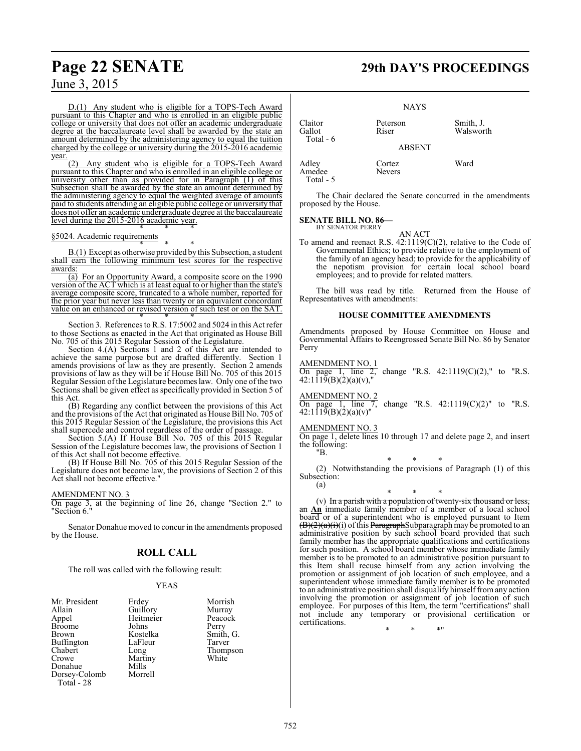D.(1) Any student who is eligible for a TOPS-Tech Award pursuant to this Chapter and who is enrolled in an eligible public college or university that does not offer an academic undergraduate degree at the baccalaureate level shall be awarded by the state an amount determined by the administering agency to equal the tuition charged by the college or university during the 2015-2016 academic year.

Any student who is eligible for a TOPS-Tech Award pursuant to this Chapter and who is enrolled in an eligible college or university other than as provided for in Paragraph (1) of this Subsection shall be awarded by the state an amount determined by the administering agency to equal the weighted average of amounts paid to students attending an eligible public college or university that does not offer an academic undergraduate degree at the baccalaureate level during the 2015-2016 academic year. \* \* \*

### §5024. Academic requirements

\* \* \* B.(1) Except as otherwise provided by this Subsection, a student shall earn the following minimum test scores for the respective awards:

(a) For an Opportunity Award, a composite score on the 1990 version of the ACT which is at least equal to or higher than the state's average composite score, truncated to a whole number, reported for the prior year but never less than twenty or an equivalent concordant value on an enhanced or revised version of such test or on the SAT. \* \* \*

Section 3. References to R.S. 17:5002 and 5024 in this Act refer to those Sections as enacted in the Act that originated as House Bill No. 705 of this 2015 Regular Session of the Legislature.

Section 4.(A) Sections 1 and 2 of this Act are intended to achieve the same purpose but are drafted differently. Section 1 amends provisions of law as they are presently. Section 2 amends provisions of law as they will be if House Bill No. 705 of this 2015 Regular Session ofthe Legislature becomes law. Only one of the two Sections shall be given effect as specifically provided in Section 5 of this Act.

(B) Regarding any conflict between the provisions of this Act and the provisions of the Act that originated as House Bill No. 705 of this 2015 Regular Session of the Legislature, the provisions this Act shall supercede and control regardless of the order of passage.

Section 5.(A) If House Bill No. 705 of this 2015 Regular Session of the Legislature becomes law, the provisions of Section 1 of this Act shall not become effective.

(B) If House Bill No. 705 of this 2015 Regular Session of the Legislature does not become law, the provisions of Section 2 of this Act shall not become effective."

### AMENDMENT NO. 3

On page 3, at the beginning of line 26, change "Section 2." to "Section 6."

Senator Donahue moved to concur in the amendments proposed by the House.

### **ROLL CALL**

The roll was called with the following result:

### YEAS

| Mr. President<br>Allain<br>Appel<br><b>Broome</b><br>Brown<br><b>Buffington</b><br>Chabert | Erdey<br>Guillory<br>Heitmeier<br>Johns<br>Kostelka<br>LaFleur<br>Long | Morrish<br>Murray<br>Peacock<br>Perry<br>Smith, G.<br>Tarver<br>Thompson |
|--------------------------------------------------------------------------------------------|------------------------------------------------------------------------|--------------------------------------------------------------------------|
|                                                                                            |                                                                        |                                                                          |
|                                                                                            |                                                                        |                                                                          |
|                                                                                            |                                                                        |                                                                          |
| Crowe                                                                                      | Martiny                                                                | White                                                                    |
| Donahue                                                                                    | Mills                                                                  |                                                                          |
| Dorsey-Colomb                                                                              | Morrell                                                                |                                                                          |
| Total - 28                                                                                 |                                                                        |                                                                          |

# **Page 22 SENATE 29th DAY'S PROCEEDINGS**

|                                | <b>NAYS</b>             |                        |
|--------------------------------|-------------------------|------------------------|
| Claitor<br>Gallot<br>Total - 6 | Peterson<br>Riser       | Smith, J.<br>Walsworth |
|                                | <b>ABSENT</b>           |                        |
| Adley<br>Amedee<br>Total - 5   | Cortez<br><b>Nevers</b> | Ward                   |

The Chair declared the Senate concurred in the amendments proposed by the House.

### **SENATE BILL NO. 86—** BY SENATOR PERRY

AN ACT

To amend and reenact R.S. 42:1119(C)(2), relative to the Code of Governmental Ethics; to provide relative to the employment of the family of an agency head; to provide for the applicability of the nepotism provision for certain local school board employees; and to provide for related matters.

The bill was read by title. Returned from the House of Representatives with amendments:

### **HOUSE COMMITTEE AMENDMENTS**

Amendments proposed by House Committee on House and Governmental Affairs to Reengrossed Senate Bill No. 86 by Senator Perry

AMENDMENT NO. 1

On page 1, line 2, change "R.S.  $42:1119(C)(2)$ ," to "R.S. 42:1119(B)(2)(a)(v),"

AMENDMENT NO. 2

On page 1, line 7, change "R.S.  $42:1119(C)(2)$ " to "R.S. 42:1119(B)(2)(a)(v)"

### AMENDMENT NO. 3

On page 1, delete lines 10 through 17 and delete page 2, and insert the following: "B.

\* \* \* (2) Notwithstanding the provisions of Paragraph (1) of this Subsection:

(a)

## \* \* \*

(v) In a parish with a population of twenty-six thousand or less, an **An** immediate family member of a member of a local school board or of a superintendent who is employed pursuant to Item  $(\frac{B}{2}(a)(i)(i))$  of this ParagraphSubparagraph may be promoted to an administrative position by such school board provided that such family member has the appropriate qualifications and certifications for such position. A school board member whose immediate family member is to be promoted to an administrative position pursuant to this Item shall recuse himself from any action involving the promotion or assignment of job location of such employee, and a superintendent whose immediate family member is to be promoted to an administrative position shall disqualify himself from any action involving the promotion or assignment of job location of such employee. For purposes of this Item, the term "certifications" shall not include any temporary or provisional certification or certifications.

\* \* \*"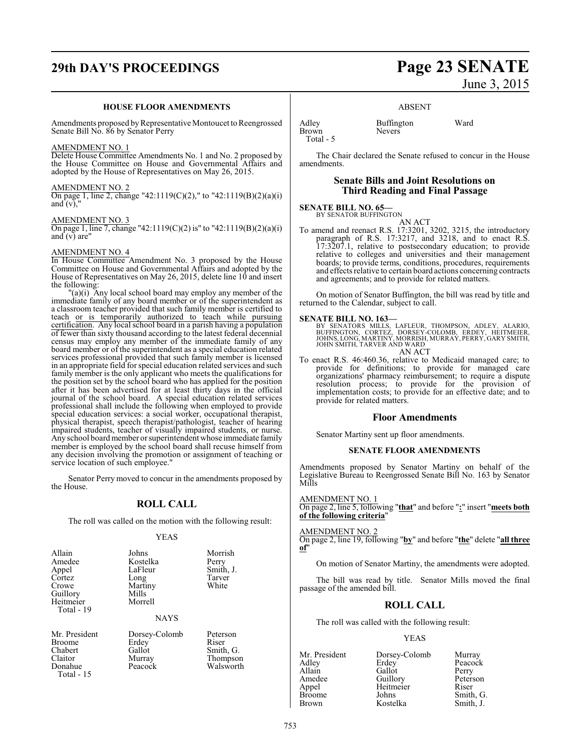# **29th DAY'S PROCEEDINGS Page 23 SENATE**

### **HOUSE FLOOR AMENDMENTS**

Amendments proposed by Representative Montoucet to Reengrossed Senate Bill No. 86 by Senator Perry

### AMENDMENT NO. 1

Delete House Committee Amendments No. 1 and No. 2 proposed by the House Committee on House and Governmental Affairs and adopted by the House of Representatives on May 26, 2015.

### AMENDMENT NO. 2

On page 1, line 2, change "42:1119(C)(2)," to "42:1119(B)(2)(a)(i) and  $(v)$ ,"

### AMENDMENT NO. 3

On page 1, line 7, change "42:1119(C)(2) is" to "42:1119(B)(2)(a)(i) and  $(v)$  are"

### AMENDMENT NO. 4

In House Committee Amendment No. 3 proposed by the House Committee on House and Governmental Affairs and adopted by the House of Representatives on May 26, 2015, delete line 10 and insert the following:

"(a)(i) Any local school board may employ any member of the immediate family of any board member or of the superintendent as a classroom teacher provided that such family member is certified to teach or is temporarily authorized to teach while pursuing certification. Any local school board in a parish having a population of fewer than sixty thousand according to the latest federal decennial census may employ any member of the immediate family of any board member or of the superintendent as a special education related services professional provided that such family member is licensed in an appropriate field for special education related services and such family member is the only applicant who meets the qualifications for the position set by the school board who has applied for the position after it has been advertised for at least thirty days in the official journal of the school board. A special education related services professional shall include the following when employed to provide special education services: a social worker, occupational therapist, physical therapist, speech therapist/pathologist, teacher of hearing impaired students, teacher of visually impaired students, or nurse. Any school board member or superintendent whose immediate family member is employed by the school board shall recuse himself from any decision involving the promotion or assignment of teaching or service location of such employee."

Senator Perry moved to concur in the amendments proposed by the House.

### **ROLL CALL**

The roll was called on the motion with the following result:

### YEAS

| Allain<br>Amedee<br>Appel<br>Cortez<br>Crowe<br>Guillory<br>Heitmeier | Johns<br>Kostelka<br>LaFleur<br>Long<br>Martiny<br>Mills<br>Morrell | Morrish<br>Perry<br>Smith, J.<br>Tarver<br>White |
|-----------------------------------------------------------------------|---------------------------------------------------------------------|--------------------------------------------------|
| Total - 19                                                            | <b>NAYS</b>                                                         |                                                  |

Broome Erdey<br>Chabert Gallot Chabert Gallot Smith, G.<br>
Claitor Murray Thompso Claitor Murray Thompson Total - 15

Mr. President Dorsey-Colomb Peterson<br>Broome Erdey Riser

Walsworth

# June 3, 2015

### ABSENT

Adley Buffington Ward<br>Brown Nevers Brown Total - 5

The Chair declared the Senate refused to concur in the House amendments.

### **Senate Bills and Joint Resolutions on Third Reading and Final Passage**

## **SENATE BILL NO. 65—**<br>BY SENATOR BUFFINGTON

AN ACT

To amend and reenact R.S. 17:3201, 3202, 3215, the introductory paragraph of R.S. 17:3217, and 3218, and to enact R.S. 17:3207.1, relative to postsecondary education; to provide relative to colleges and universities and their management boards; to provide terms, conditions, procedures, requirements and effects relative to certain board actions concerning contracts and agreements; and to provide for related matters.

On motion of Senator Buffington, the bill was read by title and returned to the Calendar, subject to call.

### **SENATE BILL NO. 163—**

BY SENATORS MILLS, LAFLEUR, THOMPSON, ADLEY, ALARIO,<br>BUFFINGTON, CORTEZ, DORSEY-COLOMB, ERDEY, HEITMEIER,<br>JOHNS,LONG,MARTINY,MORRISH,MURRAY,PERRY,GARYSMITH, JOHN SMITH, TARVER AND WARD AN ACT

To enact R.S. 46:460.36, relative to Medicaid managed care; to provide for definitions; to provide for managed care organizations' pharmacy reimbursement; to require a dispute resolution process; to provide for the provision of implementation costs; to provide for an effective date; and to provide for related matters.

### **Floor Amendments**

Senator Martiny sent up floor amendments.

### **SENATE FLOOR AMENDMENTS**

Amendments proposed by Senator Martiny on behalf of the Legislative Bureau to Reengrossed Senate Bill No. 163 by Senator Mills

### AMENDMENT NO. 1

On page 2, line 5, following "**that**" and before "**:**" insert "**meets both of the following criteria**"

### AMENDMENT NO. 2

On page 2, line 19, following "**by**" and before "**the**" delete "**all three of**"

On motion of Senator Martiny, the amendments were adopted.

The bill was read by title. Senator Mills moved the final passage of the amended bill.

### **ROLL CALL**

The roll was called with the following result:

### YEAS

| Mr. President | Dorsey-Colomb | Murray    |
|---------------|---------------|-----------|
| Adley         | Erdey         | Peacock   |
| Allain        | Gallot        | Perry     |
| Amedee        | Guillory      | Peterson  |
| Appel         | Heitmeier     | Riser     |
| <b>Broome</b> | Johns         | Smith, G. |
| <b>Brown</b>  | Kostelka      | Smith, J. |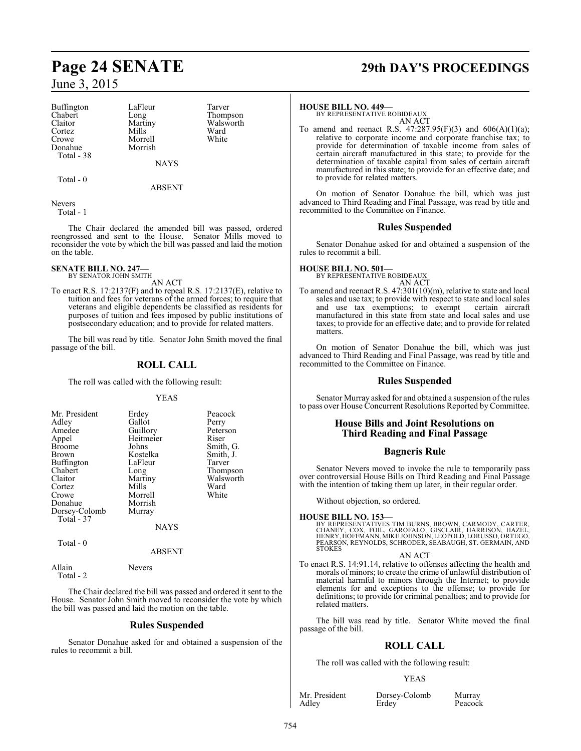Buffington LaFleur Tarver<br>
Chabert Long Thomp Chabert Long Thompson<br>Claitor Martiny Walsworth Claitor Martiny Walsworth<br>
Cortez Mills Ward Cortez Mills Ward Crowe Morrell White<br>
Donahue Morrish Donahue Total - 38

**NAYS** 

Total - 0

ABSENT

Nevers Total - 1

The Chair declared the amended bill was passed, ordered reengrossed and sent to the House. Senator Mills moved to reconsider the vote by which the bill was passed and laid the motion on the table.

# **SENATE BILL NO. 247—**<br>BY SENATOR JOHN SMITH

AN ACT

To enact R.S. 17:2137(F) and to repeal R.S. 17:2137(E), relative to tuition and fees for veterans of the armed forces; to require that veterans and eligible dependents be classified as residents for purposes of tuition and fees imposed by public institutions of postsecondary education; and to provide for related matters.

The bill was read by title. Senator John Smith moved the final passage of the bill.

### **ROLL CALL**

The roll was called with the following result:

### YEAS

| Mr. President<br>Adley<br>Amedee<br>Appel<br><b>Broome</b><br>Brown<br>Buffington<br>Chabert<br>Claitor<br>Cortez<br>Crowe | Erdey<br>Gallot<br>Guillory<br>Heitmeier<br>Johns<br>Kostelka<br>LaFleur<br>Long<br>Martiny<br>Mills<br>Morrell | Peacock<br>Perry<br>Peterson<br>Riser<br>Smith, G.<br>Smith, J.<br>Tarver<br>Thompson<br>Walsworth<br>Ward<br>White |
|----------------------------------------------------------------------------------------------------------------------------|-----------------------------------------------------------------------------------------------------------------|---------------------------------------------------------------------------------------------------------------------|
|                                                                                                                            |                                                                                                                 |                                                                                                                     |
| Donahue                                                                                                                    | Morrish                                                                                                         |                                                                                                                     |
| Dorsey-Colomb<br>Total - 37                                                                                                | Murray                                                                                                          |                                                                                                                     |
|                                                                                                                            | NAYS                                                                                                            |                                                                                                                     |

Total - 0

### ABSENT

Allain Nevers Total - 2

The Chair declared the bill was passed and ordered it sent to the House. Senator John Smith moved to reconsider the vote by which the bill was passed and laid the motion on the table.

### **Rules Suspended**

Senator Donahue asked for and obtained a suspension of the rules to recommit a bill.

# **Page 24 SENATE 29th DAY'S PROCEEDINGS**

### **HOUSE BILL NO. 449—**

BY REPRESENTATIVE ROBIDEAUX AN ACT

To amend and reenact R.S. 47:287.95(F)(3) and 606(A)(1)(a); relative to corporate income and corporate franchise tax; to provide for determination of taxable income from sales of certain aircraft manufactured in this state; to provide for the determination of taxable capital from sales of certain aircraft manufactured in this state; to provide for an effective date; and to provide for related matters.

On motion of Senator Donahue the bill, which was just advanced to Third Reading and Final Passage, was read by title and recommitted to the Committee on Finance.

### **Rules Suspended**

Senator Donahue asked for and obtained a suspension of the rules to recommit a bill.

### **HOUSE BILL NO. 501—**

BY REPRESENTATIVE ROBIDEAUX AN ACT

To amend and reenact R.S. 47:301(10)(m), relative to state and local sales and use tax; to provide with respect to state and local sales and use tax exemptions; to exempt certain aircraft and use tax exemptions; to exempt manufactured in this state from state and local sales and use taxes; to provide for an effective date; and to provide for related matters.

On motion of Senator Donahue the bill, which was just advanced to Third Reading and Final Passage, was read by title and recommitted to the Committee on Finance.

### **Rules Suspended**

Senator Murray asked for and obtained a suspension of the rules to pass over House Concurrent Resolutions Reported by Committee.

### **House Bills and Joint Resolutions on Third Reading and Final Passage**

### **Bagneris Rule**

Senator Nevers moved to invoke the rule to temporarily pass over controversial House Bills on Third Reading and Final Passage with the intention of taking them up later, in their regular order.

Without objection, so ordered.

### **HOUSE BILL NO. 153—**

BY REPRESENTATIVES TIM BURNS, BROWN, CARMODY, CARTER,<br>CHANEY, COX, FOIL, GAROFALO, GISCLAIR, HARRISON, HAZEL,<br>HENRY, HOFFMANN, MIKE JOHNSON, LEOPOLD, LORUSSO, ORTEGO, PEARSON, REYNOLDS, SCHRODER, SEABAUGH, ST. GERMAIN, AND STOKES

AN ACT

To enact R.S. 14:91.14, relative to offenses affecting the health and morals of minors; to create the crime of unlawful distribution of material harmful to minors through the Internet; to provide elements for and exceptions to the offense; to provide for definitions; to provide for criminal penalties; and to provide for related matters.

The bill was read by title. Senator White moved the final passage of the bill.

### **ROLL CALL**

The roll was called with the following result:

### YEAS

Mr. President Dorsey-Colomb Murray<br>Adley Erdey Peacocl

Peacock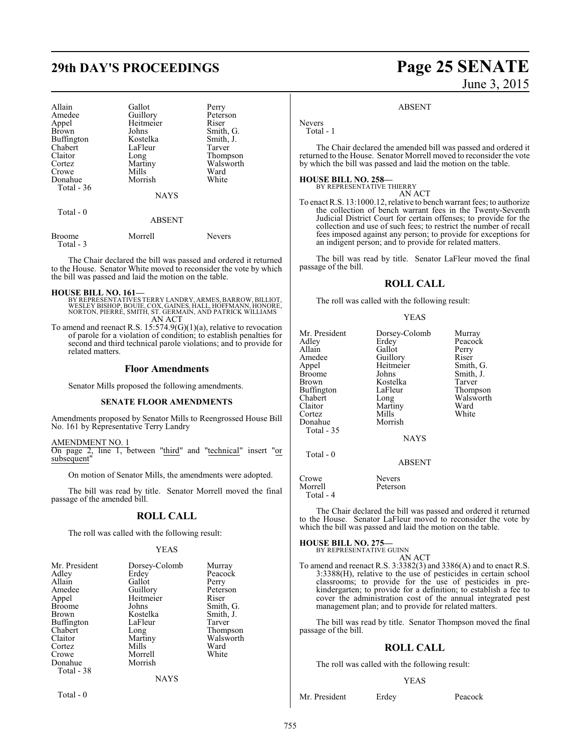# **29th DAY'S PROCEEDINGS Page 25 SENATE**

| Allain<br>Amedee<br>Appel<br><b>Brown</b><br><b>Buffington</b><br>Chabert<br>Claitor<br>Cortez<br>Crowe<br>Donahue<br>Total - 36 | Gallot<br>Guillory<br>Heitmeier<br>Johns<br>Kostelka<br>LaFleur<br>Long<br>Martiny<br>Mills<br>Morrish | Perry<br>Peterson<br>Riser<br>Smith, G.<br>Smith, J.<br>Tarver<br>Thompson<br>Walsworth<br>Ward<br>White |
|----------------------------------------------------------------------------------------------------------------------------------|--------------------------------------------------------------------------------------------------------|----------------------------------------------------------------------------------------------------------|
|                                                                                                                                  | <b>NAYS</b>                                                                                            |                                                                                                          |
| Total $-0$                                                                                                                       | <b>ABSENT</b>                                                                                          |                                                                                                          |
| Broome                                                                                                                           | Morrell                                                                                                | Nevers                                                                                                   |

Total - 3

The Chair declared the bill was passed and ordered it returned to the House. Senator White moved to reconsider the vote by which the bill was passed and laid the motion on the table.

**HOUSE BILL NO. 161—** BY REPRESENTATIVES TERRY LANDRY, ARMES, BARROW, BILLIOT, WESLEY BISHOP, BOUIE, COX, GAINES, HALL, HOFFMANN, HONORE, NORTON, PIERRE, SMITH, ST. GERMAIN, AND PATRICK WILLIAMS AN ACT

To amend and reenact R.S. 15:574.9(G)(1)(a), relative to revocation of parole for a violation of condition; to establish penalties for second and third technical parole violations; and to provide for related matters.

### **Floor Amendments**

Senator Mills proposed the following amendments.

### **SENATE FLOOR AMENDMENTS**

Amendments proposed by Senator Mills to Reengrossed House Bill No. 161 by Representative Terry Landry

AMENDMENT NO. 1 On page 2, line 1, between "third" and "technical" insert "or subsequent"

On motion of Senator Mills, the amendments were adopted.

The bill was read by title. Senator Morrell moved the final passage of the amended bill.

### **ROLL CALL**

The roll was called with the following result:

### YEAS

| Mr. President<br>Adley<br>Allain<br>Amedee<br>Appel<br><b>Broome</b><br><b>Brown</b><br>Buffington<br>Chabert | Dorsey-Colomb<br>Erdey<br>Gallot<br>Guillory<br>Heitmeier<br>Johns<br>Kostelka<br>LaFleur<br>Long | Murray<br>Peacock<br>Perry<br>Peterson<br>Riser<br>Smith, G.<br>Smith, J.<br>Tarver<br>Thompson |
|---------------------------------------------------------------------------------------------------------------|---------------------------------------------------------------------------------------------------|-------------------------------------------------------------------------------------------------|
|                                                                                                               |                                                                                                   |                                                                                                 |
| Claitor                                                                                                       | Martiny                                                                                           | Walsworth                                                                                       |
| Cortez                                                                                                        | Mills                                                                                             | Ward                                                                                            |
| Crowe                                                                                                         | Morrell                                                                                           | White                                                                                           |
| Donahue<br>Total - 38                                                                                         | Morrish                                                                                           |                                                                                                 |
|                                                                                                               | NAYS                                                                                              |                                                                                                 |

Total - 0

# June 3, 2015

### ABSENT

Nevers Total - 1

The Chair declared the amended bill was passed and ordered it returned to the House. Senator Morrell moved to reconsider the vote by which the bill was passed and laid the motion on the table.

### **HOUSE BILL NO. 258—**

BY REPRESENTATIVE THIERRY AN ACT

To enact R.S. 13:1000.12, relative to bench warrant fees; to authorize the collection of bench warrant fees in the Twenty-Seventh Judicial District Court for certain offenses; to provide for the collection and use of such fees; to restrict the number of recall fees imposed against any person; to provide for exceptions for an indigent person; and to provide for related matters.

The bill was read by title. Senator LaFleur moved the final passage of the bill.

### **ROLL CALL**

The roll was called with the following result:

### YEAS

| Mr. President<br>Adley | Dorsey-Colomb<br>Erdey | Murray<br>Peacock |
|------------------------|------------------------|-------------------|
| Allain                 | Gallot                 | Perry<br>Riser    |
| Amedee                 | Guillory               |                   |
| Appel                  | Heitmeier              | Smith, G.         |
| <b>Broome</b>          | Johns                  | Smith, J.         |
| Brown                  | Kostelka               | Tarver            |
| Buffington             | LaFleur                | Thompson          |
| Chabert                | Long                   | Walsworth         |
| Claitor                | Martiny                | Ward              |
| Cortez                 | Mills                  | White             |
| Donahue                | Morrish                |                   |
| Total - 35             |                        |                   |
|                        | <b>NAYS</b>            |                   |
| Total - 0              |                        |                   |
|                        | <b>ABSENT</b>          |                   |
| Crowe                  | Nevers                 |                   |
| Morrell                | Peterson               |                   |

The Chair declared the bill was passed and ordered it returned to the House. Senator LaFleur moved to reconsider the vote by which the bill was passed and laid the motion on the table.

### **HOUSE BILL NO. 275—**

Total - 4

BY REPRESENTATIVE GUINN

AN ACT To amend and reenact R.S. 3:3382(3) and 3386(A) and to enact R.S. 3:3388(H), relative to the use of pesticides in certain school classrooms; to provide for the use of pesticides in prekindergarten; to provide for a definition; to establish a fee to cover the administration cost of the annual integrated pest management plan; and to provide for related matters.

The bill was read by title. Senator Thompson moved the final passage of the bill.

### **ROLL CALL**

The roll was called with the following result:

### YEAS

Mr. President Erdey Peacock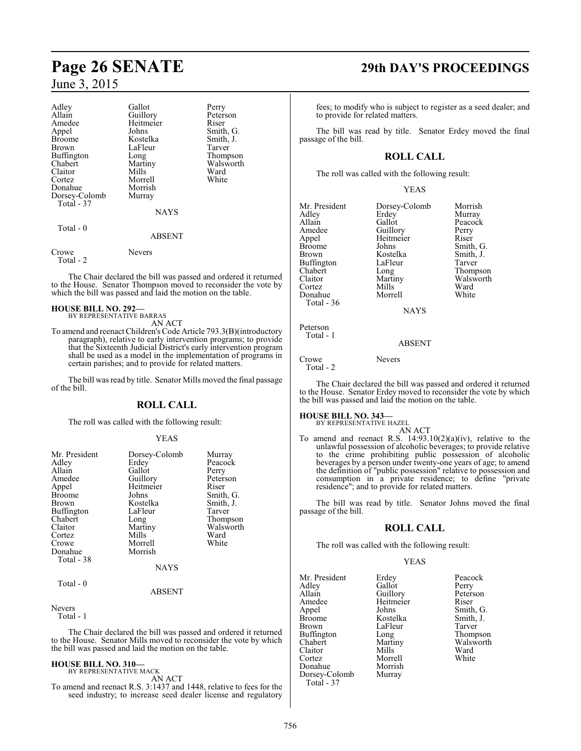| Adley<br>Allain<br>Amedee<br>Appel<br><b>Broome</b><br>Brown<br>Buffington<br>Chabert<br>Claitor<br>Cortez<br>Donahue<br>Dorsey-Colomb<br>Total - 37 | Gallot<br>Guillory<br>Heitmeier<br>Johns<br>Kostelka<br>LaFleur<br>Long<br>Martiny<br>Mills<br>Morrell<br>Morrish<br>Murray | Perry<br>Peterson<br>Riser<br>Smith, G.<br>Smith, J.<br>Tarver<br>Thompson<br>Walsworth<br>Ward<br>White |
|------------------------------------------------------------------------------------------------------------------------------------------------------|-----------------------------------------------------------------------------------------------------------------------------|----------------------------------------------------------------------------------------------------------|
|                                                                                                                                                      | <b>NAYS</b>                                                                                                                 |                                                                                                          |
| Total - 0                                                                                                                                            | <b>ABSENT</b>                                                                                                               |                                                                                                          |
| Crowe<br>Total - 2                                                                                                                                   | Nevers                                                                                                                      |                                                                                                          |

The Chair declared the bill was passed and ordered it returned to the House. Senator Thompson moved to reconsider the vote by which the bill was passed and laid the motion on the table.

**HOUSE BILL NO. 292—** BY REPRESENTATIVE BARRAS AN ACT

To amend and reenact Children's Code Article 793.3(B)(introductory paragraph), relative to early intervention programs; to provide that the Sixteenth Judicial District's early intervention program shall be used as a model in the implementation of programs in certain parishes; and to provide for related matters.

The bill was read by title. Senator Mills moved the final passage of the bill.

### **ROLL CALL**

The roll was called with the following result:

### YEAS

| Mr. President     | Dorsey-Colomb | Murray    |
|-------------------|---------------|-----------|
|                   |               | Peacock   |
| Adley             | Erdey         |           |
| Allain            | Gallot        | Perry     |
| Amedee            | Guillory      | Peterson  |
| Appel             | Heitmeier     | Riser     |
| <b>Broome</b>     | Johns         | Smith, G. |
| Brown             | Kostelka      | Smith, J. |
| <b>Buffington</b> | LaFleur       | Tarver    |
| Chabert           | Long          | Thompson  |
| Claitor           | Martiny       | Walsworth |
| Cortez            | Mills         | Ward      |
| Crowe             | Morrell       | White     |
| Donahue           | Morrish       |           |
| Total - 38        |               |           |
|                   | <b>NAYS</b>   |           |
| Total - 0         |               |           |
|                   | ABSENT        |           |

### Nevers

Total - 1

The Chair declared the bill was passed and ordered it returned to the House. Senator Mills moved to reconsider the vote by which the bill was passed and laid the motion on the table.

### **HOUSE BILL NO. 310—**

BY REPRESENTATIVE MACK AN ACT

To amend and reenact R.S. 3:1437 and 1448, relative to fees for the seed industry; to increase seed dealer license and regulatory

# **Page 26 SENATE 29th DAY'S PROCEEDINGS**

fees; to modify who is subject to register as a seed dealer; and to provide for related matters.

The bill was read by title. Senator Erdey moved the final passage of the bill.

### **ROLL CALL**

The roll was called with the following result:

YEAS

| Mr. President     | Dorsey-Colomb | Morrish       |
|-------------------|---------------|---------------|
| Adley             | Erdey         | Murray        |
| Allain            | Gallot        | Peacock       |
| Amedee            | Guillory      | Perry         |
| Appel             | Heitmeier     | Riser         |
| <b>Broome</b>     | Johns         | Smith, C      |
| Brown             | Kostelka      | Smith, J.     |
| <b>Buffington</b> | LaFleur       | Tarver        |
| Chabert           | Long          | <b>Thomps</b> |
| Claitor           | Martiny       | Walswor       |
| Cortez            | Mills         | Ward          |
| Donahue           | Morrell       | White         |
| Total - 36        |               |               |
|                   | <b>NAYS</b>   |               |
|                   |               |               |

Guillory Perry<br>
Heitmeier Riser Smith, G.<br>Smith, J. Long Thompson<br>Martiny Walsworth Martiny Walsworth<br>
Mills Ward

ABSENT

Crowe Nevers Total - 2

Peterson Total - 1

The Chair declared the bill was passed and ordered it returned to the House. Senator Erdey moved to reconsider the vote by which the bill was passed and laid the motion on the table.

# **HOUSE BILL NO. 343—** BY REPRESENTATIVE HAZEL

AN ACT

To amend and reenact R.S.  $14:93.10(2)(a)(iv)$ , relative to the unlawful possession of alcoholic beverages; to provide relative to the crime prohibiting public possession of alcoholic beverages by a person under twenty-one years of age; to amend the definition of "public possession" relative to possession and consumption in a private residence; to define "private residence"; and to provide for related matters.

The bill was read by title. Senator Johns moved the final passage of the bill.

### **ROLL CALL**

The roll was called with the following result:

### YEAS

Mr. President Erdey Peacock<br>Adley Gallot Perry Adley Gallot<br>Allain Guillorv Amedee Heitmeier Riser<br>
Appel Johns Smith Appel Johns Smith, G.<br>Broome Kostelka Smith, J. Broome Kostelka Smith,<br>Brown LaFleur Tarver Brown LaFleur<br>Buffington Long Buffington Long Thompson<br>Chabert Martiny Walsworth Claitor Mills Ward<br>Cortez Morrell White Cortez Morrell<br>
Donahue Morrish Donahue Morrish Dorsey-Colomb Murray Total - 37

Peterson Martiny Walsworth<br>Mills Ward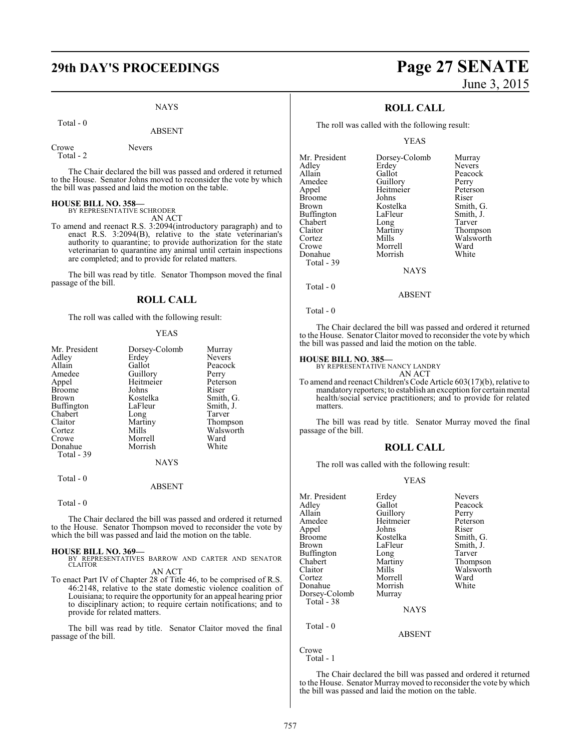# **29th DAY'S PROCEEDINGS Page 27 SENATE**

### NAYS

Total - 0

Crowe Nevers

Total - 2

The Chair declared the bill was passed and ordered it returned to the House. Senator Johns moved to reconsider the vote by which the bill was passed and laid the motion on the table.

# **HOUSE BILL NO. 358—** BY REPRESENTATIVE SCHRODER

AN ACT

To amend and reenact R.S. 3:2094(introductory paragraph) and to enact R.S. 3:2094(B), relative to the state veterinarian's authority to quarantine; to provide authorization for the state veterinarian to quarantine any animal until certain inspections are completed; and to provide for related matters.

The bill was read by title. Senator Thompson moved the final passage of the bill.

### **ROLL CALL**

The roll was called with the following result:

### YEAS

|             | Murray        |
|-------------|---------------|
| Erdey       | <b>Nevers</b> |
| Gallot      | Peacock       |
| Guillory    | Perry         |
| Heitmeier   | Peterson      |
| Johns       | Riser         |
| Kostelka    | Smith, G.     |
| LaFleur     | Smith, J.     |
| Long        | Tarver        |
| Martiny     | Thompson      |
| Mills       | Walsworth     |
| Morrell     | Ward          |
| Morrish     | White         |
|             |               |
| <b>NAYS</b> |               |
|             | Dorsey-Colomb |

Total - 0

ABSENT

### Total - 0

The Chair declared the bill was passed and ordered it returned to the House. Senator Thompson moved to reconsider the vote by which the bill was passed and laid the motion on the table.

### **HOUSE BILL NO. 369—**

BY REPRESENTATIVES BARROW AND CARTER AND SENATOR CLAITOR AN ACT

To enact Part IV of Chapter 28 of Title 46, to be comprised of R.S. 46:2148, relative to the state domestic violence coalition of Louisiana; to require the opportunity for an appeal hearing prior to disciplinary action; to require certain notifications; and to provide for related matters.

The bill was read by title. Senator Claitor moved the final passage of the bill.

# June 3, 2015

### **ROLL CALL**

The roll was called with the following result:

YEAS

| Mr. President | Dorsey-Colomb | Murray        |
|---------------|---------------|---------------|
| Adley         | Erdey         | <b>Nevers</b> |
| Allain        | Gallot        | Peacock       |
| Amedee        | Guillory      | Perry         |
| Appel         | Heitmeier     | Peterson      |
| Broome        | Johns         | Riser         |
| Brown         | Kostelka      | Smith, G.     |
| Buffington    | LaFleur       | Smith, J.     |
| Chabert       | Long          | Tarver        |
| Claitor       | Martiny       | Thompson      |
| Cortez        | Mills         | Walsworth     |
| Crowe         | Morrell       | Ward          |
| Donahue       | Morrish       | White         |
| Total - 39    |               |               |
|               | <b>NAYS</b>   |               |
|               |               |               |

Total - 0

Total - 0

The Chair declared the bill was passed and ordered it returned to the House. Senator Claitor moved to reconsider the vote by which the bill was passed and laid the motion on the table.

ABSENT

### **HOUSE BILL NO. 385—**

BY REPRESENTATIVE NANCY LANDRY AN ACT

To amend and reenact Children's Code Article 603(17)(b), relative to mandatory reporters; to establish an exception for certainmental health/social service practitioners; and to provide for related matters.

The bill was read by title. Senator Murray moved the final passage of the bill.

### **ROLL CALL**

The roll was called with the following result:

### YEAS

| Erdey       | <b>Nevers</b> |
|-------------|---------------|
| Gallot      | Peacock       |
|             | Perry         |
| Heitmeier   | Peterson      |
| Johns       | Riser         |
| Kostelka    | Smith, G.     |
| LaFleur     | Smith, J.     |
| Long        | Tarver        |
| Martiny     | Thompson      |
| Mills       | Walsworth     |
| Morrell     | Ward          |
| Morrish     | White         |
| Murray      |               |
|             |               |
| <b>NAYS</b> |               |
|             |               |
|             |               |
| ABSENT      |               |
|             | Guillory      |

Crowe

Total - 1

The Chair declared the bill was passed and ordered it returned to the House. Senator Murraymoved to reconsider the vote by which the bill was passed and laid the motion on the table.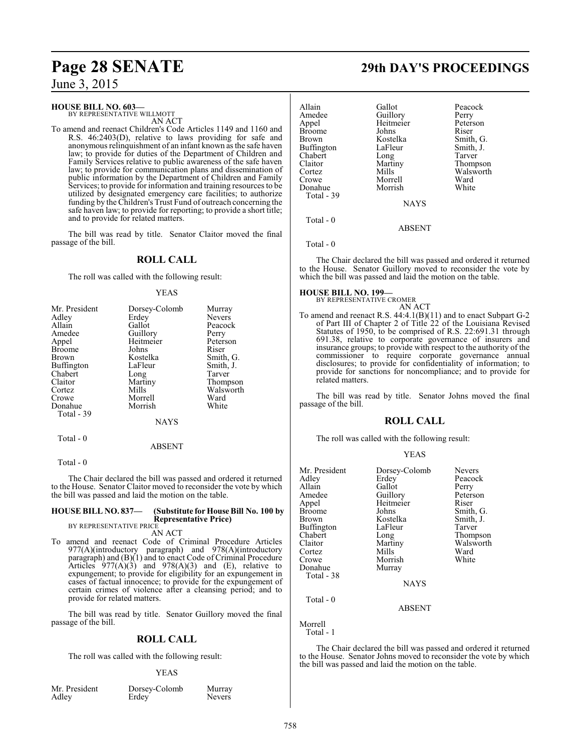### **HOUSE BILL NO. 603—**

BY REPRESENTATIVE WILLMOTT AN ACT

To amend and reenact Children's Code Articles 1149 and 1160 and R.S. 46:2403(D), relative to laws providing for safe and anonymous relinquishment of an infant known as the safe haven law; to provide for duties of the Department of Children and Family Services relative to public awareness of the safe haven law; to provide for communication plans and dissemination of public information by the Department of Children and Family Services; to provide for information and training resources to be utilized by designated emergency care facilities; to authorize funding by the Children's Trust Fund of outreach concerning the safe haven law; to provide for reporting; to provide a short title; and to provide for related matters.

The bill was read by title. Senator Claitor moved the final passage of the bill.

### **ROLL CALL**

The roll was called with the following result:

### YEAS

| Mr. President     | Dorsey-Colomb | Murray        |
|-------------------|---------------|---------------|
| Adley             | Erdey         | <b>Nevers</b> |
| Allain            | Gallot        | Peacock       |
| Amedee            | Guillory      | Perry         |
| Appel             | Heitmeier     | Peterson      |
| <b>Broome</b>     | Johns         | Riser         |
| Brown             | Kostelka      | Smith, G.     |
| <b>Buffington</b> | LaFleur       | Smith, J.     |
| Chabert           | Long          | Tarver        |
| Claitor           | Martiny       | Thompson      |
| Cortez            | Mills         | Walsworth     |
| Crowe             | Morrell       | Ward          |
| Donahue           | Morrish       | White         |
| Total - 39        |               |               |
|                   | <b>NAYS</b>   |               |

Total - 0

Total - 0

The Chair declared the bill was passed and ordered it returned to the House. Senator Claitor moved to reconsider the vote by which the bill was passed and laid the motion on the table.

ABSENT

### **HOUSE BILL NO. 837— (Substitute for House Bill No. 100 by Representative Price)** BY REPRESENTATIVE PRICE

AN ACT

To amend and reenact Code of Criminal Procedure Articles 977(A)(introductory paragraph) and 978(A)(introductory paragraph) and (B)(1) and to enact Code of Criminal Procedure Articles  $977(A)(3)$  and  $978(A)(3)$  and (E), relative to expungement; to provide for eligibility for an expungement in cases of factual innocence; to provide for the expungement of certain crimes of violence after a cleansing period; and to provide for related matters.

The bill was read by title. Senator Guillory moved the final passage of the bill.

### **ROLL CALL**

The roll was called with the following result:

### YEAS

| Mr. Presiden |  |
|--------------|--|
| Adley        |  |

external contract Murray<br>
Murray<br>
Meyers
Reference Colomb<br>
Nevers Erdey<sup>'</sup>

# **Page 28 SENATE 29th DAY'S PROCEEDINGS**

| Allain            | Gallot                | Peacock   |
|-------------------|-----------------------|-----------|
| Amedee            |                       | Perry     |
| Appel             | Guillory<br>Heitmeier | Peterson  |
| <b>Broome</b>     | Johns                 | Riser     |
| Brown             | Kostelka              | Smith, G. |
| <b>Buffington</b> | LaFleur               | Smith, J. |
| Chabert           | Long                  | Tarver    |
| Claitor           | Martiny               | Thompson  |
| Cortez            | Mills                 | Walsworth |
| Crowe             | Morrell               | Ward      |
| Donahue           | Morrish               | White     |
| Total - 39        |                       |           |
|                   | <b>NAYS</b>           |           |
|                   |                       |           |

Total - 0

Total - 0

The Chair declared the bill was passed and ordered it returned to the House. Senator Guillory moved to reconsider the vote by which the bill was passed and laid the motion on the table.

ABSENT

### **HOUSE BILL NO. 199—**

BY REPRESENTATIVE CROMER AN ACT

To amend and reenact R.S. 44:4.1(B)(11) and to enact Subpart G-2 of Part III of Chapter 2 of Title 22 of the Louisiana Revised Statutes of 1950, to be comprised of R.S. 22:691.31 through 691.38, relative to corporate governance of insurers and insurance groups; to provide with respect to the authority of the commissioner to require corporate governance annual disclosures; to provide for confidentiality of information; to provide for sanctions for noncompliance; and to provide for related matters.

The bill was read by title. Senator Johns moved the final passage of the bill.

### **ROLL CALL**

The roll was called with the following result:

|--|--|--|--|

| Mr. President<br>Adley<br>Allain<br>Amedee<br>Appel<br>Broome<br>Brown<br>Buffington<br>Chabert<br>Claitor<br>Cortez<br>Crowe<br>Donahue<br>Total - 38 | Dorsey-Colomb<br>Erdey<br>Gallot<br>Guillory<br>Heitmeier<br>Johns<br>Kostelka<br>LaFleur<br>Long<br>Martiny<br>Mills<br>Morrish<br>Murray<br><b>NAYS</b> | <b>Nevers</b><br>Peacock<br>Perry<br>Peterson<br>Riser<br>Smith, G.<br>Smith, J.<br>Tarver<br>Thompson<br>Walsworth<br>Ward<br>White |
|--------------------------------------------------------------------------------------------------------------------------------------------------------|-----------------------------------------------------------------------------------------------------------------------------------------------------------|--------------------------------------------------------------------------------------------------------------------------------------|
| Total - 0                                                                                                                                              |                                                                                                                                                           |                                                                                                                                      |

Morrell

Total - 1

The Chair declared the bill was passed and ordered it returned to the House. Senator Johns moved to reconsider the vote by which the bill was passed and laid the motion on the table.

ABSENT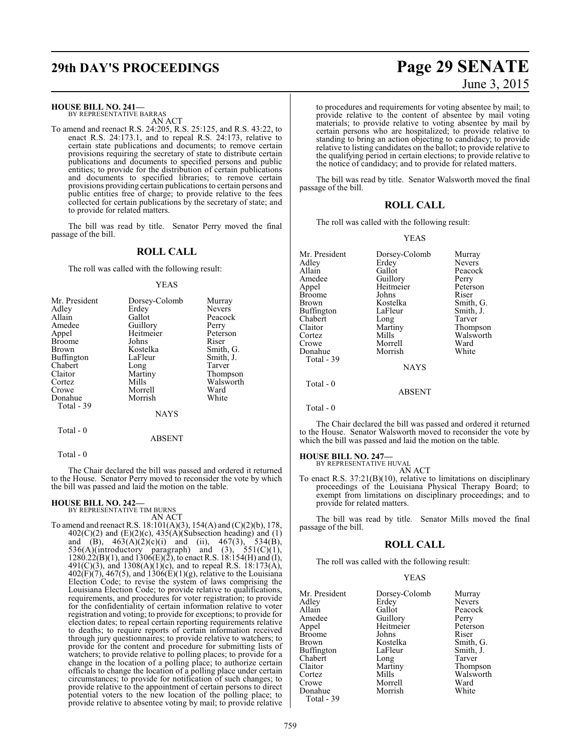### **HOUSE BILL NO. 241—**

BY REPRESENTATIVE BARRAS AN ACT

To amend and reenact R.S. 24:205, R.S. 25:125, and R.S. 43:22, to enact R.S. 24:173.1, and to repeal R.S. 24:173, relative to certain state publications and documents; to remove certain provisions requiring the secretary of state to distribute certain publications and documents to specified persons and public entities; to provide for the distribution of certain publications and documents to specified libraries; to remove certain provisions providing certain publications to certain persons and public entities free of charge; to provide relative to the fees collected for certain publications by the secretary of state; and to provide for related matters.

The bill was read by title. Senator Perry moved the final passage of the bill.

### **ROLL CALL**

The roll was called with the following result:

### YEAS

| Mr. President     | Dorsey-Colomb | Murray        |
|-------------------|---------------|---------------|
| Adley             | Erdey         | <b>Nevers</b> |
| Allain            | Gallot        | Peacock       |
| Amedee            | Guillory      | Perry         |
| Appel             | Heitmeier     | Peterson      |
| <b>Broome</b>     | Johns         | Riser         |
| Brown             | Kostelka      | Smith, G.     |
| <b>Buffington</b> | LaFleur       | Smith, J.     |
| Chabert           | Long          | Tarver        |
| Claitor           | Martiny       | Thompson      |
| Cortez            | Mills         | Walsworth     |
| Crowe             | Morrell       | Ward          |
| Donahue           | Morrish       | White         |
| Total - 39        |               |               |
|                   | <b>NAYS</b>   |               |

Total - 0

ABSENT

Total - 0

The Chair declared the bill was passed and ordered it returned to the House. Senator Perry moved to reconsider the vote by which the bill was passed and laid the motion on the table.

**HOUSE BILL NO. 242—** BY REPRESENTATIVE TIM BURNS AN ACT

To amend and reenact R.S. 18:101(A)(3), 154(A) and (C)(2)(b), 178,  $402(C)(2)$  and  $(E)(2)(c)$ ,  $435(A)(Subsection heading)$  and  $(1)$ and (B),  $463(A)(2)(c)(i)$  and (ii),  $467(3)$ ,  $534(B)$ , 536(A)(introductory paragraph) and (3),  $551(C)(1)$ ,  $1280.22(B)(1)$ , and  $1306(E)(2)$ , to enact R.S.  $18:154(H)$  and (I), 491(C)(3), and 1308(A)(1)(c), and to repeal R.S. 18:173(A),  $402(F)(7)$ , 467(5), and 1306(E)(1)(g), relative to the Louisiana Election Code; to revise the system of laws comprising the Louisiana Election Code; to provide relative to qualifications, requirements, and procedures for voter registration; to provide for the confidentiality of certain information relative to voter registration and voting; to provide for exceptions; to provide for election dates; to repeal certain reporting requirements relative to deaths; to require reports of certain information received through jury questionnaires; to provide relative to watchers; to provide for the content and procedure for submitting lists of watchers; to provide relative to polling places; to provide for a change in the location of a polling place; to authorize certain officials to change the location of a polling place under certain circumstances; to provide for notification of such changes; to provide relative to the appointment of certain persons to direct potential voters to the new location of the polling place; to provide relative to absentee voting by mail; to provide relative

# **29th DAY'S PROCEEDINGS Page 29 SENATE** June 3, 2015

to procedures and requirements for voting absentee by mail; to provide relative to the content of absentee by mail voting materials; to provide relative to voting absentee by mail by certain persons who are hospitalized; to provide relative to standing to bring an action objecting to candidacy; to provide relative to listing candidates on the ballot; to provide relative to the qualifying period in certain elections; to provide relative to the notice of candidacy; and to provide for related matters.

The bill was read by title. Senator Walsworth moved the final passage of the bill.

### **ROLL CALL**

The roll was called with the following result:

### YEAS

| Dorsey-Colomb | Murray        |
|---------------|---------------|
| Erdey         | <b>Nevers</b> |
| Gallot        | Peacock       |
|               | Perry         |
| Heitmeier     | Peterson      |
| Johns         | Riser         |
| Kostelka      | Smith, G.     |
| LaFleur       | Smith, J.     |
| Long          | Tarver        |
| Martiny       | Thompson      |
| Mills         | Walsworth     |
| Morrell       | Ward          |
| Morrish       | White         |
|               |               |
| <b>NAYS</b>   |               |
|               |               |
| <b>ABSENT</b> |               |
|               | Guillory      |

Total - 0

The Chair declared the bill was passed and ordered it returned to the House. Senator Walsworth moved to reconsider the vote by which the bill was passed and laid the motion on the table.

# **HOUSE BILL NO. 247—** BY REPRESENTATIVE HUVAL

AN ACT

To enact R.S. 37:21(B)(10), relative to limitations on disciplinary proceedings of the Louisiana Physical Therapy Board; to exempt from limitations on disciplinary proceedings; and to provide for related matters.

The bill was read by title. Senator Mills moved the final passage of the bill.

### **ROLL CALL**

The roll was called with the following result:

YEAS

| Mr. President | Dorsey-Colomb | Murray        |
|---------------|---------------|---------------|
| Adley         | Erdey         | <b>Nevers</b> |
| Allain        | Gallot        | Peacock       |
| Amedee        | Guillory      | Perry         |
| Appel         | Heitmeier     | Peterson      |
| Broome        | Johns         | Riser         |
| Brown         | Kostelka      | Smith, G.     |
| Buffington    | LaFleur       | Smith, J.     |
| Chabert       | Long          | Tarver        |
| Claitor       | Martiny       | Thompson      |
| Cortez        | Mills         | Walsworth     |
| Crowe         | Morrell       | Ward          |
| Donahue       | Morrish       | White         |
| Total - 39    |               |               |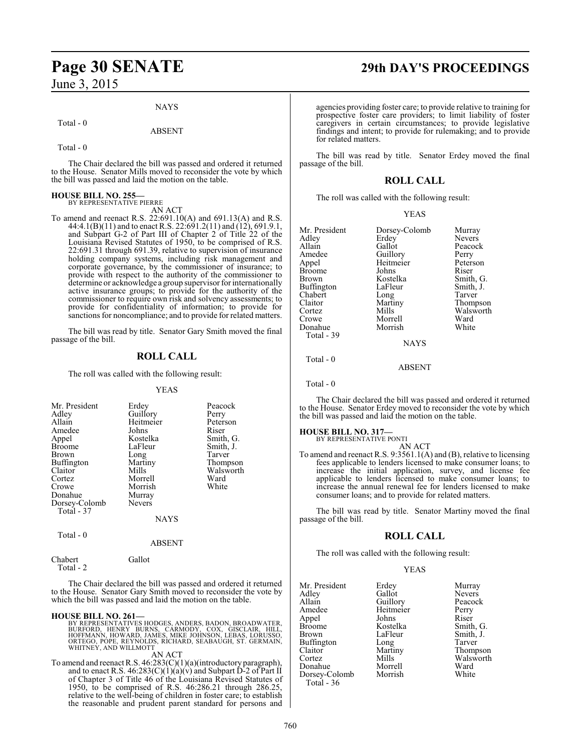### NAYS

ABSENT

### Total - 0

Total - 0

The Chair declared the bill was passed and ordered it returned to the House. Senator Mills moved to reconsider the vote by which the bill was passed and laid the motion on the table.

### **HOUSE BILL NO. 255—** BY REPRESENTATIVE PIERRE

AN ACT

To amend and reenact R.S. 22:691.10(A) and 691.13(A) and R.S. 44:4.1(B)(11) and to enact R.S. 22:691.2(11) and (12), 691.9.1, and Subpart G-2 of Part III of Chapter 2 of Title 22 of the Louisiana Revised Statutes of 1950, to be comprised of R.S. 22:691.31 through 691.39, relative to supervision of insurance holding company systems, including risk management and corporate governance, by the commissioner of insurance; to provide with respect to the authority of the commissioner to determine or acknowledge a group supervisor for internationally active insurance groups; to provide for the authority of the commissioner to require own risk and solvency assessments; to provide for confidentiality of information; to provide for sanctions for noncompliance; and to provide for related matters.

The bill was read by title. Senator Gary Smith moved the final passage of the bill.

### **ROLL CALL**

The roll was called with the following result:

### YEAS

| Mr. President             | Erdey         | Peacock   |
|---------------------------|---------------|-----------|
| Adley                     | Guillory      | Perry     |
| Allain                    | Heitmeier     | Peterson  |
| Amedee                    | Johns         | Riser     |
| Appel                     | Kostelka      | Smith, G. |
| <b>Broome</b>             | LaFleur       | Smith, J. |
| Brown                     | Long          | Tarver    |
| Buffington                | Martiny       | Thompson  |
| Claitor                   | Mills         | Walsworth |
| Cortez                    | Morrell       | Ward      |
| Crowe                     | Morrish       | White     |
| Donahue                   | Murray        |           |
| Dorsey-Colomb             | <b>Nevers</b> |           |
| Total - 37                |               |           |
|                           | <b>NAYS</b>   |           |
| $T_{\alpha}$ tal $\theta$ |               |           |

Total - 0

ABSENT

Total - 2

Chabert Gallot

The Chair declared the bill was passed and ordered it returned to the House. Senator Gary Smith moved to reconsider the vote by which the bill was passed and laid the motion on the table.

### **HOUSE BILL NO. 261—**

BY REPRESENTATIVES HODGES, ANDERS, BADON, BROADWATER,<br>BURFORD, HENRY BURNS, CARMODY, COX, GISCLAIR, HILL,<br>HOFFMANN, HOWARD, JAMES, MIKE JOHNSON, LEBAS, LORUSSO,<br>ORTEGO, POPE, REYNOLDS, RICHARD, SEABAUGH, ST. GERMAIN,<br>WHITN

### AN ACT

To amend and reenact R.S. 46:283(C)(1)(a)(introductory paragraph), and to enact R.S.  $46:283(C)(1)(a)(v)$  and Subpart D-2 of Part II of Chapter 3 of Title 46 of the Louisiana Revised Statutes of 1950, to be comprised of R.S. 46:286.21 through 286.25, relative to the well-being of children in foster care; to establish the reasonable and prudent parent standard for persons and

# **Page 30 SENATE 29th DAY'S PROCEEDINGS**

agencies providing foster care; to provide relative to training for prospective foster care providers; to limit liability of foster caregivers in certain circumstances; to provide legislative findings and intent; to provide for rulemaking; and to provide for related matters.

The bill was read by title. Senator Erdey moved the final passage of the bill.

### **ROLL CALL**

The roll was called with the following result:

|--|--|

| Mr. President | Dorsey-Colomb | Murray        |
|---------------|---------------|---------------|
| Adley         | Erdey         | <b>Nevers</b> |
| Allain        | Gallot        | Peacock       |
| Amedee        | Guillory      | Perry         |
| Appel         | Heitmeier     | Peterson      |
| Broome        | Johns         | Riser         |
| Brown         | Kostelka      | Smith, G.     |
| Buffington    | LaFleur       | Smith, J.     |
| Chabert       | Long          | Tarver        |
| Claitor       | Martiny       | Thompson      |
| Cortez        | Mills         | Walsworth     |
| Crowe         | Morrell       | Ward          |
| Donahue       | Morrish       | White         |
| $Total - 39$  |               |               |

Total - 0

Total - 0

The Chair declared the bill was passed and ordered it returned to the House. Senator Erdey moved to reconsider the vote by which the bill was passed and laid the motion on the table.

**NAYS** 

ABSENT

### **HOUSE BILL NO. 317—**

BY REPRESENTATIVE PONTI AN ACT

To amend and reenact R.S. 9:3561.1(A) and (B), relative to licensing fees applicable to lenders licensed to make consumer loans; to increase the initial application, survey, and license fee applicable to lenders licensed to make consumer loans; to increase the annual renewal fee for lenders licensed to make consumer loans; and to provide for related matters.

The bill was read by title. Senator Martiny moved the final passage of the bill.

### **ROLL CALL**

The roll was called with the following result:

### YEAS

| Mr. President | Erdey     | Murray |
|---------------|-----------|--------|
| Adlev         | Gallot    | Nevers |
| Allain        | Guillory  | Peacoc |
| Amedee        | Heitmeier | Perry  |
| Appel         | Johns     | Riser  |
| Broome        | Kostelka  | Smith, |
| Brown         | LaFleur   | Smith, |
| Buffington    | Long      | Tarver |
| Claitor       | Martiny   | Thomp  |
| Cortez        | Mills     | Walsw  |
| Donahue       | Morrell   | Ward   |
| Dorsey-Colomb | Morrish   | White  |
| Total - 36    |           |        |

Erdey Murray<br>Gallot Nevers Guillory Peacock<br>Heitmeier Perry Heitmeier Perry<br>Johns Riser Kostelka Smith, G.<br>LaFleur Smith, J. LaFleur Smith, J.<br>
Long Tarver Long Tarver<br>Martiny Thomp Martiny Thompson<br>Mills Walsworth Mills Walsworth<br>Morrell Ward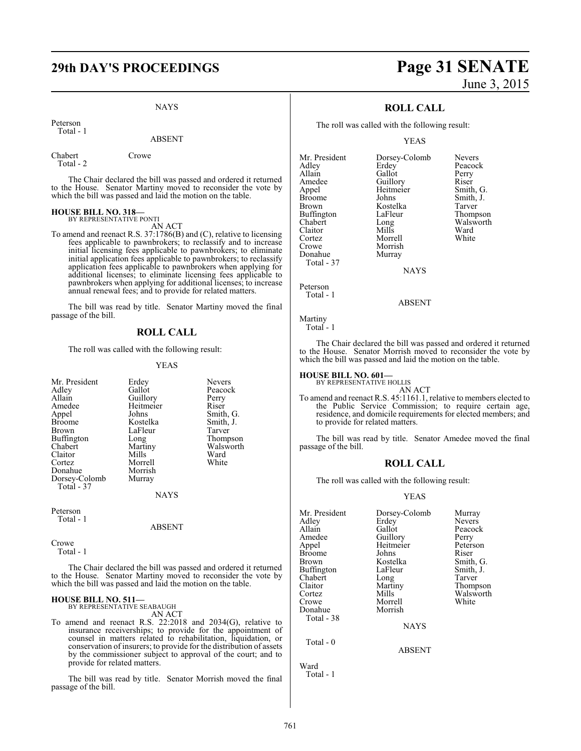NAYS

Peterson Total - 1

### ABSENT

Chabert Crowe Total - 2

The Chair declared the bill was passed and ordered it returned to the House. Senator Martiny moved to reconsider the vote by which the bill was passed and laid the motion on the table.

# **HOUSE BILL NO. 318—** BY REPRESENTATIVE PONTI

AN ACT

To amend and reenact R.S. 37:1786(B) and (C), relative to licensing fees applicable to pawnbrokers; to reclassify and to increase initial licensing fees applicable to pawnbrokers; to eliminate initial application fees applicable to pawnbrokers; to reclassify application fees applicable to pawnbrokers when applying for additional licenses; to eliminate licensing fees applicable to pawnbrokers when applying for additional licenses; to increase annual renewal fees; and to provide for related matters.

The bill was read by title. Senator Martiny moved the final passage of the bill.

### **ROLL CALL**

The roll was called with the following result:

### YEAS

| Mr. President | Erdey     | <b>Nevers</b> |
|---------------|-----------|---------------|
| Adley         | Gallot    | Peacock       |
| Allain        | Guillory  | Perry         |
| Amedee        | Heitmeier | Riser         |
| Appel         | Johns     | Smith, G.     |
| Broome        | Kostelka  | Smith, J.     |
| Brown         | LaFleur   | Tarver        |
| Buffington    | Long      | Thompson      |
| Chabert       | Martiny   | Walsworth     |
| Claitor       | Mills     | Ward          |
| Cortez        | Morrell   | White         |
| Donahue       | Morrish   |               |
| Dorsey-Colomb | Murray    |               |
| Total - 37    |           |               |
|               | NAYS      |               |
|               |           |               |

Peterson Total - 1

ABSENT

Crowe Total - 1

The Chair declared the bill was passed and ordered it returned to the House. Senator Martiny moved to reconsider the vote by which the bill was passed and laid the motion on the table.

### **HOUSE BILL NO. 511—** BY REPRESENTATIVE SEABAUGH

AN ACT

To amend and reenact R.S. 22:2018 and 2034(G), relative to insurance receiverships; to provide for the appointment of counsel in matters related to rehabilitation, liquidation, or conservation of insurers; to provide for the distribution of assets by the commissioner subject to approval of the court; and to provide for related matters.

The bill was read by title. Senator Morrish moved the final passage of the bill.

# **29th DAY'S PROCEEDINGS Page 31 SENATE** June 3, 2015

### **ROLL CALL**

The roll was called with the following result:

YEAS

| Mr. President | Dorsey-Colomb | <b>Nevers</b> |
|---------------|---------------|---------------|
| Adley         | Erdey         | Peacock       |
| Allain        | Gallot        | Perry         |
| Amedee        | Guillory      | Riser         |
| Appel         | Heitmeier     | Smith, G.     |
| <b>Broome</b> | Johns         | Smith, J.     |
| <b>Brown</b>  | Kostelka      | Tarver        |
| Buffington    | LaFleur       | Thompson      |
| Chabert       | Long          | Walsworth     |
| Claitor       | Mills         | Ward          |
| Cortez        | Morrell       | White         |
| Crowe         | Morrish       |               |
| Donahue       | Murray        |               |
| Total - 37    |               |               |

**NAYS** 

Peterson Total - 1

ABSENT

Martiny Total - 1

The Chair declared the bill was passed and ordered it returned to the House. Senator Morrish moved to reconsider the vote by which the bill was passed and laid the motion on the table.

**HOUSE BILL NO. 601—** BY REPRESENTATIVE HOLLIS

AN ACT

To amend and reenact R.S. 45:1161.1, relative to members elected to the Public Service Commission; to require certain age, residence, and domicile requirements for elected members; and to provide for related matters.

The bill was read by title. Senator Amedee moved the final passage of the bill.

### **ROLL CALL**

The roll was called with the following result:

### YEAS

| Mr. President | Dorsey-Colomb | Murray        |
|---------------|---------------|---------------|
| Adlev         | Erdey         | <b>Nevers</b> |
| Allain        | Gallot        | Peacock       |
| Amedee        | Guillory      | Perry         |
| Appel         | Heitmeier     | Peterson      |
| Broome        | Johns         | Riser         |
| Brown         | Kostelka      | Smith, G.     |
| Buffington    | LaFleur       | Smith, J.     |
| Chabert       | Long          | Tarver        |
| Claitor       | Martiny       | Thompson      |
| Cortez        | Mills         | Walsworth     |
| Crowe         | Morrell       | White         |
| Donahue       | Morrish       |               |
| Total - 38    |               |               |
|               | <b>NAYS</b>   |               |
| Total - 0     |               |               |
|               | <b>ABSENT</b> |               |

Ward Total - 1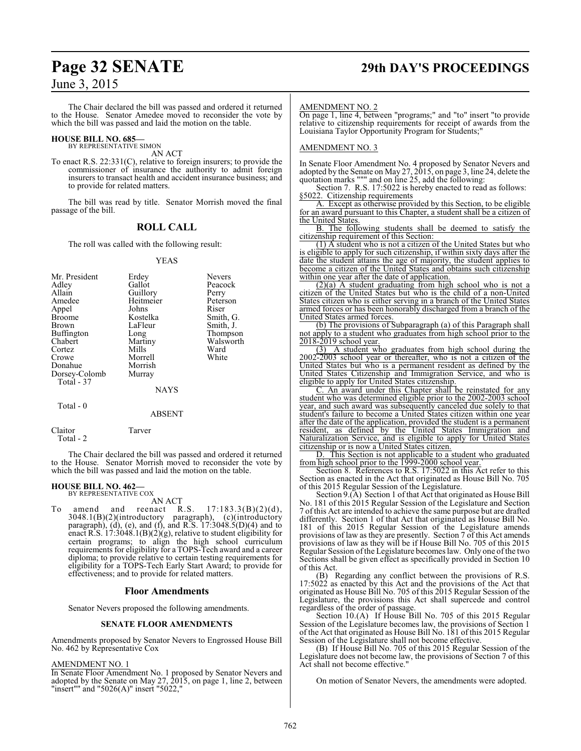# **Page 32 SENATE 29th DAY'S PROCEEDINGS**

### June 3, 2015

The Chair declared the bill was passed and ordered it returned to the House. Senator Amedee moved to reconsider the vote by which the bill was passed and laid the motion on the table.

### **HOUSE BILL NO. 685—** BY REPRESENTATIVE SIMON

AN ACT

To enact R.S. 22:331(C), relative to foreign insurers; to provide the commissioner of insurance the authority to admit foreign insurers to transact health and accident insurance business; and to provide for related matters.

The bill was read by title. Senator Morrish moved the final passage of the bill.

### **ROLL CALL**

The roll was called with the following result:

### YEAS

| Mr. President<br>Adley<br>Allain<br>Amedee<br>Appel<br><b>Broome</b><br><b>Brown</b><br>Buffington<br>Chabert<br>Cortez<br>Crowe<br>Donahue | Erdey<br>Gallot<br>Guillory<br>Heitmeier<br>Johns<br>Kostelka<br>LaFleur<br>Long<br>Martiny<br>Mills<br>Morrell<br>Morrish | <b>Nevers</b><br>Peacock<br>Perry<br>Peterson<br>Riser<br>Smith, G.<br>Smith, J.<br>Thompson<br>Walsworth<br>Ward<br>White |
|---------------------------------------------------------------------------------------------------------------------------------------------|----------------------------------------------------------------------------------------------------------------------------|----------------------------------------------------------------------------------------------------------------------------|
|                                                                                                                                             |                                                                                                                            |                                                                                                                            |
|                                                                                                                                             |                                                                                                                            |                                                                                                                            |
|                                                                                                                                             |                                                                                                                            |                                                                                                                            |
| Dorsey-Colomb                                                                                                                               | Murray                                                                                                                     |                                                                                                                            |
| Total - 37                                                                                                                                  |                                                                                                                            |                                                                                                                            |
|                                                                                                                                             | <b>NAYS</b>                                                                                                                |                                                                                                                            |

### ABSENT

Total - 0

Claitor Tarver Total - 2

The Chair declared the bill was passed and ordered it returned to the House. Senator Morrish moved to reconsider the vote by which the bill was passed and laid the motion on the table.

# **HOUSE BILL NO. 462—** BY REPRESENTATIVE COX AN ACT

To amend and reenact R.S.  $17:183.3(B)(2)(d)$ , 3048.1(B)(2)(introductory paragraph), (c)(introductory paragraph), (d), (e), and (f), and R.S. 17:3048.5(D)(4) and to enact R.S. 17:3048.1(B)(2)(g), relative to student eligibility for certain programs; to align the high school curriculum requirements for eligibility for a TOPS-Tech award and a career diploma; to provide relative to certain testing requirements for eligibility for a TOPS-Tech Early Start Award; to provide for effectiveness; and to provide for related matters.

### **Floor Amendments**

Senator Nevers proposed the following amendments.

### **SENATE FLOOR AMENDMENTS**

Amendments proposed by Senator Nevers to Engrossed House Bill No. 462 by Representative Cox

### AMENDMENT NO. 1

In Senate Floor Amendment No. 1 proposed by Senator Nevers and adopted by the Senate on May 27, 2015, on page 1, line 2, between "insert"" and "5026(A)" insert "5022,"

### AMENDMENT NO. 2

On page 1, line 4, between "programs;" and "to" insert "to provide relative to citizenship requirements for receipt of awards from the Louisiana Taylor Opportunity Program for Students;"

### AMENDMENT NO. 3

In Senate Floor Amendment No. 4 proposed by Senator Nevers and adopted by the Senate on May 27, 2015, on page 3, line 24, delete the quotation marks """ and on line 25, add the following:

Section 7. R.S. 17:5022 is hereby enacted to read as follows: §5022. Citizenship requirements

A. Except as otherwise provided by this Section, to be eligible for an award pursuant to this Chapter, a student shall be a citizen of the United States.

B. The following students shall be deemed to satisfy the citizenship requirement of this Section:

(1) A student who is not a citizen of the United States but who is eligible to apply for such citizenship, if within sixty days after the date the student attains the age of majority, the student applies to become a citizen of the United States and obtains such citizenship within one year after the date of application.

(2)(a) A student graduating from high school who is not a citizen of the United States but who is the child of a non-United States citizen who is either serving in a branch of the United States armed forces or has been honorably discharged from a branch of the United States armed forces.

(b) The provisions of Subparagraph (a) of this Paragraph shall not apply to a student who graduates from high school prior to the 2018-2019 school year.

(3) A student who graduates from high school during the 2002-2003 school year or thereafter, who is not a citizen of the United States but who is a permanent resident as defined by the United States Citizenship and Immigration Service, and who is eligible to apply for United States citizenship.

C. An award under this Chapter shall be reinstated for any student who was determined eligible prior to the 2002-2003 school year, and such award was subsequently canceled due solely to that student's failure to become a United States citizen within one year after the date of the application, provided the student is a permanent resident, as defined by the United States Immigration and Naturalization Service, and is eligible to apply for United States citizenship or is now a United States citizen.

D. This Section is not applicable to a student who graduated from high school prior to the 1999-2000 school year.`

Section 8. References to R.S. 17:5022 in this Act refer to this Section as enacted in the Act that originated as House Bill No. 705 of this 2015 Regular Session of the Legislature.

Section 9.(A) Section 1 of that Act that originated as House Bill No. 181 of this 2015 Regular Session of the Legislature and Section 7 of this Act are intended to achieve the same purpose but are drafted differently. Section 1 of that Act that originated as House Bill No. 181 of this 2015 Regular Session of the Legislature amends provisions of law as they are presently. Section 7 of this Act amends provisions of law as they will be if House Bill No. 705 of this 2015 Regular Session ofthe Legislature becomes law. Only one ofthe two Sections shall be given effect as specifically provided in Section 10 of this Act.

(B) Regarding any conflict between the provisions of R.S. 17:5022 as enacted by this Act and the provisions of the Act that originated as House Bill No. 705 of this 2015 Regular Session of the Legislature, the provisions this Act shall supercede and control regardless of the order of passage.

Section 10.(A) If House Bill No. 705 of this 2015 Regular Session of the Legislature becomes law, the provisions of Section 1 of the Act that originated as House Bill No. 181 of this 2015 Regular Session of the Legislature shall not become effective.

(B) If House Bill No. 705 of this 2015 Regular Session of the Legislature does not become law, the provisions of Section 7 of this Act shall not become effective.

On motion of Senator Nevers, the amendments were adopted.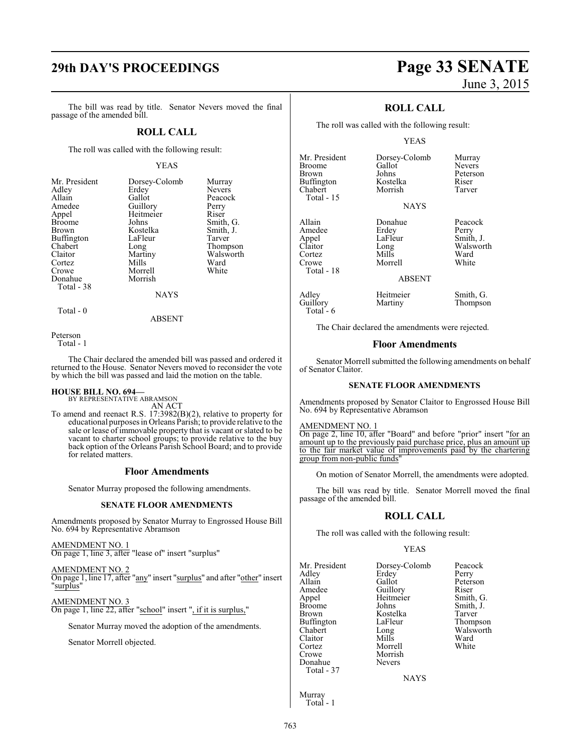# **29th DAY'S PROCEEDINGS Page 33 SENATE**

The bill was read by title. Senator Nevers moved the final passage of the amended bill.

### **ROLL CALL**

The roll was called with the following result:

### YEAS

Peacock<br>Perry

Smith, G.<br>Smith, J.

Walsworth<br>Ward

| Mr. President | Dorsey-Colomb | Murray        |
|---------------|---------------|---------------|
| Adley         | Erdey         | <b>Nevers</b> |
| Allain        | Gallot        | Peacocl       |
| Amedee        | Guillory      | Perry         |
| Appel         | Heitmeier     | Riser         |
| <b>Broome</b> | Johns         | Smith,        |
| Brown         | Kostelka      | Smith, .      |
| Buffington    | LaFleur       | Tarver        |
| Chabert       | Long          | <b>Thomps</b> |
| Claitor       | Martiny       | Walswo        |
| Cortez        | Mills         | Ward          |
| Crowe         | Morrell       | White         |
| Donahue       | Morrish       |               |
| Total - 38    |               |               |
|               | <b>BTATTO</b> |               |

Erdey Nevers<br>Gallot Peacoc Guillory Perry<br>Heitmeier Riser Heitmeier<br>Johns Kostelka Smith,<br>LaFleur Tarver LaFleur Long Thompson<br>Martiny Walsworth Mills Ward<br>Morrell White Morrell Morrish NAYS

Total - 0

ABSENT

Peterson

Total - 1

The Chair declared the amended bill was passed and ordered it returned to the House. Senator Nevers moved to reconsider the vote by which the bill was passed and laid the motion on the table.

# **HOUSE BILL NO. 694—** BY REPRESENTATIVE ABRAMSON

AN ACT

To amend and reenact R.S. 17:3982(B)(2), relative to property for educational purposes in Orleans Parish; to provide relative to the sale or lease of immovable property that is vacant or slated to be vacant to charter school groups; to provide relative to the buy back option of the Orleans Parish School Board; and to provide for related matters.

### **Floor Amendments**

Senator Murray proposed the following amendments.

### **SENATE FLOOR AMENDMENTS**

Amendments proposed by Senator Murray to Engrossed House Bill No. 694 by Representative Abramson

AMENDMENT NO. 1 On page 1, line 3, after "lease of" insert "surplus"

AMENDMENT NO. 2 On page 1, line 17, after "any" insert "surplus" and after "other" insert "surplus"

AMENDMENT NO. 3 On page 1, line 22, after "school" insert ", if it is surplus,"

Senator Murray moved the adoption of the amendments.

Senator Morrell objected.

### **ROLL CALL**

The roll was called with the following result:

### YEAS

**NAYS** 

ABSENT

Johns Peterson<br>Kostelka Riser

Long Walsworth<br>Mills Ward

Mr. President Dorsey-Colomb Murray<br>Broome Gallot Nevers Broome Gallot<br>Brown Johns Buffington Kostelka Riser Chabert Total - 15

Allain Donahue Peacock<br>Amedee Erdey Perry Amedee Erdey Perry Appel LaFle<br>Claitor Long Cortez Mills Ward<br>Crowe Morrell White Total - 18

Adley Heitmeier Smith, G.<br>
Guillory Martiny Thompson Total - 6

Thompson

Morrell

The Chair declared the amendments were rejected.

### **Floor Amendments**

Senator Morrell submitted the following amendments on behalf of Senator Claitor.

### **SENATE FLOOR AMENDMENTS**

Amendments proposed by Senator Claitor to Engrossed House Bill No. 694 by Representative Abramson

### AMENDMENT NO. 1

On page 2, line 10, after "Board" and before "prior" insert "for an amount up to the previously paid purchase price, plus an amount up to the fair market value of improvements paid by the chartering group from non-public funds"

On motion of Senator Morrell, the amendments were adopted.

The bill was read by title. Senator Morrell moved the final passage of the amended bill.

### **ROLL CALL**

The roll was called with the following result:

### YEAS

Mr. President Dorsey-Colomb Peacock<br>Adley Erdey Perry Adley Erdey<br>Allain Gallot Allain Gallot Peterson<br>Amedee Guillory Riser Amedee Guillory Riser<br>
Appel Heitmeier Smith, G. Appel Heitmeier<br>Broome Johns Broome Johns Smith, J.<br>Brown Kostelka Tarver Buffington LaFle<br>Chabert Long Claitor Mills Ward<br>Cortez Morrell White Cortez Morrell<br>Crowe Morrish Morrish<br>Nevers Donahue Total - 37

Kostelka Tarver<br>LaFleur Thompson Long Walsworth<br>
Mills Ward

**NAYS** 

Murray Total - 1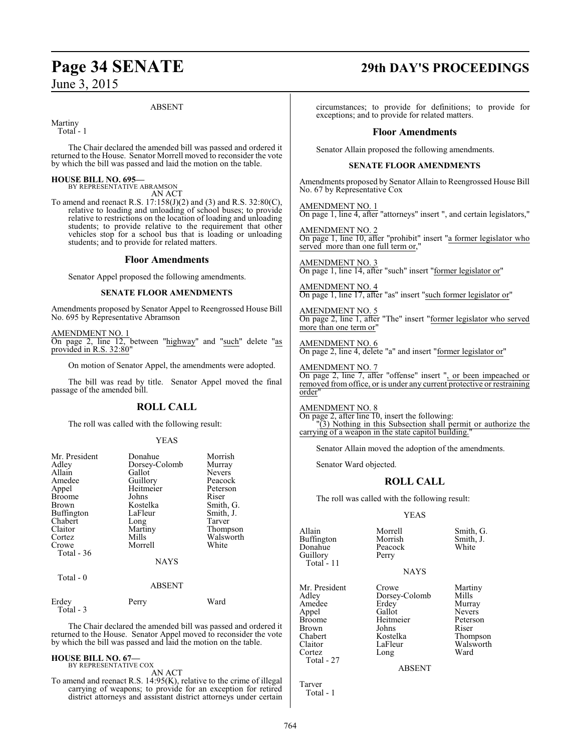### ABSENT

Martiny

Total - 1

The Chair declared the amended bill was passed and ordered it returned to the House. Senator Morrell moved to reconsider the vote by which the bill was passed and laid the motion on the table.

### **HOUSE BILL NO. 695—**

BY REPRESENTATIVE ABRAMSON AN ACT

To amend and reenact R.S. 17:158(J)(2) and (3) and R.S. 32:80(C), relative to loading and unloading of school buses; to provide relative to restrictions on the location of loading and unloading students; to provide relative to the requirement that other vehicles stop for a school bus that is loading or unloading students; and to provide for related matters.

### **Floor Amendments**

Senator Appel proposed the following amendments.

### **SENATE FLOOR AMENDMENTS**

Amendments proposed by Senator Appel to Reengrossed House Bill No. 695 by Representative Abramson

AMENDMENT NO. 1 On page 2, line 12, between "highway" and "such" delete "as provided in R.S. 32:80"

On motion of Senator Appel, the amendments were adopted.

The bill was read by title. Senator Appel moved the final passage of the amended bill.

### **ROLL CALL**

The roll was called with the following result:

### YEAS

| Mr. President<br>Adley<br>Allain<br>Amedee<br>Appel<br><b>Broome</b><br><b>Brown</b><br><b>Buffington</b><br>Chabert<br>Claitor<br>Cortez<br>Crowe<br>Total $-36$ | Donahue<br>Dorsey-Colomb<br>Gallot<br>Guillory<br>Heitmeier<br>Johns<br>Kostelka<br>LaFleur<br>Long<br>Martiny<br>Mills<br>Morrell<br><b>NAYS</b> | Morrish<br>Murray<br><b>Nevers</b><br>Peacock<br>Peterson<br>Riser<br>Smith, G.<br>Smith, J.<br>Tarver<br>Thompson<br>Walsworth<br>White |
|-------------------------------------------------------------------------------------------------------------------------------------------------------------------|---------------------------------------------------------------------------------------------------------------------------------------------------|------------------------------------------------------------------------------------------------------------------------------------------|
| Total $-0$                                                                                                                                                        | <b>ABSENT</b>                                                                                                                                     |                                                                                                                                          |

| Erdey     | Perry | Ward |
|-----------|-------|------|
| Total - 3 |       |      |

The Chair declared the amended bill was passed and ordered it returned to the House. Senator Appel moved to reconsider the vote by which the bill was passed and laid the motion on the table.

### **HOUSE BILL NO. 67—** BY REPRESENTATIVE COX

AN ACT

To amend and reenact R.S. 14:95(K), relative to the crime of illegal carrying of weapons; to provide for an exception for retired district attorneys and assistant district attorneys under certain

# **Page 34 SENATE 29th DAY'S PROCEEDINGS**

circumstances; to provide for definitions; to provide for exceptions; and to provide for related matters.

### **Floor Amendments**

Senator Allain proposed the following amendments.

### **SENATE FLOOR AMENDMENTS**

Amendments proposed by Senator Allain to Reengrossed House Bill No. 67 by Representative Cox

AMENDMENT NO. 1 On page 1, line 4, after "attorneys" insert ", and certain legislators,"

AMENDMENT NO. 2 On page 1, line 10, after "prohibit" insert "a former legislator who served more than one full term or,

AMENDMENT NO. 3 On page 1, line 14, after "such" insert "former legislator or"

AMENDMENT NO. 4 On page 1, line 17, after "as" insert "such former legislator or"

AMENDMENT NO. 5 On page 2, line 1, after "The" insert "former legislator who served more than one term or"

AMENDMENT NO. 6 On page 2, line 4, delete "a" and insert "former legislator or"

AMENDMENT NO. 7 On page 2, line 7, after "offense" insert ", or been impeached or removed from office, or is under any current protective or restraining order"

AMENDMENT NO. 8 On page 2, after line 10, insert the following: "(3) Nothing in this Subsection shall permit or authorize the carrying of a weapon in the state capitol building.

Senator Allain moved the adoption of the amendments.

Senator Ward objected.

### **ROLL CALL**

The roll was called with the following result:

YEAS

Donahue Peacock Peacock Peacock Peacock White Peacock White Peacock White Peacock White Peacock White Peacock W<br>Pears and Peacock White Peacock Peacock Peacock Peacock White Peacock Peacock Peacock Peacock Peacock Peacock<br> Guillory Total - 11

Allain Morrell Smith, G.<br>
Buffington Morrish Smith, J. Buffington Morrish Smith,<br>Donahue Peacock White

**NAYS** 

Mr. President Crowe Martiny<br>Adley Dorsey-Colomb Mills Dorsey-Colomb Mills<br>
Frdev Murray Amedee Erdey Murray<br>Appel Gallot Nevers Appel Gallot Nevers<br>Broome Heitmeier Peterson Heitmeier Peters<br>Johns Riser Brown Johns<br>Chabert Kostelka Chabert **Kostelka** Thompson<br>Claitor LaFleur Walsworth LaFleur Walsworth<br>
Long Ward

ABSENT

Tarver Total - 1

Cortez Total - 27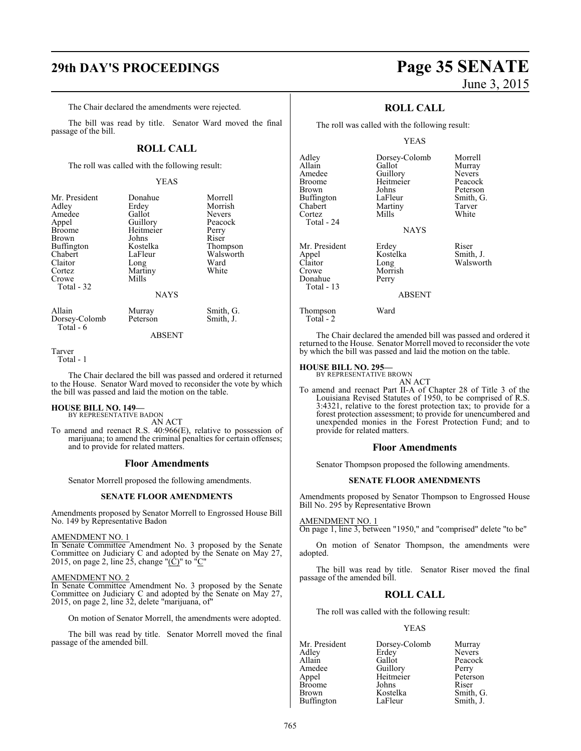# **29th DAY'S PROCEEDINGS Page 35 SENATE**

The Chair declared the amendments were rejected.

The bill was read by title. Senator Ward moved the final passage of the bill.

### **ROLL CALL**

The roll was called with the following result:

### YEAS

| Mr. President<br>Adley<br>Amedee<br>Appel<br>Broome<br>Brown<br>Buffington<br>Chabert<br>Claitor<br>Cortez<br>Crowe | Donahue<br>Erdey<br>Gallot<br>Guillory<br>Heitmeier<br>Johns<br>Kostelka<br>LaFleur<br>Long<br>Martiny<br>Mills | Morrell<br>Morrish<br><b>Nevers</b><br>Peacock<br>Perry<br>Riser<br>Thompson<br>Walsworth<br>Ward<br>White |
|---------------------------------------------------------------------------------------------------------------------|-----------------------------------------------------------------------------------------------------------------|------------------------------------------------------------------------------------------------------------|
| Total - 32                                                                                                          | <b>NAYS</b>                                                                                                     |                                                                                                            |
| Allain<br>Dorsey-Colomb                                                                                             | Murray<br>Peterson                                                                                              | Smith, G.<br>Smith, J.                                                                                     |

ABSENT

Tarver

Total - 1

Total - 6

The Chair declared the bill was passed and ordered it returned to the House. Senator Ward moved to reconsider the vote by which the bill was passed and laid the motion on the table.

### **HOUSE BILL NO. 149—** BY REPRESENTATIVE BADON

AN ACT

To amend and reenact R.S. 40:966(E), relative to possession of marijuana; to amend the criminal penalties for certain offenses; and to provide for related matters.

### **Floor Amendments**

Senator Morrell proposed the following amendments.

### **SENATE FLOOR AMENDMENTS**

Amendments proposed by Senator Morrell to Engrossed House Bill No. 149 by Representative Badon

### AMENDMENT NO. 1

In Senate Committee Amendment No. 3 proposed by the Senate Committee on Judiciary C and adopted by the Senate on May 27, 2015, on page 2, line 25, change " $(\tilde{C})$ " to " $\tilde{C}$ "

### AMENDMENT NO. 2

In Senate Committee Amendment No. 3 proposed by the Senate Committee on Judiciary C and adopted by the Senate on May 27, 2015, on page 2, line 32, delete "marijuana, of"

On motion of Senator Morrell, the amendments were adopted.

The bill was read by title. Senator Morrell moved the final passage of the amended bill.

### **ROLL CALL**

The roll was called with the following result:

### YEAS

| Adley<br>Allain<br>Amedee<br>Broome<br>Brown<br>Buffington<br>Chabert<br>Cortez<br>Total - 24 | Dorsey-Colomb<br>Gallot<br>Guillory<br>Heitmeier<br>Johns<br>LaFleur<br>Martiny<br>Mills<br><b>NAYS</b> | Morrell<br>Murray<br><b>Nevers</b><br>Peacock<br>Peterson<br>Smith, G.<br>Tarver<br>White |
|-----------------------------------------------------------------------------------------------|---------------------------------------------------------------------------------------------------------|-------------------------------------------------------------------------------------------|
| Mr. President<br>Appel<br>Claitor<br>Crowe<br>Donahue<br>Total - 13                           | Erdey<br>Kostelka<br>Long<br>Morrish<br>Perry<br><b>ABSENT</b>                                          | Riser<br>Smith, J.<br>Walsworth                                                           |

The Chair declared the amended bill was passed and ordered it returned to the House. Senator Morrell moved to reconsider the vote by which the bill was passed and laid the motion on the table.

### **HOUSE BILL NO. 295—**

Thompson Ward

Total - 2

BY REPRESENTATIVE BROWN

AN ACT To amend and reenact Part II-A of Chapter 28 of Title 3 of the Louisiana Revised Statutes of 1950, to be comprised of R.S. 3:4321, relative to the forest protection tax; to provide for a forest protection assessment; to provide for unencumbered and unexpended monies in the Forest Protection Fund; and to provide for related matters.

### **Floor Amendments**

Senator Thompson proposed the following amendments.

### **SENATE FLOOR AMENDMENTS**

Amendments proposed by Senator Thompson to Engrossed House Bill No. 295 by Representative Brown

### AMENDMENT NO. 1

On page 1, line 3, between "1950," and "comprised" delete "to be"

On motion of Senator Thompson, the amendments were adopted.

The bill was read by title. Senator Riser moved the final passage of the amended bill.

### **ROLL CALL**

The roll was called with the following result:

### YEAS

Mr. President Dorsey-Colomb Murray<br>Adley Erdey Nevers Adley Erdey<br>Allain Gallot Allain Gallot Peacock<br>Amedee Guillory Perry Amedee Guillory<br>Appel Heitmeier Heitmeier Peterson<br>Johns Riser Broome Johns Riser<br>Brown Kostelka Smith, G. Kostelka Smith, G.<br>LaFleur Smith, J. **Buffington**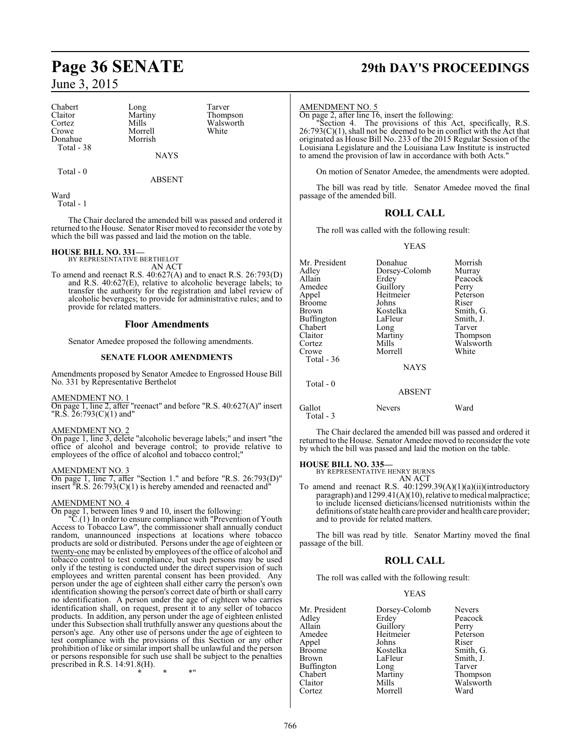Chabert Long Tarver<br>
Claitor Martiny Thomp Claitor Martiny Thompson<br>Cortez Mills Walsworth Cortez Mills Walsworth<br>Crowe Morrell White Donahue Total - 38

Morrell<br>Morrish

Total - 0

ABSENT

NAYS

Ward

Total - 1

The Chair declared the amended bill was passed and ordered it returned to the House. Senator Riser moved to reconsider the vote by which the bill was passed and laid the motion on the table.

### **HOUSE BILL NO. 331—**

BY REPRESENTATIVE BERTHELOT

AN ACT To amend and reenact R.S. 40:627(A) and to enact R.S. 26:793(D) and R.S. 40:627(E), relative to alcoholic beverage labels; to transfer the authority for the registration and label review of alcoholic beverages; to provide for administrative rules; and to provide for related matters.

### **Floor Amendments**

Senator Amedee proposed the following amendments.

### **SENATE FLOOR AMENDMENTS**

Amendments proposed by Senator Amedee to Engrossed House Bill No. 331 by Representative Berthelot

### AMENDMENT NO. 1

On page 1, line 2, after "reenact" and before "R.S. 40:627(A)" insert "R.S. 26:793(C)(1) and"

### AMENDMENT NO. 2

On page 1, line 3, delete "alcoholic beverage labels;" and insert "the office of alcohol and beverage control; to provide relative to employees of the office of alcohol and tobacco control;

### AMENDMENT NO. 3

On page 1, line 7, after "Section 1." and before "R.S. 26:793(D)" insert "R.S. 26:793(C)(1) is hereby amended and reenacted and"

### AMENDMENT NO. 4

On page 1, between lines 9 and 10, insert the following:

"C.(1) In order to ensure compliance with "Prevention of Youth Access to Tobacco Law", the commissioner shall annually conduct random, unannounced inspections at locations where tobacco products are sold or distributed. Persons under the age of eighteen or twenty-one may be enlisted by employees of the office of alcohol and tobacco control to test compliance, but such persons may be used only if the testing is conducted under the direct supervision of such employees and written parental consent has been provided. Any person under the age of eighteen shall either carry the person's own identification showing the person's correct date of birth or shall carry no identification. A person under the age of eighteen who carries identification shall, on request, present it to any seller of tobacco products. In addition, any person under the age of eighteen enlisted under this Subsection shall truthfully answer any questions about the person's age. Any other use of persons under the age of eighteen to test compliance with the provisions of this Section or any other prohibition of like or similar import shall be unlawful and the person or persons responsible for such use shall be subject to the penalties prescribed in R.S. 14:91.8(H).

\* \* \*"

# **Page 36 SENATE 29th DAY'S PROCEEDINGS**

### AMENDMENT NO. 5

On page 2, after line 16, insert the following:

"Section 4. The provisions of this Act, specifically, R.S.  $26:793(C)(1)$ , shall not be deemed to be in conflict with the Act that originated as House Bill No. 233 of the 2015 Regular Session of the Louisiana Legislature and the Louisiana Law Institute is instructed to amend the provision of law in accordance with both Acts."

On motion of Senator Amedee, the amendments were adopted.

The bill was read by title. Senator Amedee moved the final passage of the amended bill.

### **ROLL CALL**

The roll was called with the following result:

YEAS

| Mr. President<br>Adley<br>Allain<br>Amedee<br>Appel<br>Broome<br>Brown<br>Buffington<br>Chabert<br>Claitor<br>Cortez<br>Crowe | Donahue<br>Dorsey-Colomb<br>Erdey<br>Guillory<br>Heitmeier<br>Johns<br>Kostelka<br>LaFleur<br>Long<br>Martiny<br>Mills<br>Morrell | Morrish<br>Murray<br>Peacock<br>Perry<br>Peterson<br>Riser<br>Smith, G.<br>Smith, J.<br>Tarver<br>Thompson<br>Walsworth<br>White |
|-------------------------------------------------------------------------------------------------------------------------------|-----------------------------------------------------------------------------------------------------------------------------------|----------------------------------------------------------------------------------------------------------------------------------|
| Total - 36                                                                                                                    | <b>NAYS</b>                                                                                                                       |                                                                                                                                  |
| Total $-0$                                                                                                                    | <b>ABSENT</b>                                                                                                                     |                                                                                                                                  |
| Gallot<br>Total - 3                                                                                                           | Nevers                                                                                                                            | Ward                                                                                                                             |

The Chair declared the amended bill was passed and ordered it returned to the House. Senator Amedee moved to reconsider the vote by which the bill was passed and laid the motion on the table.

# **HOUSE BILL NO. 335—** BY REPRESENTATIVE HENRY BURNS

AN ACT

To amend and reenact R.S. 40:1299.39(A)(1)(a)(ii)(introductory paragraph) and  $1299.41(A)(10)$ , relative to medical malpractice; to include licensed dieticians/licensed nutritionists within the definitions ofstate health care provider and health care provider; and to provide for related matters.

The bill was read by title. Senator Martiny moved the final passage of the bill.

### **ROLL CALL**

The roll was called with the following result:

### YEAS

| Mr. President     | Dorsey-Colomb | <b>Nevers</b> |
|-------------------|---------------|---------------|
|                   |               |               |
| Adley             | Erdey         | Peacock       |
| Allain            | Guillory      | Perry         |
| Amedee            | Heitmeier     | Peterson      |
| Appel             | Johns         | Riser         |
| <b>Broome</b>     | Kostelka      | Smith, G.     |
| <b>Brown</b>      | LaFleur       | Smith, J.     |
| <b>Buffington</b> | Long          | Tarver        |
| Chabert           | Martiny       | Thompson      |
| Claitor           | Mills         | Walsworth     |
| Cortez            | Morrell       | Ward          |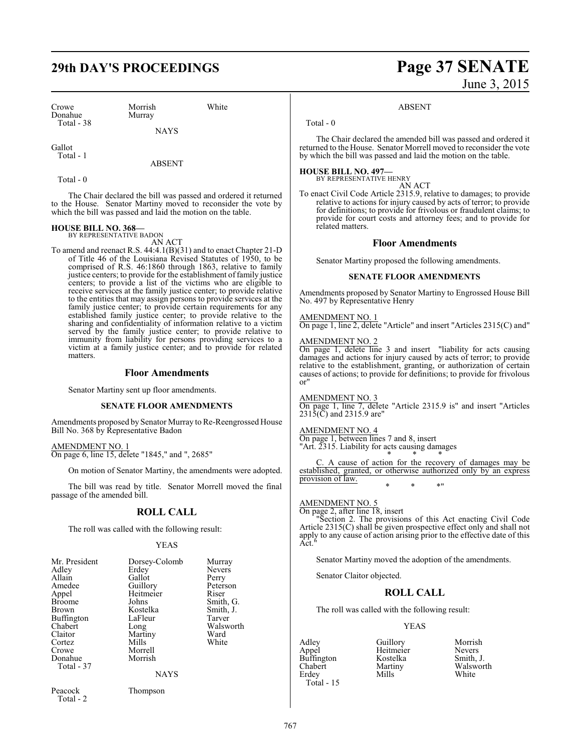# **29th DAY'S PROCEEDINGS Page 37 SENATE**

Crowe Morrish White<br>
Donahue Murray Donahue Total - 38

**NAYS** 

Gallot Total - 1

ABSENT

Total - 0

The Chair declared the bill was passed and ordered it returned to the House. Senator Martiny moved to reconsider the vote by which the bill was passed and laid the motion on the table.

# **HOUSE BILL NO. 368—** BY REPRESENTATIVE BADON

AN ACT

To amend and reenact R.S. 44:4.1(B)(31) and to enact Chapter 21-D of Title 46 of the Louisiana Revised Statutes of 1950, to be comprised of R.S. 46:1860 through 1863, relative to family justice centers; to provide for the establishment of family justice centers; to provide a list of the victims who are eligible to receive services at the family justice center; to provide relative to the entities that may assign persons to provide services at the family justice center; to provide certain requirements for any established family justice center; to provide relative to the sharing and confidentiality of information relative to a victim served by the family justice center; to provide relative to immunity from liability for persons providing services to a victim at a family justice center; and to provide for related matters.

### **Floor Amendments**

Senator Martiny sent up floor amendments.

### **SENATE FLOOR AMENDMENTS**

Amendments proposed by Senator Murray to Re-Reengrossed House Bill No. 368 by Representative Badon

AMENDMENT NO. 1 On page 6, line 15, delete "1845," and ", 2685"

On motion of Senator Martiny, the amendments were adopted.

The bill was read by title. Senator Morrell moved the final passage of the amended bill.

### **ROLL CALL**

The roll was called with the following result:

### YEAS

| Mr. President<br>Adley<br>Allain<br>Amedee<br>Appel<br><b>Broome</b><br>Brown<br><b>Buffington</b><br>Chabert<br>Claitor<br>Cortez | Dorsey-Colomb<br>Erdey<br>Gallot<br>Guillory<br>Heitmeier<br>Johns<br>Kostelka<br>LaFleur<br>Long<br>Martiny<br>Mills | Murray<br><b>Nevers</b><br>Perry<br>Peterson<br>Riser<br>Smith, G.<br>Smith, J.<br>Tarver<br>Walsworth<br>Ward<br>White |
|------------------------------------------------------------------------------------------------------------------------------------|-----------------------------------------------------------------------------------------------------------------------|-------------------------------------------------------------------------------------------------------------------------|
| Crowe<br>Donahue<br>Total - 37                                                                                                     | Morrell<br>Morrish<br><b>NAYS</b>                                                                                     |                                                                                                                         |
| Peacock<br>Total - 2                                                                                                               | Thompson                                                                                                              |                                                                                                                         |

# June 3, 2015

### ABSENT

Total - 0

The Chair declared the amended bill was passed and ordered it returned to the House. Senator Morrell moved to reconsider the vote by which the bill was passed and laid the motion on the table.

**HOUSE BILL NO. 497—** BY REPRESENTATIVE HENRY AN ACT

To enact Civil Code Article 2315.9, relative to damages; to provide relative to actions for injury caused by acts of terror; to provide for definitions; to provide for frivolous or fraudulent claims; to provide for court costs and attorney fees; and to provide for related matters.

### **Floor Amendments**

Senator Martiny proposed the following amendments.

### **SENATE FLOOR AMENDMENTS**

Amendments proposed by Senator Martiny to Engrossed House Bill No. 497 by Representative Henry

### AMENDMENT NO. 1

On page 1, line 2, delete "Article" and insert "Articles 2315(C) and"

### AMENDMENT NO. 2

On page 1, delete line 3 and insert "liability for acts causing damages and actions for injury caused by acts of terror; to provide relative to the establishment, granting, or authorization of certain causes of actions; to provide for definitions; to provide for frivolous or"

### AMENDMENT NO. 3

On page 1, line 7, delete "Article 2315.9 is" and insert "Articles 2315(C) and 2315.9 are"

### AMENDMENT NO. 4

On page 1, between lines 7 and 8, insert "Art. 2315. Liability for acts causing damages \* \* \*

C. A cause of action for the recovery of damages may be established, granted, or otherwise authorized only by an express provision of law. \* \* \*"

### AMENDMENT NO. 5

On page 2, after line 18, insert

"Section 2. The provisions of this Act enacting Civil Code Article 2315(C) shall be given prospective effect only and shall not apply to any cause of action arising prior to the effective date of this Act."

Senator Martiny moved the adoption of the amendments.

Senator Claitor objected.

### **ROLL CALL**

The roll was called with the following result:

### YEAS

Adley Guillory Morrish **Buffington** Kostelka<br>Chabert Martiny Erdey Mills White Total - 15

Heitmeier Nevers<br>
Kostelka Smith, J. Martiny Walsworth<br>
White<br>
White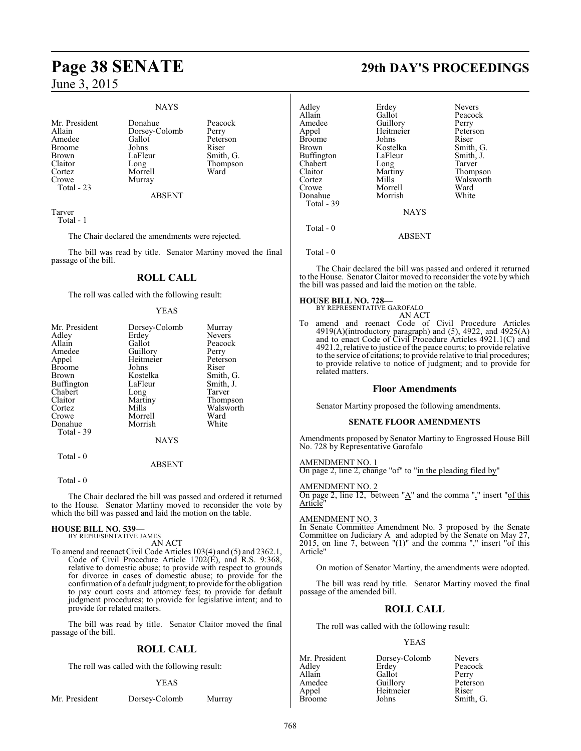### NAYS

Mr. President Donahue Peacock<br>Allain Dorsey-Colomb Perry Allain Dorsey-Colomb<br>Amedee Gallot Broome Johns<br>Brown LaFleur Brown LaFleur Smith, G.<br>Claitor Long Thompson Claitor Long Thompson Cortez Morrell<br>Crowe Murray Total - 23

Murray

Gallot Peterson<br>Johns Riser

### ABSENT

Tarver Total - 1

The Chair declared the amendments were rejected.

The bill was read by title. Senator Martiny moved the final passage of the bill.

### **ROLL CALL**

The roll was called with the following result:

### YEAS

| Mr. President | Dorsey-Colomb | Murray        |
|---------------|---------------|---------------|
| Adley         | Erdey         | <b>Nevers</b> |
| Allain        | Gallot        | Peacock       |
| Amedee        | Guillory      | Perry         |
| Appel         | Heitmeier     | Peterson      |
| <b>Broome</b> | Johns         | Riser         |
| Brown         | Kostelka      | Smith, G.     |
| Buffington    | LaFleur       | Smith, J.     |
| Chabert       | Long          | Tarver        |
| Claitor       | Martiny       | Thompson      |
| Cortez        | Mills         | Walsworth     |
| Crowe         | Morrell       | Ward          |
| Donahue       | Morrish       | White         |
| Total - 39    |               |               |
|               | <b>NAYS</b>   |               |
|               |               |               |

### ABSENT

Total - 0

Total - 0

The Chair declared the bill was passed and ordered it returned to the House. Senator Martiny moved to reconsider the vote by which the bill was passed and laid the motion on the table.

# **HOUSE BILL NO. 539—** BY REPRESENTATIVE JAMES

AN ACT

To amend and reenact Civil Code Articles 103(4) and (5) and 2362.1, Code of Civil Procedure Article 1702(E), and R.S. 9:368, relative to domestic abuse; to provide with respect to grounds for divorce in cases of domestic abuse; to provide for the confirmation of a default judgment; to provide forthe obligation to pay court costs and attorney fees; to provide for default judgment procedures; to provide for legislative intent; and to provide for related matters.

The bill was read by title. Senator Claitor moved the final passage of the bill.

### **ROLL CALL**

The roll was called with the following result:

### YEAS

| Mr. President | Dorsey-Colomb | Murray |
|---------------|---------------|--------|
|               |               |        |

# **Page 38 SENATE 29th DAY'S PROCEEDINGS**

Thompson Walsworth<br>Ward

| Adley         | Erdey       | <b>Nevers</b>   |
|---------------|-------------|-----------------|
| Allain        | Gallot      | Peacock         |
| Amedee        | Guillory    | Perry           |
| Appel         | Heitmeier   | Peterson        |
| <b>Broome</b> | Johns       | Riser           |
| <b>Brown</b>  | Kostelka    | Smith, G.       |
| Buffington    | LaFleur     | Smith, J.       |
| Chabert       | Long        | Tarver          |
| Claitor       | Martiny     | <b>Thompson</b> |
| Cortez        | Mills       | Walswort        |
| Crowe         | Morrell     | Ward            |
| Donahue       | Morrish     | White           |
| Total - 39    |             |                 |
|               | <b>NAYS</b> |                 |
| Total $-0$    |             |                 |
|               | ABSENT      |                 |
|               |             |                 |

Total - 0

The Chair declared the bill was passed and ordered it returned to the House. Senator Claitor moved to reconsider the vote by which the bill was passed and laid the motion on the table.

### **HOUSE BILL NO. 728—**

BY REPRESENTATIVE GAROFALO

AN ACT To amend and reenact Code of Civil Procedure Articles 4919(A)(introductory paragraph) and (5), 4922, and 4925(A) and to enact Code of Civil Procedure Articles 4921.1(C) and 4921.2, relative to justice ofthe peace courts; to provide relative to the service of citations; to provide relative to trial procedures; to provide relative to notice of judgment; and to provide for related matters.

### **Floor Amendments**

Senator Martiny proposed the following amendments.

### **SENATE FLOOR AMENDMENTS**

Amendments proposed by Senator Martiny to Engrossed House Bill No. 728 by Representative Garofalo

### AMENDMENT NO. 1

On page 2, line 2, change "of" to "in the pleading filed by"

### AMENDMENT NO. 2

On page 2, line 12, between "A" and the comma "," insert "of this Article"

### AMENDMENT NO. 3

In Senate Committee Amendment No. 3 proposed by the Senate Committee on Judiciary A and adopted by the Senate on May 27, 2015, on line 7, between " $(1)$ " and the comma "," insert " $of this$ Article"

On motion of Senator Martiny, the amendments were adopted.

The bill was read by title. Senator Martiny moved the final passage of the amended bill.

### **ROLL CALL**

The roll was called with the following result:

### YEAS

Mr. President Dorsey-Colomb Nevers<br>Adley Erdey Peacock Adley Erdey<br>Allain Gallot Allain Gallot Perry Amedee Guillory Peterson<br>
Appel Heitmeier Riser Heitmeier Riser<br>
Johns Smith, G. Broome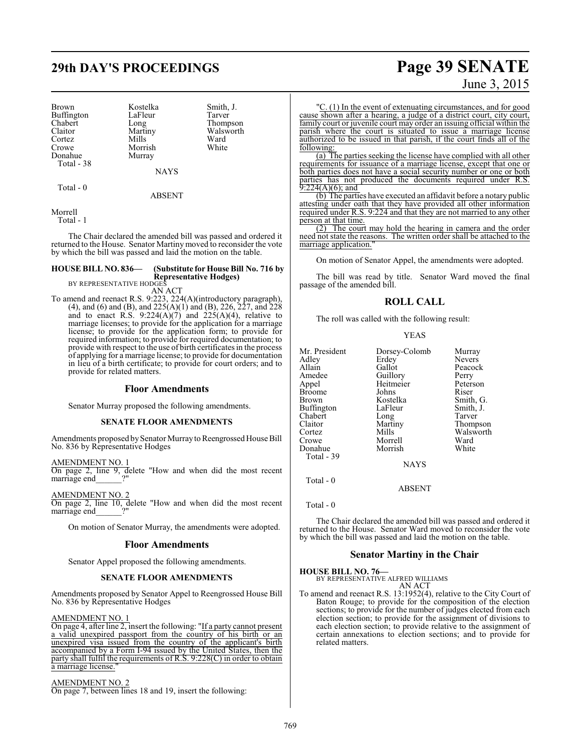# **29th DAY'S PROCEEDINGS Page 39 SENATE**

Brown Kostelka Smith, J.<br>Buffington LaFleur Tarver Buffington LaFle<br>Chabert Long Chabert Long Thompson<br>Claitor Martiny Walsworth Cortez Mills Ward<br>Crowe Morrish White Crowe Morrish<br>
Donahue Murray Total - 38

Martiny Walsworth<br>Mills Ward Murray

**NAYS** 

Total - 0

ABSENT

Morrell

Total - 1

The Chair declared the amended bill was passed and ordered it returned to the House. Senator Martinymoved to reconsider the vote by which the bill was passed and laid the motion on the table.

### **HOUSE BILL NO. 836— (Substitute for House Bill No. 716 by Representative Hodges)**

BY REPRESENTATIVE HODGES AN ACT

To amend and reenact R.S. 9:223, 224(A)(introductory paragraph), (4), and (6) and (B), and 225(A)(1) and (B), 226, 227, and 228 and to enact R.S.  $9:224(A)(7)$  and  $225(A)(4)$ , relative to marriage licenses; to provide for the application for a marriage license; to provide for the application form; to provide for required information; to provide for required documentation; to provide with respect to the use of birth certificates in the process of applying for a marriage license; to provide for documentation in lieu of a birth certificate; to provide for court orders; and to provide for related matters.

### **Floor Amendments**

Senator Murray proposed the following amendments.

### **SENATE FLOOR AMENDMENTS**

Amendments proposed by Senator Murray to Reengrossed House Bill No. 836 by Representative Hodges

AMENDMENT NO. 1

On page 2, line 9, delete "How and when did the most recent marriage end\_\_\_\_\_\_?"

AMENDMENT NO. 2 On page 2, line 10, delete "How and when did the most recent marriage end\_\_\_\_\_\_?"

On motion of Senator Murray, the amendments were adopted.

### **Floor Amendments**

Senator Appel proposed the following amendments.

### **SENATE FLOOR AMENDMENTS**

Amendments proposed by Senator Appel to Reengrossed House Bill No. 836 by Representative Hodges

### AMENDMENT NO. 1

On page 4, after line 2, insert the following: "If a party cannot present a valid unexpired passport from the country of his birth or an unexpired visa issued from the country of the applicant's birth accompanied by a Form I-94 issued by the United States, then the party shall fulfil the requirements of R.S. 9:228(C) in order to obtain a marriage license.

### AMENDMENT NO. 2

On page 7, between lines 18 and 19, insert the following:

# June 3, 2015

"C. (1) In the event of extenuating circumstances, and for good cause shown after a hearing, a judge of a district court, city court, family court or juvenile court may order an issuing official within the parish where the court is situated to issue a marriage license authorized to be issued in that parish, if the court finds all of the following:

(a) The parties seeking the license have complied with all other requirements for issuance of a marriage license, except that one or both parties does not have a social security number or one or both parties has not produced the documents required under R.S.  $9:224(A)(6)$ ; and

(b) The parties have executed an affidavit before a notary public attesting under oath that they have provided all other information required under R.S. 9:224 and that they are not married to any other person at that time.

(2) The court may hold the hearing in camera and the order need not state the reasons. The written order shall be attached to the marriage application.

On motion of Senator Appel, the amendments were adopted.

The bill was read by title. Senator Ward moved the final passage of the amended bill.

### **ROLL CALL**

The roll was called with the following result:

|--|--|

| Mr. President | Dorsey-Colomb | Murray        |
|---------------|---------------|---------------|
| Adley         | Erdey         | <b>Nevers</b> |
| Allain        | Gallot        | Peacock       |
| Amedee        | Guillory      | Perry         |
| Appel         | Heitmeier     | Peterson      |
| Broome        | Johns         | Riser         |
| Brown         | Kostelka      | Smith, G.     |
| Buffington    | LaFleur       | Smith, J.     |
| Chabert       | Long          | Tarver        |
| Claitor       | Martiny       | Thompson      |
| Cortez        | Mills         | Walsworth     |
| Crowe         | Morrell       | Ward          |
| Donahue       | Morrish       | White         |
| Total - 39    |               |               |
|               | <b>NAYS</b>   |               |
|               |               |               |

ABSENT

Total - 0

Total - 0

The Chair declared the amended bill was passed and ordered it returned to the House. Senator Ward moved to reconsider the vote by which the bill was passed and laid the motion on the table.

### **Senator Martiny in the Chair**

**HOUSE BILL NO. 76—** BY REPRESENTATIVE ALFRED WILLIAMS

AN ACT

To amend and reenact R.S. 13:1952(4), relative to the City Court of Baton Rouge; to provide for the composition of the election sections; to provide for the number of judges elected from each election section; to provide for the assignment of divisions to each election section; to provide relative to the assignment of certain annexations to election sections; and to provide for related matters.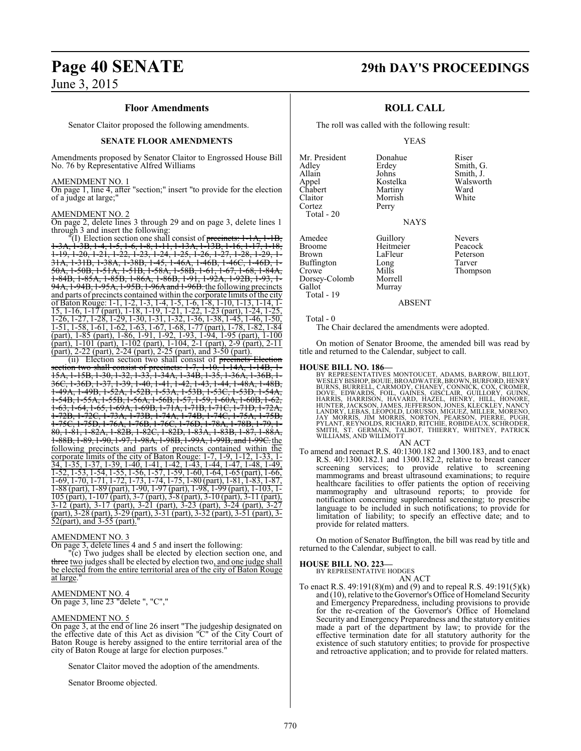# **Page 40 SENATE 29th DAY'S PROCEEDINGS**

## June 3, 2015

### **Floor Amendments**

Senator Claitor proposed the following amendments.

### **SENATE FLOOR AMENDMENTS**

Amendments proposed by Senator Claitor to Engrossed House Bill No. 76 by Representative Alfred Williams

### AMENDMENT NO. 1

On page 1, line 4, after "section;" insert "to provide for the election of a judge at large;"

### AMENDMENT NO. 2

On page 2, delete lines 3 through 29 and on page 3, delete lines 1 through 3 and insert the following:

(I) Election section one shall consist of precincts: 1-1A, 1-3A, 1-3B, 1-4, 1-5, 1-6, 1-8, 1-11, 1-13A, 1-13B, 1-16, 1-17, 1-18, 1-19, 1-20, 1-21, 1-22, 1-23, 1-24, 1-25, 1-26, 1-27, 1-28, 1-29, 1- 31A, 1-31B, 1-38A, 1-38B, 1-45, 1-46A, 1-46B, 1-46C, 1-46D, 1- 50A, 1-50B, 1-51A, 1-51B, 1-58A, 1-58B, 1-61, 1-67, 1-68, 1-84A, 1-84B, 1-85A, 1-85B, 1-86A, 1-86B, 1-91, 1-92A, 1-92B, 1-93, 1- 94A, 1-94B, 1-95A, 1-95B, 1-96A and 1-96B, the following precincts and parts of precincts contained within the corporate limits of the city of Baton Rouge: 1-1, 1-2, 1-3, 1-4, 1-5, 1-6, 1-8, 1-10, 1-13, 1-14, 1- 15, 1-16, 1-17 (part), 1-18, 1-19, 1-21, 1-22, 1-23 (part), 1-24, 1-25, 1-26, 1-27, 1-28, 1-29, 1-30, 1-31, 1-32, 1-36, 1-38, 1-45, 1-46, 1-50, 1-51, 1-58, 1-61, 1-62, 1-63, 1-67, 1-68, 1-77 (part), 1-78, 1-82, 1-84 (part), 1-85 (part), 1-86, 1-91, 1-92, 1-93, 1-94, 1-95 (part), 1-100 (part), 1-101 (part), 1-102 (part), 1-104, 2-1 (part), 2-9 (part), 2-11 (part), 2-22 (part), 2-24 (part), 2-25 (part), and 3-50 (part).

(ii) Election section two shall consist of precincts Election section two shall consist of precincts: 1-7, 1-10, 1-14A, 1-14B, 1- 15A, 1-15B, 1-30, 1-32, 1-33, 1-34A, 1-34B, 1-35, 1-36A, 1-36B, 1- 36C, 1-36D, 1-37, 1-39, 1-40, 1-41, 1-42, 1-43, 1-44, 1-48A, 1-48B, 1-49A, 1-49B, 1-52A, 1-52B, 1-53A, 1-53B, 1-53C, 1-53D, 1-54A, 1-54B, 1-55A, 1-55B, 1-56A, 1-56B, 1-57, 1-59, 1-60A, 1-60B, 1-62, 1-63, 1-64, 1-65, 1-69A, 1-69B, 1-71A, 1-71B, 1-71C, 1-71D, 1-72A, 1-72B, 1-72C, 1-73A, 1-73B, 1-74A, 1-74B, 1-74C, 1-75A, 1-75B, 1-75C, 1-75D, 1-76A, 1-76B, 1-76C, 1-76D, 1-78A, 1-78B, 1-79, 1- 80, 1-81, 1-82A, 1-82B, 1-82C, 1-82D, 1-83A, 1-83B, 1-87, 1-88A, 1-88B, 1-89, 1-90, 1-97, 1-98A, 1-98B, 1-99A, 1-99B, and 1-99C. the following precincts and parts of precincts contained within the corporate limits of the city of Baton Rouge: 1-7, 1-9, 1-12, 1-33, 1- 34, 1-35, 1-37, 1-39, 1-40, 1-41, 1-42, 1-43, 1-44, 1-47, 1-48, 1-49,  $\frac{1}{1-52}$ ,  $\frac{1}{1-52}$ ,  $\frac{1}{1-52}$ ,  $\frac{1}{1-55}$ ,  $\frac{1}{1-56}$ ,  $\frac{1}{1-57}$ ,  $\frac{1}{1-59}$ ,  $\frac{1}{1-60}$ ,  $\frac{1}{1-64}$ ,  $\frac{1}{1-65}$  (part),  $\frac{1}{1-66}$ , 1-69, 1-70, 1-71, 1-72, 1-73, 1-74, 1-75, 1-80 (part), 1-81, 1-83, 1-87, 1-88 (part), 1-89 (part), 1-90, 1-97 (part), 1-98, 1-99 (part), 1-103, 1- 105 (part), 1-107 (part), 3-7 (part), 3-8 (part), 3-10 (part), 3-11 (part), 3-12 (part), 3-17 (part), 3-21 (part), 3-23 (part), 3-24 (part), 3-27 (part), 3-28 (part), 3-29 (part), 3-31 (part), 3-32 (part), 3-51 (part), 3- 52(part), and 3-55 (part)."

### AMENDMENT NO. 3

On page 3, delete lines 4 and 5 and insert the following:

"(c) Two judges shall be elected by election section one, and three two judges shall be elected by election two, and one judge shall be elected from the entire territorial area of the city of Baton Rouge at large.

### AMENDMENT NO. 4 On page 3, line 23 "delete ", "C","

### AMENDMENT NO. 5

On page 3, at the end of line 26 insert "The judgeship designated on the effective date of this Act as division "C" of the City Court of Baton Rouge is hereby assigned to the entire territorial area of the city of Baton Rouge at large for election purposes."

Senator Claitor moved the adoption of the amendments.

Senator Broome objected.

### **ROLL CALL**

The roll was called with the following result:

Morrish Perry

### YEAS

| Mr. President |  |
|---------------|--|
| Adley         |  |
| Allain        |  |
| Appel         |  |
| Chabert       |  |
| Claitor       |  |
| Cortez        |  |
| Total - 20    |  |
|               |  |
|               |  |

Donahue Riser<br>Erdey Smith Erdey Smith, G.<br>Johns Smith, J. Johns Smith, J.<br>Kostelka Walswor Walsworth<br>Ward Martiny Ward<br>
Morrish White

NAYS

Amedee Guillory Nevers<br>
Broome Heitmeier Peacock Broome Heitmeier<br>Brown LaFleur Buffington Long<br>Crowe Mills Dorsey-Colomb<br>Gallot Murray Total - 19

LaFleur Peterson<br>Long Tarver Mills Thompson<br>Morrell

### Total - 0

The Chair declared the amendments were adopted.

On motion of Senator Broome, the amended bill was read by title and returned to the Calendar, subject to call.

ABSENT

HOUSE BILL NO. 186—<br>BY REPRESENTATIVES MONTOUCET, ADAMS, BARROW, BILLIOT, WESLEY BISHOP, BOUIE, BROADWATER, BROWN, BURFORD, HENRY<br>BURNS, BURRELL, CARMODY, CHANEY, CONNICK, COX, CROMER,<br>DOVE, EDWARDS, FOIL, GAINES, GISCLAIR

### AN ACT

To amend and reenact R.S. 40:1300.182 and 1300.183, and to enact R.S. 40:1300.182.1 and 1300.182.2, relative to breast cancer screening services; to provide relative to screening mammograms and breast ultrasound examinations; to require healthcare facilities to offer patients the option of receiving mammography and ultrasound reports; to provide for notification concerning supplemental screening; to prescribe language to be included in such notifications; to provide for limitation of liability; to specify an effective date; and to provide for related matters.

On motion of Senator Buffington, the bill was read by title and returned to the Calendar, subject to call.

## **HOUSE BILL NO. 223—** BY REPRESENTATIVE HODGES

AN ACT

To enact R.S. 49:191(8)(m) and (9) and to repeal R.S. 49:191(5)(k) and (10), relative to the Governor's Office of Homeland Security and Emergency Preparedness, including provisions to provide for the re-creation of the Governor's Office of Homeland Security and Emergency Preparedness and the statutory entities made a part of the department by law; to provide for the effective termination date for all statutory authority for the existence of such statutory entities; to provide for prospective and retroactive application; and to provide for related matters.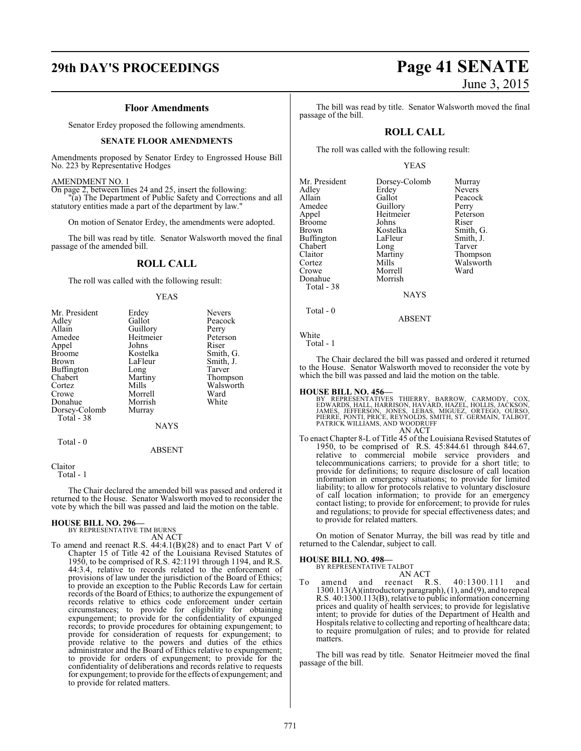### **Floor Amendments**

Senator Erdey proposed the following amendments.

### **SENATE FLOOR AMENDMENTS**

Amendments proposed by Senator Erdey to Engrossed House Bill No. 223 by Representative Hodges

### AMENDMENT NO. 1

On page 2, between lines 24 and 25, insert the following: "(a) The Department of Public Safety and Corrections and all statutory entities made a part of the department by law."

On motion of Senator Erdey, the amendments were adopted.

The bill was read by title. Senator Walsworth moved the final passage of the amended bill.

### **ROLL CALL**

The roll was called with the following result:

### YEAS

| Mr. President | Erdey         | <b>Nevers</b> |
|---------------|---------------|---------------|
| Adley         | Gallot        | Peacock       |
| Allain        | Guillory      | Perry         |
| Amedee        | Heitmeier     | Peterson      |
| Appel         | Johns         | Riser         |
| <b>Broome</b> | Kostelka      | Smith, G.     |
| Brown         | LaFleur       | Smith, J.     |
| Buffington    | Long          | Tarver        |
| Chabert       | Martiny       | Thompson      |
| Cortez        | Mills         | Walsworth     |
| Crowe         | Morrell       | Ward          |
| Donahue       | Morrish       | White         |
| Dorsey-Colomb | Murray        |               |
| Total - 38    |               |               |
|               | <b>NAYS</b>   |               |
| Total $-0$    |               |               |
|               | <b>ABSENT</b> |               |

Claitor

Total - 1

The Chair declared the amended bill was passed and ordered it returned to the House. Senator Walsworth moved to reconsider the vote by which the bill was passed and laid the motion on the table.

### **HOUSE BILL NO. 296—** BY REPRESENTATIVE TIM BURNS

AN ACT

To amend and reenact R.S. 44:4.1(B)(28) and to enact Part V of Chapter 15 of Title 42 of the Louisiana Revised Statutes of 1950, to be comprised of R.S. 42:1191 through 1194, and R.S. 44:3.4, relative to records related to the enforcement of provisions of law under the jurisdiction of the Board of Ethics; to provide an exception to the Public Records Law for certain records of the Board of Ethics; to authorize the expungement of records relative to ethics code enforcement under certain circumstances; to provide for eligibility for obtaining expungement; to provide for the confidentiality of expunged records; to provide procedures for obtaining expungement; to provide for consideration of requests for expungement; to provide relative to the powers and duties of the ethics administrator and the Board of Ethics relative to expungement; to provide for orders of expungement; to provide for the confidentiality of deliberations and records relative to requests for expungement; to provide for the effects of expungement; and to provide for related matters.

The bill was read by title. Senator Walsworth moved the final passage of the bill.

### **ROLL CALL**

The roll was called with the following result:

### YEAS

| Mr. President | Dorsey-Colomb  | Murray        |
|---------------|----------------|---------------|
| Adley         | Erdey          | <b>Nevers</b> |
| Allain        | Gallot         | Peacock       |
| Amedee        | Guillory       | Perry         |
| Appel         | Heitmeier      | Peterson      |
| <b>Broome</b> | Johns          | Riser         |
| <b>Brown</b>  | Kostelka       | Smith, G.     |
| Buffington    | LaFleur        | Smith, J.     |
| Chabert       | Long           | Tarver        |
| Claitor       | Martiny        | Thompson      |
| Cortez        | Mills          | Walsworth     |
| Crowe         | Morrell        | Ward          |
| Donahue       | Morrish        |               |
| Total - 38    |                |               |
|               | <b>ATA STO</b> |               |

NAYS

### ABSENT

White Total - 1

Total - 0

The Chair declared the bill was passed and ordered it returned to the House. Senator Walsworth moved to reconsider the vote by which the bill was passed and laid the motion on the table.

**HOUSE BILL NO. 456—**<br>BY REPRESENTATIVES THIERRY, BARROW, CARMODY, COX,<br>EDWARDS, HALL, HARRISON, HAVARD, HAZEL, HOLLIS, JACKSON,<br>JAMES, JEFFERSON, JONES, LEBAS, MIGUEZ, ORTEGO, OURSO,<br>PERRE, PONTI, PRICE, REYNOLDS, SMITH,

To enact Chapter 8-L of Title 45 of the Louisiana Revised Statutes of 1950, to be comprised of R.S. 45:844.61 through 844.67, relative to commercial mobile service providers and telecommunications carriers; to provide for a short title; to provide for definitions; to require disclosure of call location information in emergency situations; to provide for limited liability; to allow for protocols relative to voluntary disclosure of call location information; to provide for an emergency contact listing; to provide for enforcement; to provide for rules and regulations; to provide for special effectiveness dates; and to provide for related matters.

On motion of Senator Murray, the bill was read by title and returned to the Calendar, subject to call.

### **HOUSE BILL NO. 498—**

BY REPRESENTATIVE TALBOT

AN ACT<br>reenact R.S. To amend and reenact R.S. 40:1300.111 and 1300.113(A)(introductory paragraph), (1), and (9), and to repeal R.S. 40:1300.113(B), relative to public information concerning prices and quality of health services; to provide for legislative intent; to provide for duties of the Department of Health and Hospitals relative to collecting and reporting of healthcare data; to require promulgation of rules; and to provide for related matters.

The bill was read by title. Senator Heitmeier moved the final passage of the bill.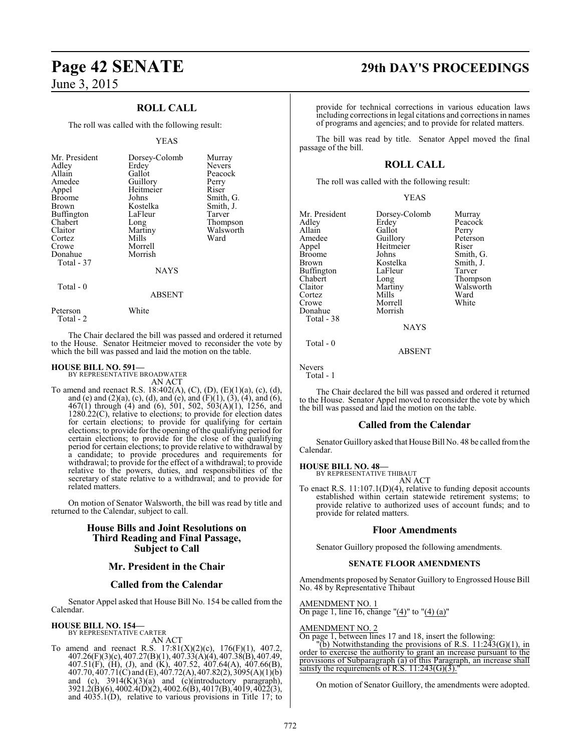### **ROLL CALL**

The roll was called with the following result:

### YEAS

| Mr. President<br>Adley<br>Allain<br>Amedee<br>Appel<br><b>Broome</b><br><b>Brown</b><br>Buffington<br>Chabert<br>Claitor<br>Cortez<br>Crowe<br>Donahue | Dorsey-Colomb<br>Erdey<br>Gallot<br>Guillory<br>Heitmeier<br>Johns<br>Kostelka<br>LaFleur<br>Long<br>Martiny<br>Mills<br>Morrell<br>Morrish | Murray<br><b>Nevers</b><br>Peacock<br>Perry<br>Riser<br>Smith, G.<br>Smith, J.<br>Tarver<br>Thompson<br>Walsworth<br>Ward |
|--------------------------------------------------------------------------------------------------------------------------------------------------------|---------------------------------------------------------------------------------------------------------------------------------------------|---------------------------------------------------------------------------------------------------------------------------|
| Total - 37                                                                                                                                             |                                                                                                                                             |                                                                                                                           |
|                                                                                                                                                        | <b>NAYS</b>                                                                                                                                 |                                                                                                                           |
| Total $-0$                                                                                                                                             | <b>ABSENT</b>                                                                                                                               |                                                                                                                           |

The Chair declared the bill was passed and ordered it returned to the House. Senator Heitmeier moved to reconsider the vote by which the bill was passed and laid the motion on the table.

### **HOUSE BILL NO. 591—**

Peterson White

Total - 2

BY REPRESENTATIVE BROADWATER

AN ACT To amend and reenact R.S. 18:402(A), (C), (D), (E)(1)(a), (c), (d), and (e) and (2)(a), (c), (d), and (e), and (F)(1), (3), (4), and (6), 467(1) through (4) and (6), 501, 502, 503(A)(1), 1256, and 1280.22(C), relative to elections; to provide for election dates for certain elections; to provide for qualifying for certain elections; to provide for the opening of the qualifying period for certain elections; to provide for the close of the qualifying period for certain elections; to provide relative to withdrawal by a candidate; to provide procedures and requirements for withdrawal; to provide for the effect of a withdrawal; to provide relative to the powers, duties, and responsibilities of the secretary of state relative to a withdrawal; and to provide for related matters.

On motion of Senator Walsworth, the bill was read by title and returned to the Calendar, subject to call.

### **House Bills and Joint Resolutions on Third Reading and Final Passage, Subject to Call**

### **Mr. President in the Chair**

### **Called from the Calendar**

Senator Appel asked that House Bill No. 154 be called from the Calendar.

### **HOUSE BILL NO. 154—** BY REPRESENTATIVE CARTER

AN ACT To amend and reenact R.S.  $17:81(X)(2)(c)$ ,  $176(F)(1)$ ,  $407.2$ , 407.26(F)(3)(c), 407.27(B)(1), 407.33(A)(4), 407.38(B), 407.49, 407.51(F), (H), (J), and (K), 407.52, 407.64(A), 407.66(B), 407.70, 407.71(C) and (E), 407.72(A), 407.82(2), 3095(A)(1)(b) and (c),  $3914(K)(3)(a)$  and (c)(introductory paragraph), 3921.2(B)(6), 4002.4(D)(2), 4002.6(B), 4017(B), 4019, 4022(3), and 4035.1(D), relative to various provisions in Title 17; to

# **Page 42 SENATE 29th DAY'S PROCEEDINGS**

provide for technical corrections in various education laws including corrections in legal citations and corrections in names of programs and agencies; and to provide for related matters.

The bill was read by title. Senator Appel moved the final passage of the bill.

### **ROLL CALL**

The roll was called with the following result:

| v |  |  |  |
|---|--|--|--|
|---|--|--|--|

Mr. President Dorsey-Colomb Murray<br>Adley Erdey Peacocl Adley Erdey Peacock<br>Allain Gallot Perry Allain Callot Perry<br>Amedee Guillory Peterson Appel Heitmeier<br>Broome Johns Broome Johns Smith, G.<br>Brown Kostelka Smith, J. Buffington LaFle<br>Chabert Long Chabert Long Thompson<br>Claitor Martiny Walsworth Cortez Mills Ward<br>Crowe Morrell White Donahue Total - 38

Morrell<br>Morrish

Guillory Peters<br>
Heitmeier Riser Kostelka Smith,<br>LaFleur Tarver Martiny Walsworth<br>Mills Ward

**NAYS** 

ABSENT

Nevers Total - 1

Total - 0

The Chair declared the bill was passed and ordered it returned to the House. Senator Appel moved to reconsider the vote by which the bill was passed and laid the motion on the table.

### **Called from the Calendar**

Senator Guillory asked that House Bill No. 48 be called fromthe Calendar.

# **HOUSE BILL NO. 48—** BY REPRESENTATIVE THIBAUT

AN ACT

To enact R.S. 11:107.1(D)(4), relative to funding deposit accounts established within certain statewide retirement systems; to provide relative to authorized uses of account funds; and to provide for related matters.

### **Floor Amendments**

Senator Guillory proposed the following amendments.

### **SENATE FLOOR AMENDMENTS**

Amendments proposed by Senator Guillory to Engrossed House Bill No. 48 by Representative Thibaut

AMENDMENT NO. 1 On page 1, line 16, change "(4)" to "(4) (a)"

AMENDMENT NO. 2

On page 1, between lines 17 and 18, insert the following:

(b) Notwithstanding the provisions of R.S.  $11:243(G)(1)$ , in order to exercise the authority to grant an increase pursuant to the provisions of Subparagraph (a) of this Paragraph, an increase shall satisfy the requirements of R.S.  $11:243(G)(3)$ ."

On motion of Senator Guillory, the amendments were adopted.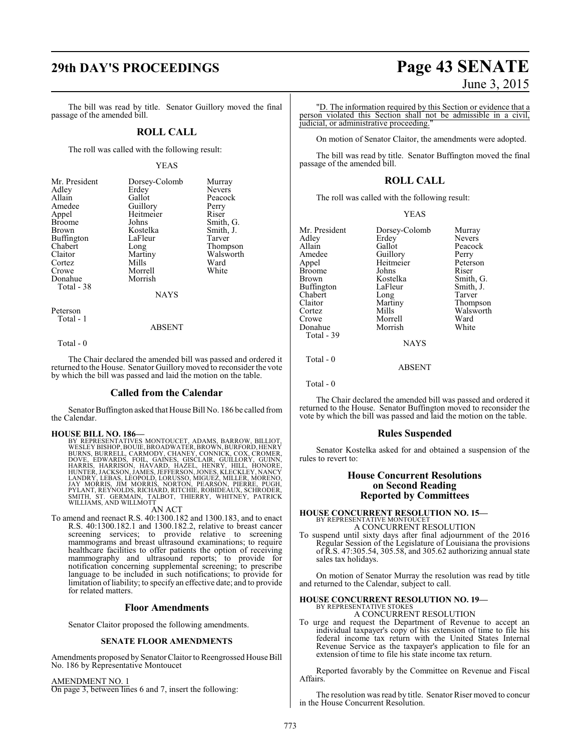The bill was read by title. Senator Guillory moved the final passage of the amended bill.

### **ROLL CALL**

The roll was called with the following result:

### YEAS

| Mr. President | Dorsey-Colomb | Murray        |
|---------------|---------------|---------------|
| Adlev         | Erdey         | <b>Nevers</b> |
| Allain        | Gallot        | Peacock       |
| Amedee        | Guillory      | Perry         |
| Appel         | Heitmeier     | Riser         |
| Broome        | Johns         | Smith, G.     |
| Brown         | Kostelka      | Smith, J.     |
| Buffington    | LaFleur       | Tarver        |
| Chabert       | Long          | Thompson      |
| Claitor       | Martiny       | Walsworth     |
| Cortez        | Mills         | Ward          |
| Crowe         | Morrell       | White         |
| Donahue       | Morrish       |               |
| Total - 38    |               |               |
|               | <b>NAYS</b>   |               |
| Peterson      |               |               |

Total - 1

ABSENT

Total - 0

The Chair declared the amended bill was passed and ordered it returned to the House. Senator Guillorymoved to reconsider the vote by which the bill was passed and laid the motion on the table.

### **Called from the Calendar**

Senator Buffington asked that House Bill No. 186 be called from the Calendar.

### **HOUSE BILL NO. 186—**

BY REPRESENTATIVES MONTOUCET, ADAMS, BARROW, BILLIOT, WESLEY BISHOP, BOUIE, BROADWATER, BROWN, BURNEO, BURNEO, BURNEO, BURNEO, CONNER, GISCLAIR, GUICLORY, GUINNE, HARRIS, AND HARRIS, HARRISON, HAVARD, HAZEL, HENRY, CHOMORE

### AN ACT

To amend and reenact R.S. 40:1300.182 and 1300.183, and to enact R.S. 40:1300.182.1 and 1300.182.2, relative to breast cancer screening services; to provide relative to screening mammograms and breast ultrasound examinations; to require healthcare facilities to offer patients the option of receiving mammography and ultrasound reports; to provide for notification concerning supplemental screening; to prescribe language to be included in such notifications; to provide for limitation ofliability; to specify an effective date; and to provide for related matters.

### **Floor Amendments**

Senator Claitor proposed the following amendments.

### **SENATE FLOOR AMENDMENTS**

Amendments proposed by SenatorClaitor to Reengrossed House Bill No. 186 by Representative Montoucet

### AMENDMENT NO. 1

On page 3, between lines 6 and 7, insert the following:

# **29th DAY'S PROCEEDINGS Page 43 SENATE** June 3, 2015

"D. The information required by this Section or evidence that a person violated this Section shall not be admissible in a civil, judicial, or administrative proceeding.

On motion of Senator Claitor, the amendments were adopted.

The bill was read by title. Senator Buffington moved the final passage of the amended bill.

### **ROLL CALL**

The roll was called with the following result:

| v |
|---|
|   |
|   |

| Mr. President     | Dorsey-Colomb | Murray        |
|-------------------|---------------|---------------|
| Adley             | Erdey         | <b>Nevers</b> |
| Allain            | Gallot        | Peacock       |
| Amedee            | Guillory      | Perry         |
| Appel             | Heitmeier     | Peterson      |
| <b>Broome</b>     | Johns         | Riser         |
| Brown             | Kostelka      | Smith, G.     |
| <b>Buffington</b> | LaFleur       | Smith, J.     |
| Chabert           | Long          | Tarver        |
| Claitor           | Martiny       | Thompson      |
| Cortez            | Mills         | Walsworth     |
| Crowe             | Morrell       | Ward          |
| Donahue           | Morrish       | White         |
| Total - 39        |               |               |

ABSENT

**NAYS** 

Total - 0

Total - 0

The Chair declared the amended bill was passed and ordered it returned to the House. Senator Buffington moved to reconsider the vote by which the bill was passed and laid the motion on the table.

### **Rules Suspended**

Senator Kostelka asked for and obtained a suspension of the rules to revert to:

### **House Concurrent Resolutions on Second Reading Reported by Committees**

**HOUSE CONCURRENT RESOLUTION NO. 15—** BY REPRESENTATIVE MONTOUCET A CONCURRENT RESOLUTION

To suspend until sixty days after final adjournment of the 2016 Regular Session of the Legislature of Louisiana the provisions of R.S. 47:305.54, 305.58, and 305.62 authorizing annual state sales tax holidays.

On motion of Senator Murray the resolution was read by title and returned to the Calendar, subject to call.

### **HOUSE CONCURRENT RESOLUTION NO. 19—**

BY REPRESENTATIVE STOKES A CONCURRENT RESOLUTION

To urge and request the Department of Revenue to accept an individual taxpayer's copy of his extension of time to file his federal income tax return with the United States Internal Revenue Service as the taxpayer's application to file for an extension of time to file his state income tax return.

Reported favorably by the Committee on Revenue and Fiscal Affairs.

The resolution was read by title. Senator Riser moved to concur in the House Concurrent Resolution.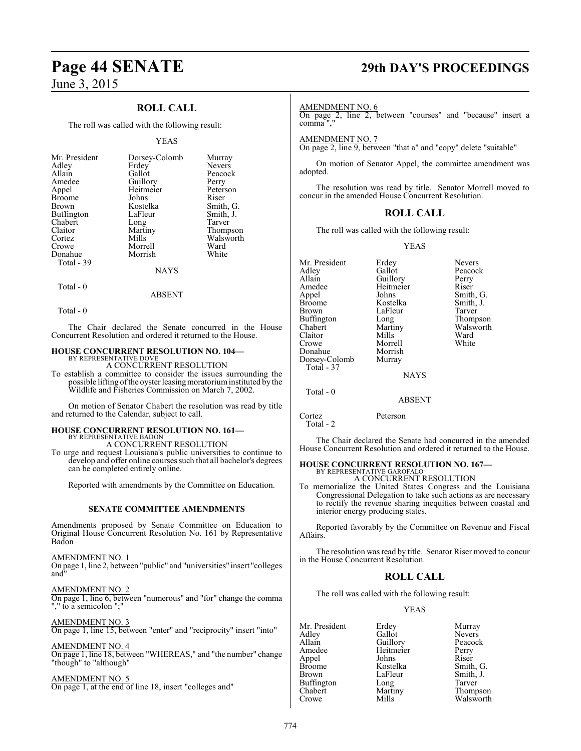### **ROLL CALL**

The roll was called with the following result:

### YEAS

| Mr. President | Dorsey-Colomb | Murray        |
|---------------|---------------|---------------|
| Adley         | Erdey         | <b>Nevers</b> |
| Allain        | Gallot        | Peacock       |
| Amedee        | Guillory      | Perry         |
| Appel         | Heitmeier     | Peterson      |
| <b>Broome</b> | Johns         | Riser         |
| <b>Brown</b>  | Kostelka      | Smith, G.     |
| Buffington    | LaFleur       | Smith, J.     |
| Chabert       | Long          | Tarver        |
| Claitor       | Martiny       | Thompson      |
| Cortez        | Mills         | Walsworth     |
| Crowe         | Morrell       | Ward          |
| Donahue       | Morrish       | White         |
| Total - 39    |               |               |
|               | NAYS          |               |

 $Total - 0$ 

Total - 0

The Chair declared the Senate concurred in the House Concurrent Resolution and ordered it returned to the House.

ABSENT

### **HOUSE CONCURRENT RESOLUTION NO. 104—** BY REPRESENTATIVE DOVE

A CONCURRENT RESOLUTION

To establish a committee to consider the issues surrounding the possible lifting of the oyster leasing moratorium instituted by the Wildlife and Fisheries Commission on March 7, 2002.

On motion of Senator Chabert the resolution was read by title and returned to the Calendar, subject to call.

### **HOUSE CONCURRENT RESOLUTION NO. 161—** BY REPRESENTATIVE BADON

A CONCURRENT RESOLUTION

To urge and request Louisiana's public universities to continue to develop and offer online courses such that all bachelor's degrees can be completed entirely online.

Reported with amendments by the Committee on Education.

### **SENATE COMMITTEE AMENDMENTS**

Amendments proposed by Senate Committee on Education to Original House Concurrent Resolution No. 161 by Representative Badon

### AMENDMENT NO. 1

On page 1, line 2, between "public" and "universities" insert "colleges and"

AMENDMENT NO. 2

On page 1, line 6, between "numerous" and "for" change the comma "," to a semicolon ";"

AMENDMENT NO. 3 On page 1, line 15, between "enter" and "reciprocity" insert "into"

AMENDMENT NO. 4 On page 1, line 18, between "WHEREAS," and "the number" change "though" to "although"

### AMENDMENT NO. 5

On page 1, at the end of line 18, insert "colleges and"

# **Page 44 SENATE 29th DAY'S PROCEEDINGS**

### AMENDMENT NO. 6

On page 2, line 2, between "courses" and "because" insert a comma ","

AMENDMENT NO. 7 On page 2, line 9, between "that a" and "copy" delete "suitable"

On motion of Senator Appel, the committee amendment was adopted.

The resolution was read by title. Senator Morrell moved to concur in the amended House Concurrent Resolution.

### **ROLL CALL**

The roll was called with the following result:

YEAS

| Mr. President<br>Adley<br>Allain<br>Amedee<br>Appel<br><b>Broome</b><br><b>Brown</b><br><b>Buffington</b><br>Chabert<br>Claitor<br>Crowe<br>Donahue<br>Dorsey-Colomb<br>Total - 37 | Erdey<br>Gallot<br>Guillory<br>Heitmeier<br>Johns<br>Kostelka<br>LaFleur<br>Long<br>Martiny<br>Mills<br>Morrell<br>Morrish<br>Murray<br><b>NAYS</b> | <b>Nevers</b><br>Peacock<br>Perry<br>Riser<br>Smith, G.<br>Smith, J.<br>Tarver<br>Thompson<br>Walsworth<br>Ward<br>White |
|------------------------------------------------------------------------------------------------------------------------------------------------------------------------------------|-----------------------------------------------------------------------------------------------------------------------------------------------------|--------------------------------------------------------------------------------------------------------------------------|
|                                                                                                                                                                                    |                                                                                                                                                     |                                                                                                                          |
| Total - 0                                                                                                                                                                          | <b>ABSENT</b>                                                                                                                                       |                                                                                                                          |

Cortez Peterson

 Total - 2 The Chair declared the Senate had concurred in the amended House Concurrent Resolution and ordered it returned to the House.

# **HOUSE CONCURRENT RESOLUTION NO. 167—** BY REPRESENTATIVE GAROFALO

A CONCURRENT RESOLUTION

To memorialize the United States Congress and the Louisiana Congressional Delegation to take such actions as are necessary to rectify the revenue sharing inequities between coastal and interior energy producing states.

Reported favorably by the Committee on Revenue and Fiscal Affairs.

The resolution was read by title. Senator Riser moved to concur in the House Concurrent Resolution.

### **ROLL CALL**

The roll was called with the following result:

### YEAS

| Mr. President | Erdey     | Murray        |
|---------------|-----------|---------------|
| Adley         | Gallot    | <b>Nevers</b> |
| Allain        | Guillory  | Peacock       |
| Amedee        | Heitmeier | Perry         |
| Appel         | Johns     | Riser         |
| <b>Broome</b> | Kostelka  | Smith, G.     |
| <b>Brown</b>  | LaFleur   | Smith, J.     |
| Buffington    | Long      | Tarver        |
| Chabert       | Martiny   | Thompson      |
| Crowe         | Mills     | Walsworth     |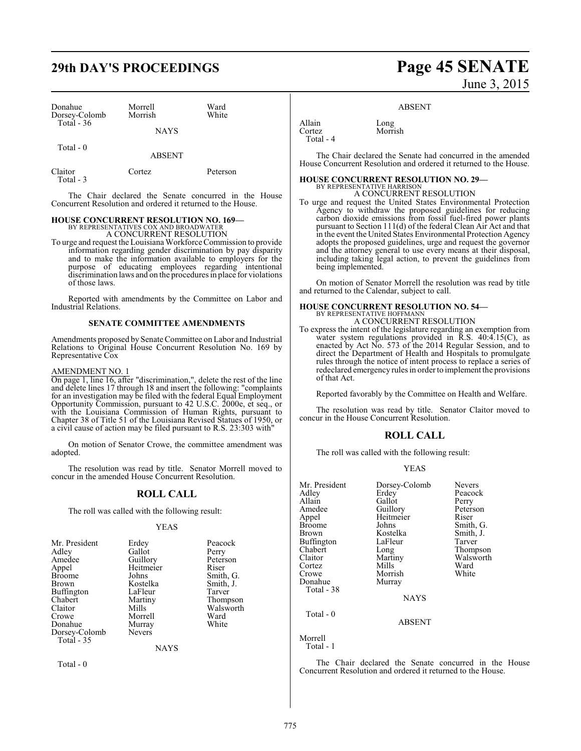# **29th DAY'S PROCEEDINGS Page 45 SENATE**

| Donahue<br>Dorsey-Colomb<br>Total - 36 | Morrell<br>Morrish | Ward<br>White |
|----------------------------------------|--------------------|---------------|
|                                        | <b>NAYS</b>        |               |
| Total $-0$                             | <b>ABSENT</b>      |               |
| Claitor                                | Cortez             | Peterson      |

The Chair declared the Senate concurred in the House Concurrent Resolution and ordered it returned to the House.

### **HOUSE CONCURRENT RESOLUTION NO. 169—**

BY REPRESENTATIVES COX AND BROADWATER A CONCURRENT RESOLUTION

To urge and request theLouisiana Workforce Commission to provide information regarding gender discrimination by pay disparity and to make the information available to employers for the purpose of educating employees regarding intentional discrimination laws and on the procedures in place for violations of those laws.

Reported with amendments by the Committee on Labor and Industrial Relations.

### **SENATE COMMITTEE AMENDMENTS**

Amendments proposed by Senate Committee on Labor and Industrial Relations to Original House Concurrent Resolution No. 169 by Representative Cox

### AMENDMENT NO. 1

Total - 3

On page 1, line 16, after "discrimination,", delete the rest of the line and delete lines 17 through 18 and insert the following: "complaints for an investigation may be filed with the federal Equal Employment Opportunity Commission, pursuant to 42 U.S.C. 2000e, et seq., or with the Louisiana Commission of Human Rights, pursuant to Chapter 38 of Title 51 of the Louisiana Revised Statues of 1950, or a civil cause of action may be filed pursuant to R.S. 23:303 with"

On motion of Senator Crowe, the committee amendment was adopted.

The resolution was read by title. Senator Morrell moved to concur in the amended House Concurrent Resolution.

### **ROLL CALL**

The roll was called with the following result:

### YEAS

| Mr. President     | Erdey         | Peacock   |
|-------------------|---------------|-----------|
| Adlev             | Gallot        | Perry     |
| Amedee            | Guillory      | Peterson  |
| Appel             | Heitmeier     | Riser     |
| Broome            | Johns         | Smith, G. |
| Brown             | Kostelka      | Smith, J. |
| Buffington        | LaFleur       | Tarver    |
| Chabert           | Martiny       | Thompson  |
| Claitor           | Mills         | Walsworth |
| Crowe             | Morrell       | Ward      |
| Donahue           | Murray        | White     |
| Dorsey-Colomb     | <b>Nevers</b> |           |
| <b>Total - 35</b> |               |           |

NAYS

Total - 0

# June 3, 2015

### ABSENT

Allain Long<br>Cortez Morri Total - 4

The Chair declared the Senate had concurred in the amended House Concurrent Resolution and ordered it returned to the House.

### **HOUSE CONCURRENT RESOLUTION NO. 29—**

Morrish

BY REPRESENTATIVE HARRISON A CONCURRENT RESOLUTION

To urge and request the United States Environmental Protection Agency to withdraw the proposed guidelines for reducing carbon dioxide emissions from fossil fuel-fired power plants pursuant to Section 111(d) of the federal Clean Air Act and that in the event the United States Environmental Protection Agency adopts the proposed guidelines, urge and request the governor and the attorney general to use every means at their disposal, including taking legal action, to prevent the guidelines from being implemented.

On motion of Senator Morrell the resolution was read by title and returned to the Calendar, subject to call.

# **HOUSE CONCURRENT RESOLUTION NO. 54—**<br>BY REPRESENTATIVE HOFFMANN<br>A CONCURRENT RESOLUTION

To express the intent of the legislature regarding an exemption from water system regulations provided in R.S. 40:4.15(C), as enacted by Act No. 573 of the 2014 Regular Session, and to direct the Department of Health and Hospitals to promulgate rules through the notice of intent process to replace a series of redeclared emergency rules in order to implement the provisions of that Act.

Reported favorably by the Committee on Health and Welfare.

The resolution was read by title. Senator Claitor moved to concur in the House Concurrent Resolution.

### **ROLL CALL**

The roll was called with the following result:

### YEAS

| Mr. President<br>Adlev<br>Allain | Dorsey-Colomb<br>Erdey<br>Gallot | Nevers<br>Peacock<br>Perry |
|----------------------------------|----------------------------------|----------------------------|
| Amedee                           | Guillory                         | Peterson                   |
| Appel                            | Heitmeier                        | Riser                      |
| Broome                           | Johns                            | Smith, G.                  |
| Brown                            | Kostelka                         | Smith, J.                  |
| Buffington                       | LaFleur                          | Tarver                     |
| Chabert                          | Long                             | Thompson                   |
| Claitor                          | Martiny                          | Walsworth                  |
| Cortez                           | Mills                            | Ward                       |
| Crowe                            | Morrish                          | White                      |
| Donahue                          | Murray                           |                            |
| Total - 38                       |                                  |                            |
|                                  | <b>NAYS</b>                      |                            |
| Total $-0$                       |                                  |                            |
|                                  | <b>ABSENT</b>                    |                            |
| Morrell                          |                                  |                            |

Total - 1

The Chair declared the Senate concurred in the House Concurrent Resolution and ordered it returned to the House.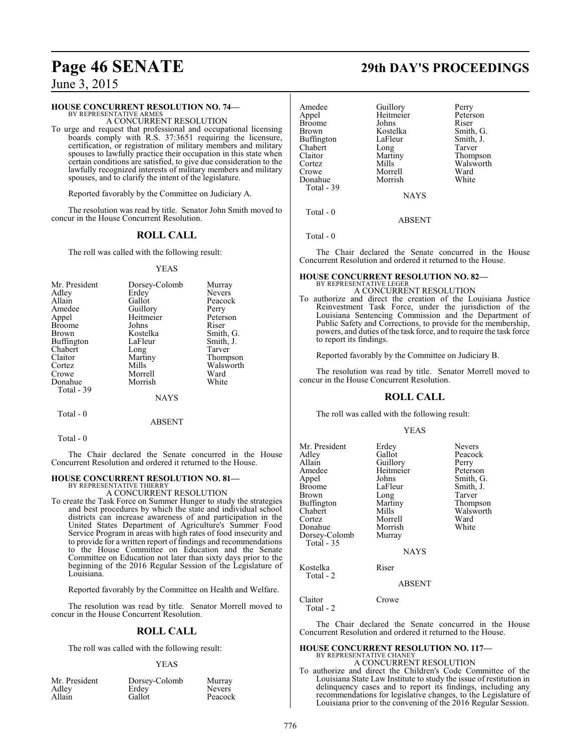### **HOUSE CONCURRENT RESOLUTION NO. 74—**

BY REPRESENTATIVE ARMES A CONCURRENT RESOLUTION

To urge and request that professional and occupational licensing boards comply with R.S. 37:3651 requiring the licensure, certification, or registration of military members and military spouses to lawfully practice their occupation in this state when certain conditions are satisfied, to give due consideration to the lawfully recognized interests of military members and military spouses, and to clarify the intent of the legislature.

Reported favorably by the Committee on Judiciary A.

The resolution was read by title. Senator John Smith moved to concur in the House Concurrent Resolution.

### **ROLL CALL**

The roll was called with the following result:

### YEAS

| Mr. President | Dorsey-Colomb | Murray        |
|---------------|---------------|---------------|
| Adley         | Erdey         | <b>Nevers</b> |
| Allain        | Gallot        | Peacock       |
| Amedee        | Guillory      | Perry         |
| Appel         | Heitmeier     | Peterson      |
| <b>Broome</b> | Johns         | Riser         |
| <b>Brown</b>  | Kostelka      | Smith, G.     |
| Buffington    | LaFleur       | Smith, J.     |
| Chabert       | Long          | Tarver        |
| Claitor       | Martiny       | Thompson      |
| Cortez        | Mills         | Walsworth     |
| Crowe         | Morrell       | Ward          |
| Donahue       | Morrish       | White         |
| Total - 39    |               |               |
|               | NAYS          |               |

Total - 0

ABSENT

Total - 0

The Chair declared the Senate concurred in the House Concurrent Resolution and ordered it returned to the House.

### **HOUSE CONCURRENT RESOLUTION NO. 81—** BY REPRESENTATIVE THIERRY

A CONCURRENT RESOLUTION

To create the Task Force on Summer Hunger to study the strategies and best procedures by which the state and individual school districts can increase awareness of and participation in the United States Department of Agriculture's Summer Food Service Program in areas with high rates of food insecurity and to provide for a written report of findings and recommendations to the House Committee on Education and the Senate Committee on Education not later than sixty days prior to the beginning of the 2016 Regular Session of the Legislature of Louisiana.

Reported favorably by the Committee on Health and Welfare.

The resolution was read by title. Senator Morrell moved to concur in the House Concurrent Resolution.

### **ROLL CALL**

The roll was called with the following result:

### YEAS

| Mr. President | Dorsey-Colomb | Murray        |
|---------------|---------------|---------------|
| Adley         | Erdey         | <b>Nevers</b> |
| Allain        | Gallot        | Peacock       |

# **Page 46 SENATE 29th DAY'S PROCEEDINGS**

| Amedee        | Guillory    | Perry     |
|---------------|-------------|-----------|
| Appel         | Heitmeier   | Peterson  |
| <b>Broome</b> | Johns       | Riser     |
| Brown         | Kostelka    | Smith, G. |
| Buffington    | LaFleur     | Smith, J. |
| Chabert       | Long        | Tarver    |
| Claitor       | Martiny     | Thompson  |
| Cortez        | Mills       | Walsworth |
| Crowe         | Morrell     | Ward      |
| Donahue       | Morrish     | White     |
| Total - 39    |             |           |
|               | <b>NAYS</b> |           |
|               |             |           |

Total - 0

Total - 0

The Chair declared the Senate concurred in the House Concurrent Resolution and ordered it returned to the House.

ABSENT

### **HOUSE CONCURRENT RESOLUTION NO. 82—** BY REPRESENTATIVE LEGER

A CONCURRENT RESOLUTION

To authorize and direct the creation of the Louisiana Justice Reinvestment Task Force, under the jurisdiction of the Louisiana Sentencing Commission and the Department of Public Safety and Corrections, to provide for the membership, powers, and duties of the task force, and to require the task force to report its findings.

Reported favorably by the Committee on Judiciary B.

The resolution was read by title. Senator Morrell moved to concur in the House Concurrent Resolution.

### **ROLL CALL**

The roll was called with the following result:

### YEAS

| Mr. President<br>Adlev<br>Allain<br>Amedee<br>Appel<br>Broome<br>Brown<br>Buffington<br>Chabert<br>Cortez<br>Donahue<br>Dorsey-Colomb<br>Total - 35 | Erdey<br>Gallot<br>Guillory<br>Heitmeier<br>Johns<br>LaFleur<br>Long<br>Martiny<br>Mills<br>Morrell<br>Morrish<br>Murray<br><b>NAYS</b> | <b>Nevers</b><br>Peacock<br>Perry<br>Peterson<br>Smith, G.<br>Smith, J.<br>Tarver<br>Thompson<br>Walsworth<br>Ward<br>White |
|-----------------------------------------------------------------------------------------------------------------------------------------------------|-----------------------------------------------------------------------------------------------------------------------------------------|-----------------------------------------------------------------------------------------------------------------------------|
| Kostelka                                                                                                                                            | Riser                                                                                                                                   |                                                                                                                             |
| Total - 2                                                                                                                                           |                                                                                                                                         |                                                                                                                             |

ABSENT

Claitor Crowe Total - 2

The Chair declared the Senate concurred in the House Concurrent Resolution and ordered it returned to the House.

### **HOUSE CONCURRENT RESOLUTION NO. 117—** BY REPRESENTATIVE CHANEY

A CONCURRENT RESOLUTION

To authorize and direct the Children's Code Committee of the Louisiana State Law Institute to study the issue of restitution in delinquency cases and to report its findings, including any recommendations for legislative changes, to the Legislature of Louisiana prior to the convening of the 2016 Regular Session.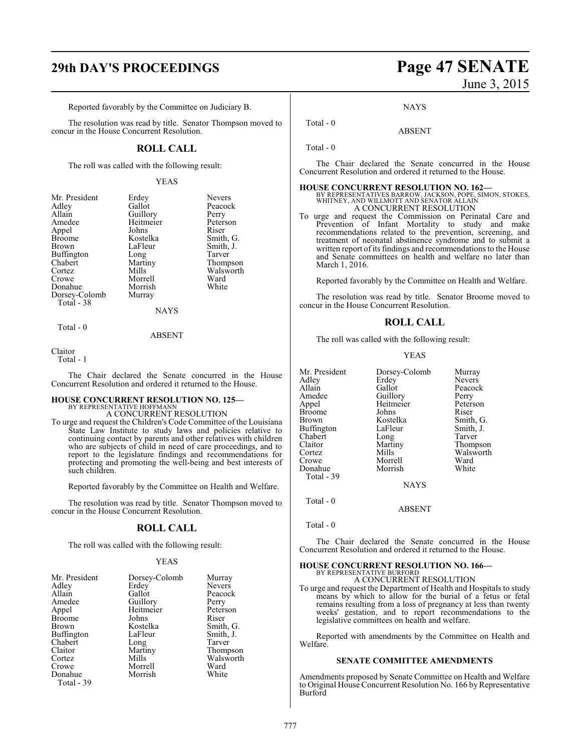# **29th DAY'S PROCEEDINGS Page 47 SENATE**

Reported favorably by the Committee on Judiciary B.

The resolution was read by title. Senator Thompson moved to concur in the House Concurrent Resolution.

### **ROLL CALL**

The roll was called with the following result:

### YEAS

| Mr. President | Erdey     | <b>Nevers</b> |
|---------------|-----------|---------------|
| Adley         | Gallot    | Peacock       |
| Allain        | Guillory  | Perry         |
| Amedee        | Heitmeier | Peterson      |
| Appel         | Johns     | Riser         |
| <b>Broome</b> | Kostelka  | Smith, G.     |
| <b>Brown</b>  | LaFleur   | Smith, J.     |
| Buffington    | Long      | Tarver        |
| Chabert       | Martiny   | Thompson      |
| Cortez        | Mills     | Walsworth     |
| Crowe         | Morrell   | Ward          |
| Donahue       | Morrish   | White         |
| Dorsey-Colomb | Murray    |               |
| Total - 38    |           |               |
|               | NAYS      |               |

Total - 0

ABSENT

### Claitor

Total - 1

The Chair declared the Senate concurred in the House Concurrent Resolution and ordered it returned to the House.

### **HOUSE CONCURRENT RESOLUTION NO. 125—**

BY REPRESENTATIVE HOFFMANN A CONCURRENT RESOLUTION

To urge and request the Children's Code Committee of the Louisiana State Law Institute to study laws and policies relative to continuing contact by parents and other relatives with children who are subjects of child in need of care proceedings, and to report to the legislature findings and recommendations for protecting and promoting the well-being and best interests of such children.

Reported favorably by the Committee on Health and Welfare.

The resolution was read by title. Senator Thompson moved to concur in the House Concurrent Resolution.

### **ROLL CALL**

The roll was called with the following result:

### YEAS

| Mr. President     | Dorsey-Colomb | Murray        |
|-------------------|---------------|---------------|
| Adley             | Erdey         | <b>Nevers</b> |
| Allain            | Gallot        | Peacock       |
| Amedee            | Guillory      | Perry         |
| Appel             | Heitmeier     | Peterson      |
| <b>Broome</b>     | Johns         | Riser         |
| Brown             | Kostelka      | Smith, G.     |
| <b>Buffington</b> | LaFleur       | Smith, J.     |
| Chabert           | Long          | Tarver        |
| Claitor           | Martiny       | Thompson      |
| Cortez            | Mills         | Walsworth     |
| Crowe             | Morrell       | Ward          |
| Donahue           | Morrish       | White         |
| Total - 39        |               |               |

# June 3, 2015

**NAYS** 

ABSENT

Total - 0

Total - 0

The Chair declared the Senate concurred in the House Concurrent Resolution and ordered it returned to the House.

### **HOUSE CONCURRENT RESOLUTION NO. 162—**

BY REPRESENTATIVES BARROW, JACKSON, POPE, SIMON, STOKES, WHITNEY, AND WILLMOTT AND SENATOR ALLAIN A CONCURRENT RESOLUTION

To urge and request the Commission on Perinatal Care and Prevention of Infant Mortality to study and make recommendations related to the prevention, screening, and treatment of neonatal abstinence syndrome and to submit a written report of its findings and recommendations to the House and Senate committees on health and welfare no later than March 1, 2016.

Reported favorably by the Committee on Health and Welfare.

The resolution was read by title. Senator Broome moved to concur in the House Concurrent Resolution.

### **ROLL CALL**

The roll was called with the following result:

### YEAS

| Mr. President     | Dorsey-Colomb | Murray        |
|-------------------|---------------|---------------|
| Adley             | Erdey         | <b>Nevers</b> |
| Allain            | Gallot        | Peacock       |
| Amedee            | Guillory      | Perry         |
| Appel             | Heitmeier     | Peterson      |
| <b>Broome</b>     | Johns         | Riser         |
| <b>Brown</b>      | Kostelka      | Smith, G.     |
| <b>Buffington</b> | LaFleur       | Smith, J.     |
| Chabert           | Long          | Tarver        |
| Claitor           | Martiny       | Thompson      |
| Cortez            | Mills         | Walsworth     |
| Crowe             | Morrell       | Ward          |
| Donahue           | Morrish       | White         |
| Total - 39        |               |               |
|                   | NAVC          |               |

NAYS

ABSENT

Total - 0

Total - 0

The Chair declared the Senate concurred in the House Concurrent Resolution and ordered it returned to the House.

### **HOUSE CONCURRENT RESOLUTION NO. 166—**

BY REPRESENTATIVE BURFORD A CONCURRENT RESOLUTION

To urge and request the Department of Health and Hospitals to study means by which to allow for the burial of a fetus or fetal remains resulting from a loss of pregnancy at less than twenty weeks' gestation, and to report recommendations to the legislative committees on health and welfare.

Reported with amendments by the Committee on Health and Welfare.

### **SENATE COMMITTEE AMENDMENTS**

Amendments proposed by Senate Committee on Health and Welfare to Original House Concurrent Resolution No. 166 by Representative Burford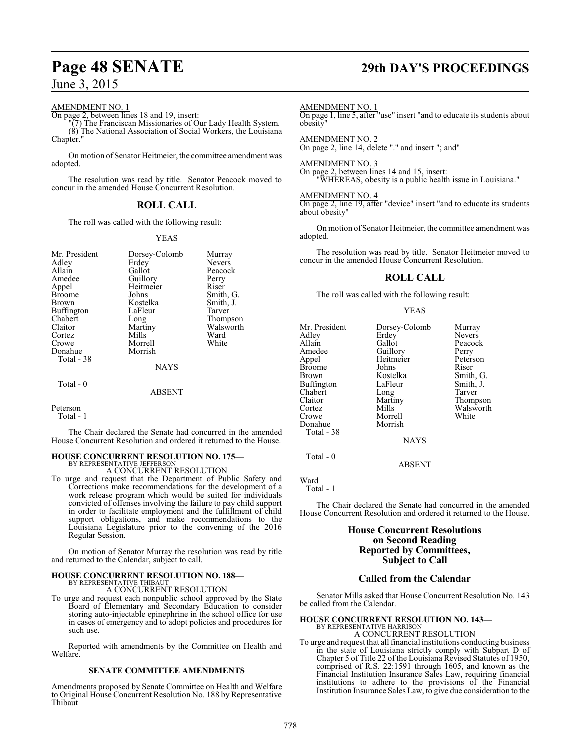AMENDMENT NO. 1

On page 2, between lines 18 and 19, insert:

"(7) The Franciscan Missionaries of Our Lady Health System. (8) The National Association of Social Workers, the Louisiana Chapter."

On motion of Senator Heitmeier, the committee amendment was adopted.

The resolution was read by title. Senator Peacock moved to concur in the amended House Concurrent Resolution.

### **ROLL CALL**

The roll was called with the following result:

### YEAS

| Mr. President<br>Adley | Dorsey-Colomb<br>Erdey | Murray<br><b>Nevers</b> |
|------------------------|------------------------|-------------------------|
| Allain                 | Gallot                 | Peacock                 |
| Amedee                 | Guillory               | Perry                   |
| Appel                  | Heitmeier              | Riser                   |
| <b>Broome</b>          | Johns                  | Smith, G.               |
| <b>Brown</b>           | Kostelka               | Smith, J.               |
| <b>Buffington</b>      | LaFleur                | Tarver                  |
| Chabert                | Long                   | Thompson                |
| Claitor                | Martiny                | Walsworth               |
| Cortez                 | Mills                  | Ward                    |
| Crowe                  | Morrell                | White                   |
| Donahue<br>Total - 38  | Morrish                |                         |
|                        | <b>NAYS</b>            |                         |
| Total - 0              |                        |                         |
|                        | ABSENT                 |                         |

Peterson Total - 1

The Chair declared the Senate had concurred in the amended House Concurrent Resolution and ordered it returned to the House.

# **HOUSE CONCURRENT RESOLUTION NO. 175—** BY REPRESENTATIVE JEFFERSON

A CONCURRENT RESOLUTION

To urge and request that the Department of Public Safety and Corrections make recommendations for the development of a work release program which would be suited for individuals convicted of offenses involving the failure to pay child support in order to facilitate employment and the fulfillment of child support obligations, and make recommendations to the Louisiana Legislature prior to the convening of the 2016 Regular Session.

On motion of Senator Murray the resolution was read by title and returned to the Calendar, subject to call.

### **HOUSE CONCURRENT RESOLUTION NO. 188—** BY REPRESENTATIVE THIBAUT

A CONCURRENT RESOLUTION

To urge and request each nonpublic school approved by the State Board of Elementary and Secondary Education to consider storing auto-injectable epinephrine in the school office for use in cases of emergency and to adopt policies and procedures for such use.

Reported with amendments by the Committee on Health and Welfare.

### **SENATE COMMITTEE AMENDMENTS**

Amendments proposed by Senate Committee on Health and Welfare to Original House Concurrent Resolution No. 188 by Representative Thibaut

# **Page 48 SENATE 29th DAY'S PROCEEDINGS**

AMENDMENT NO. 1

On page 1, line 5, after "use" insert "and to educate its students about obesity"

AMENDMENT NO. 2 On page 2, line 14, delete "." and insert "; and"

AMENDMENT NO. 3 On page 2, between lines 14 and 15, insert: "WHEREAS, obesity is a public health issue in Louisiana."

AMENDMENT NO. 4 On page 2, line 19, after "device" insert "and to educate its students about obesity"

On motion of Senator Heitmeier, the committee amendment was adopted.

The resolution was read by title. Senator Heitmeier moved to concur in the amended House Concurrent Resolution.

### **ROLL CALL**

The roll was called with the following result:

YEAS

Mr. President Dorsey-Colomb Murray<br>Adley Erdey Nevers Adley Erdey Nevers<br>
Allain Gallot Peacoc Allain Callot Gallot Peacock<br>Amedee Guillory Perry Amedee Guillory Perry<br>Appel Heitmeier Peterson Broome Johns<br>Brown Kostelka Buffington LaFleur Smith,<br>
Chabert Long Tarver Chabert Long<br>Claitor Martiny Claitor Martiny Thompson Cortez Mills Walsworth<br>Crowe Morrell White Donahue Total - 38

Heitmeier Peters<br>Johns Riser Kostelka Smith, G.<br>LaFleur Smith, J.

**NAYS** 

ABSENT

Morrell<br>Morrish

### Ward

Total - 1

Total - 0

The Chair declared the Senate had concurred in the amended House Concurrent Resolution and ordered it returned to the House.

> **House Concurrent Resolutions on Second Reading Reported by Committees, Subject to Call**

### **Called from the Calendar**

Senator Mills asked that House Concurrent Resolution No. 143 be called from the Calendar.

### **HOUSE CONCURRENT RESOLUTION NO. 143—**

BY REPRESENTATIVE HARRISON A CONCURRENT RESOLUTION

To urge and request that all financial institutions conducting business in the state of Louisiana strictly comply with Subpart D of Chapter 5 of Title 22 of the Louisiana Revised Statutes of 1950, comprised of R.S. 22:1591 through 1605, and known as the Financial Institution Insurance Sales Law, requiring financial institutions to adhere to the provisions of the Financial Institution Insurance Sales Law, to give due consideration to the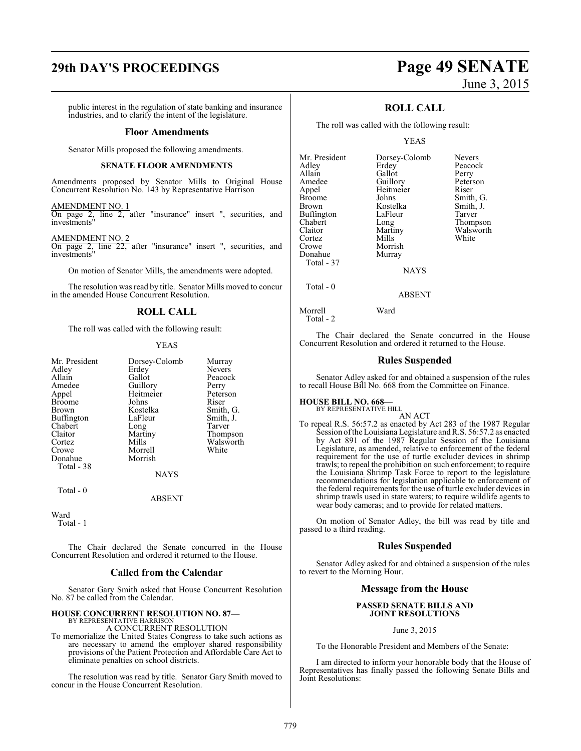# **29th DAY'S PROCEEDINGS Page 49 SENATE**

public interest in the regulation of state banking and insurance industries, and to clarify the intent of the legislature.

### **Floor Amendments**

Senator Mills proposed the following amendments.

### **SENATE FLOOR AMENDMENTS**

Amendments proposed by Senator Mills to Original House Concurrent Resolution No. 143 by Representative Harrison

AMENDMENT NO. 1

On page 2, line 2, after "insurance" insert ", securities, and investments"

AMENDMENT NO. 2

On page 2, line 22, after "insurance" insert ", securities, and investments"

On motion of Senator Mills, the amendments were adopted.

The resolution was read by title. Senator Mills moved to concur in the amended House Concurrent Resolution.

### **ROLL CALL**

The roll was called with the following result:

### YEAS

| Mr. President | Dorsey-Colomb | Murray        |
|---------------|---------------|---------------|
| Adley         | Erdey         | <b>Nevers</b> |
| Allain        | Gallot        | Peacock       |
| Amedee        | Guillory      | Perry         |
| Appel         | Heitmeier     | Peterson      |
| <b>Broome</b> | Johns         | Riser         |
| <b>Brown</b>  | Kostelka      | Smith, G.     |
| Buffington    | LaFleur       | Smith, J.     |
| Chabert       | Long          | Tarver        |
| Claitor       | Martiny       | Thompson      |
| Cortez        | Mills         | Walsworth     |
| Crowe         | Morrell       | White         |
| Donahue       | Morrish       |               |
| Total - 38    |               |               |
|               | <b>NAYS</b>   |               |
| Total - 0     |               |               |

ABSENT

Ward

Total - 1

The Chair declared the Senate concurred in the House Concurrent Resolution and ordered it returned to the House.

### **Called from the Calendar**

Senator Gary Smith asked that House Concurrent Resolution No. 87 be called from the Calendar.

### **HOUSE CONCURRENT RESOLUTION NO. 87—**

BY REPRESENTATIVE HARRISON A CONCURRENT RESOLUTION

To memorialize the United States Congress to take such actions as are necessary to amend the employer shared responsibility provisions of the Patient Protection and Affordable Care Act to eliminate penalties on school districts.

The resolution was read by title. Senator Gary Smith moved to concur in the House Concurrent Resolution.

# June 3, 2015

### **ROLL CALL**

The roll was called with the following result:

### YEAS

| Mr. President     | Dorsey-Colomb | <b>Nevers</b> |
|-------------------|---------------|---------------|
| Adley             | Erdey         | Peacock       |
| Allain            | Gallot        | Perry         |
| Amedee            | Guillory      | Peterson      |
| Appel             | Heitmeier     | Riser         |
| <b>Broome</b>     | Johns         | Smith, G.     |
| <b>Brown</b>      | Kostelka      | Smith, J.     |
| <b>Buffington</b> | LaFleur       | Tarver        |
| Chabert           | Long          | Thompson      |
| Claitor           | Martiny       | Walsworth     |
| Cortez            | Mills         | White         |
| Crowe             | Morrish       |               |
| Donahue           | Murray        |               |
| Total - 37        |               |               |
|                   | $\cdots$      |               |

**NAYS** 

ABSENT

Morrell Ward Total - 2

Total - 0

The Chair declared the Senate concurred in the House Concurrent Resolution and ordered it returned to the House.

### **Rules Suspended**

Senator Adley asked for and obtained a suspension of the rules to recall House Bill No. 668 from the Committee on Finance.

## **HOUSE BILL NO. 668—** BY REPRESENTATIVE HILL

AN ACT To repeal R.S. 56:57.2 as enacted by Act 283 of the 1987 Regular Session oftheLouisiana Legislature andR.S. 56:57.2 as enacted by Act 891 of the 1987 Regular Session of the Louisiana Legislature, as amended, relative to enforcement of the federal requirement for the use of turtle excluder devices in shrimp trawls; to repeal the prohibition on such enforcement; to require the Louisiana Shrimp Task Force to report to the legislature recommendations for legislation applicable to enforcement of the federal requirements for the use of turtle excluder devices in shrimp trawls used in state waters; to require wildlife agents to wear body cameras; and to provide for related matters.

On motion of Senator Adley, the bill was read by title and passed to a third reading.

### **Rules Suspended**

Senator Adley asked for and obtained a suspension of the rules to revert to the Morning Hour.

### **Message from the House**

### **PASSED SENATE BILLS AND JOINT RESOLUTIONS**

June 3, 2015

To the Honorable President and Members of the Senate:

I am directed to inform your honorable body that the House of Representatives has finally passed the following Senate Bills and Joint Resolutions: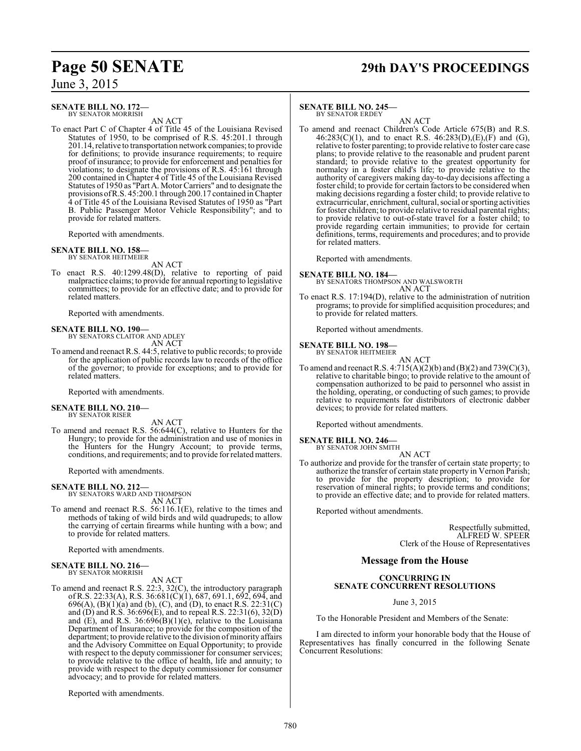### **SENATE BILL NO. 172—** BY SENATOR MORRISH

AN ACT

To enact Part C of Chapter 4 of Title 45 of the Louisiana Revised Statutes of 1950, to be comprised of R.S. 45:201.1 through 201.14, relative to transportation network companies; to provide for definitions; to provide insurance requirements; to require proof of insurance; to provide for enforcement and penalties for violations; to designate the provisions of R.S. 45:161 through 200 contained in Chapter 4 of Title 45 of the Louisiana Revised Statutes of 1950 as "Part A. Motor Carriers" and to designate the provisionsofR.S. 45:200.1 through 200.17 contained inChapter 4 of Title 45 of the Louisiana Revised Statutes of 1950 as "Part B. Public Passenger Motor Vehicle Responsibility"; and to provide for related matters.

Reported with amendments.

### **SENATE BILL NO. 158—** BY SENATOR HEITMEIER

AN ACT

To enact R.S. 40:1299.48(D), relative to reporting of paid malpractice claims; to provide for annual reporting to legislative committees; to provide for an effective date; and to provide for related matters.

Reported with amendments.

# **SENATE BILL NO. 190—** BY SENATORS CLAITOR AND ADLEY

AN ACT

To amend and reenact R.S. 44:5, relative to public records; to provide for the application of public records law to records of the office of the governor; to provide for exceptions; and to provide for related matters.

Reported with amendments.

### **SENATE BILL NO. 210—** BY SENATOR RISER

AN ACT

To amend and reenact R.S. 56:644(C), relative to Hunters for the Hungry; to provide for the administration and use of monies in the Hunters for the Hungry Account; to provide terms, conditions, and requirements; and to provide forrelated matters.

Reported with amendments.

### **SENATE BILL NO. 212—**

BY SENATORS WARD AND THOMPSON AN ACT

To amend and reenact R.S. 56:116.1(E), relative to the times and methods of taking of wild birds and wild quadrupeds; to allow the carrying of certain firearms while hunting with a bow; and to provide for related matters.

Reported with amendments.

### **SENATE BILL NO. 216—** BY SENATOR MORRISH

AN ACT

To amend and reenact R.S. 22:3, 32(C), the introductory paragraph of R.S. 22:33(A), R.S. 36:681(C)(1), 687, 691.1, 692, 694, and 696(A), (B)(1)(a) and (b), (C), and (D), to enact R.S. 22:31(C) and  $(D)$  and  $R.S. 36.696(E)$ , and to repeal R.S. 22:31(6), 32 $(D)$ and  $(E)$ , and R.S. 36:696 $(B)(1)(e)$ , relative to the Louisiana Department of Insurance; to provide for the composition of the department; to provide relative to the division of minority affairs and the Advisory Committee on Equal Opportunity; to provide with respect to the deputy commissioner for consumer services; to provide relative to the office of health, life and annuity; to provide with respect to the deputy commissioner for consumer advocacy; and to provide for related matters.

Reported with amendments.

# **Page 50 SENATE 29th DAY'S PROCEEDINGS**

### **SENATE BILL NO. 245—**

BY SENATOR ERDEY AN ACT

To amend and reenact Children's Code Article 675(B) and R.S.  $46:283(C)(1)$ , and to enact R.S.  $46:283(D),(E),(F)$  and  $(G)$ , relative to foster parenting; to provide relative to foster care case plans; to provide relative to the reasonable and prudent parent standard; to provide relative to the greatest opportunity for normalcy in a foster child's life; to provide relative to the authority of caregivers making day-to-day decisions affecting a foster child; to provide for certain factors to be considered when making decisions regarding a foster child; to provide relative to extracurricular, enrichment, cultural, social or sporting activities for foster children; to provide relative to residual parental rights; to provide relative to out-of-state travel for a foster child; to provide regarding certain immunities; to provide for certain definitions, terms, requirements and procedures; and to provide for related matters.

Reported with amendments.

**SENATE BILL NO. 184—** BY SENATORS THOMPSON AND WALSWORTH AN ACT

To enact R.S. 17:194(D), relative to the administration of nutrition programs; to provide for simplified acquisition procedures; and to provide for related matters.

Reported without amendments.

**SENATE BILL NO. 198—**

BY SENATOR HEITMEIER AN ACT

To amend and reenact R.S.  $4:715(A)(2)(b)$  and  $(B)(2)$  and  $739(C)(3)$ , relative to charitable bingo; to provide relative to the amount of compensation authorized to be paid to personnel who assist in the holding, operating, or conducting of such games; to provide relative to requirements for distributors of electronic dabber devices; to provide for related matters.

Reported without amendments.

### **SENATE BILL NO. 246—**

BY SENATOR JOHN SMITH AN ACT

To authorize and provide for the transfer of certain state property; to authorize the transfer of certain state property in Vernon Parish; to provide for the property description; to provide for reservation of mineral rights; to provide terms and conditions; to provide an effective date; and to provide for related matters.

Reported without amendments.

Respectfully submitted, ALFRED W. SPEER Clerk of the House of Representatives

### **Message from the House**

### **CONCURRING IN SENATE CONCURRENT RESOLUTIONS**

June 3, 2015

To the Honorable President and Members of the Senate:

I am directed to inform your honorable body that the House of Representatives has finally concurred in the following Senate Concurrent Resolutions: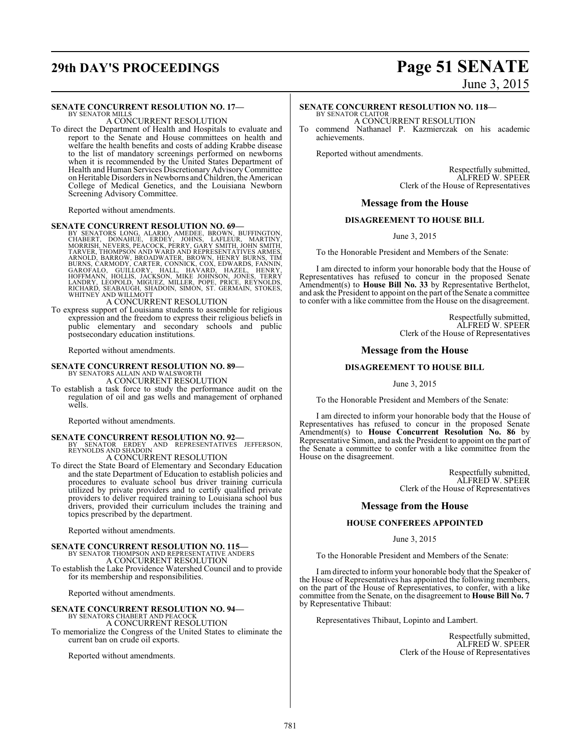# **29th DAY'S PROCEEDINGS Page 51 SENATE**

June 3, 2015

### **SENATE CONCURRENT RESOLUTION NO. 17—**

BY SENATOR MILLS A CONCURRENT RESOLUTION

To direct the Department of Health and Hospitals to evaluate and report to the Senate and House committees on health and welfare the health benefits and costs of adding Krabbe disease to the list of mandatory screenings performed on newborns when it is recommended by the United States Department of Health and Human Services Discretionary Advisory Committee on Heritable Disorders in Newborns and Children, the American College of Medical Genetics, and the Louisiana Newborn Screening Advisory Committee.

Reported without amendments.

- **SENATE CONCURRENT RESOLUTION NO. 69**<br>BY SENATORS LONG, ALARIO, AMEDEE, BROWN, BUFFINGTON,<br>CHABERT, DONAHUE, ERDEY, JOHNS, LAFLEUR, MARTINY,<br>MORRISH, NEVERS, PEACOCK, PERRY, GARY SMITH, JOHN SMITH,<br>TARVER, THOMPSON AND WAR
- To express support of Louisiana students to assemble for religious expression and the freedom to express their religious beliefs in public elementary and secondary schools and public postsecondary education institutions.

Reported without amendments.

# **SENATE CONCURRENT RESOLUTION NO. 89—** BY SENATORS ALLAIN AND WALSWORTH

A CONCURRENT RESOLUTION

To establish a task force to study the performance audit on the regulation of oil and gas wells and management of orphaned wells.

Reported without amendments.

## **SENATE CONCURRENT RESOLUTION NO. 92—**<br>BY SENATOR ERDEY AND REPRESENTATIVES JEFFERSON,<br>REYNOLDS AND SHADOIN A CONCURRENT RESOLUTION

To direct the State Board of Elementary and Secondary Education and the state Department of Education to establish policies and procedures to evaluate school bus driver training curricula utilized by private providers and to certify qualified private providers to deliver required training to Louisiana school bus drivers, provided their curriculum includes the training and topics prescribed by the department.

Reported without amendments.

### **SENATE CONCURRENT RESOLUTION NO. 115—** BY SENATOR THOMPSON AND REPRESENTATIVE ANDERS A CONCURRENT RESOLUTION

To establish the Lake Providence Watershed Council and to provide for its membership and responsibilities.

Reported without amendments.

# **SENATE CONCURRENT RESOLUTION NO. 94—**<br>BY SENATORS CHABERT AND PEACOCK<br>A CONCURRENT RESOLUTION

To memorialize the Congress of the United States to eliminate the current ban on crude oil exports.

Reported without amendments.

### **SENATE CONCURRENT RESOLUTION NO. 118—**

BY SENATOR CLAITOR A CONCURRENT RESOLUTION

commend Nathanael P. Kazmierczak on his academic achievements.

Reported without amendments.

Respectfully submitted, ALFRED W. SPEER Clerk of the House of Representatives

### **Message from the House**

### **DISAGREEMENT TO HOUSE BILL**

June 3, 2015

To the Honorable President and Members of the Senate:

I am directed to inform your honorable body that the House of Representatives has refused to concur in the proposed Senate Amendment(s) to **House Bill No. 33** by Representative Berthelot, and ask the President to appoint on the part of the Senate a committee to confer with a like committee from the House on the disagreement.

> Respectfully submitted, ALFRED W. SPEER Clerk of the House of Representatives

### **Message from the House**

### **DISAGREEMENT TO HOUSE BILL**

June 3, 2015

To the Honorable President and Members of the Senate:

I am directed to inform your honorable body that the House of Representatives has refused to concur in the proposed Senate Amendment(s) to **House Concurrent Resolution No. 86** by Representative Simon, and ask the President to appoint on the part of the Senate a committee to confer with a like committee from the House on the disagreement.

> Respectfully submitted, ALFRED W. SPEER Clerk of the House of Representatives

### **Message from the House**

### **HOUSE CONFEREES APPOINTED**

June 3, 2015

To the Honorable President and Members of the Senate:

I am directed to inform your honorable body that the Speaker of the House of Representatives has appointed the following members, on the part of the House of Representatives, to confer, with a like committee from the Senate, on the disagreement to **House Bill No. 7** by Representative Thibaut:

Representatives Thibaut, Lopinto and Lambert.

Respectfully submitted, ALFRED W. SPEER Clerk of the House of Representatives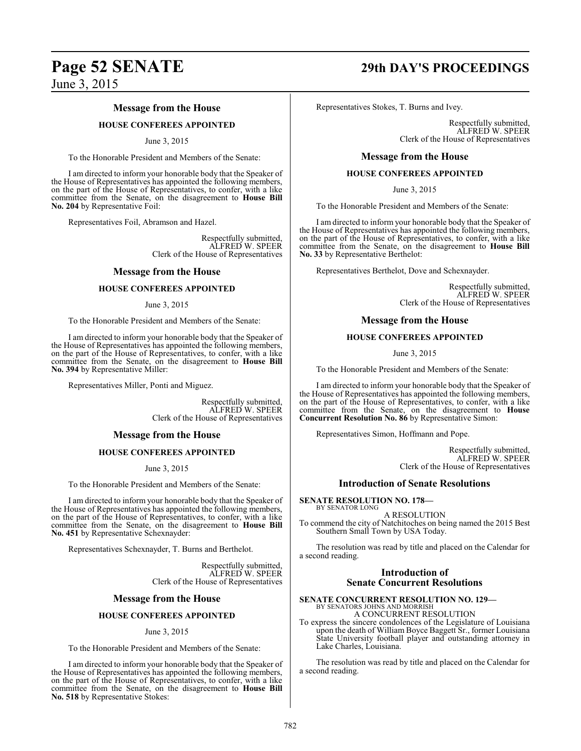# **Page 52 SENATE 29th DAY'S PROCEEDINGS** June 3, 2015

## **Message from the House**

### **HOUSE CONFEREES APPOINTED**

### June 3, 2015

To the Honorable President and Members of the Senate:

I am directed to inform your honorable body that the Speaker of the House of Representatives has appointed the following members, on the part of the House of Representatives, to confer, with a like committee from the Senate, on the disagreement to **House Bill No. 204** by Representative Foil:

Representatives Foil, Abramson and Hazel.

Respectfully submitted, ALFRED W. SPEER Clerk of the House of Representatives

### **Message from the House**

### **HOUSE CONFEREES APPOINTED**

### June 3, 2015

To the Honorable President and Members of the Senate:

I am directed to inform your honorable body that the Speaker of the House of Representatives has appointed the following members, on the part of the House of Representatives, to confer, with a like committee from the Senate, on the disagreement to **House Bill No. 394** by Representative Miller:

Representatives Miller, Ponti and Miguez.

Respectfully submitted, ALFRED W. SPEER Clerk of the House of Representatives

### **Message from the House**

### **HOUSE CONFEREES APPOINTED**

June 3, 2015

To the Honorable President and Members of the Senate:

I am directed to inform your honorable body that the Speaker of the House of Representatives has appointed the following members, on the part of the House of Representatives, to confer, with a like committee from the Senate, on the disagreement to **House Bill No. 451** by Representative Schexnayder:

Representatives Schexnayder, T. Burns and Berthelot.

Respectfully submitted, ALFRED W. SPEER Clerk of the House of Representatives

### **Message from the House**

### **HOUSE CONFEREES APPOINTED**

### June 3, 2015

To the Honorable President and Members of the Senate:

I am directed to inform your honorable body that the Speaker of the House of Representatives has appointed the following members, on the part of the House of Representatives, to confer, with a like committee from the Senate, on the disagreement to **House Bill No. 518** by Representative Stokes:

Representatives Stokes, T. Burns and Ivey.

Respectfully submitted, ALFRED W. SPEER Clerk of the House of Representatives

### **Message from the House**

### **HOUSE CONFEREES APPOINTED**

June 3, 2015

To the Honorable President and Members of the Senate:

I am directed to inform your honorable body that the Speaker of the House of Representatives has appointed the following members, on the part of the House of Representatives, to confer, with a like committee from the Senate, on the disagreement to **House Bill No. 33** by Representative Berthelot:

Representatives Berthelot, Dove and Schexnayder.

Respectfully submitted, ALFRED W. SPEER Clerk of the House of Representatives

### **Message from the House**

### **HOUSE CONFEREES APPOINTED**

June 3, 2015

To the Honorable President and Members of the Senate:

I am directed to inform your honorable body that the Speaker of the House of Representatives has appointed the following members, on the part of the House of Representatives, to confer, with a like committee from the Senate, on the disagreement to **House Concurrent Resolution No. 86** by Representative Simon:

Representatives Simon, Hoffmann and Pope.

Respectfully submitted, ALFRED W. SPEER Clerk of the House of Representatives

### **Introduction of Senate Resolutions**

**SENATE RESOLUTION NO. 178—** BY SENATOR LONG

A RESOLUTION To commend the city of Natchitoches on being named the 2015 Best Southern Small Town by USA Today.

The resolution was read by title and placed on the Calendar for a second reading.

### **Introduction of Senate Concurrent Resolutions**

## **SENATE CONCURRENT RESOLUTION NO. 129—** BY SENATORS JOHNS AND MORRISH

A CONCURRENT RESOLUTION

To express the sincere condolences of the Legislature of Louisiana upon the death of William Boyce Baggett Sr., former Louisiana State University football player and outstanding attorney in Lake Charles, Louisiana.

The resolution was read by title and placed on the Calendar for a second reading.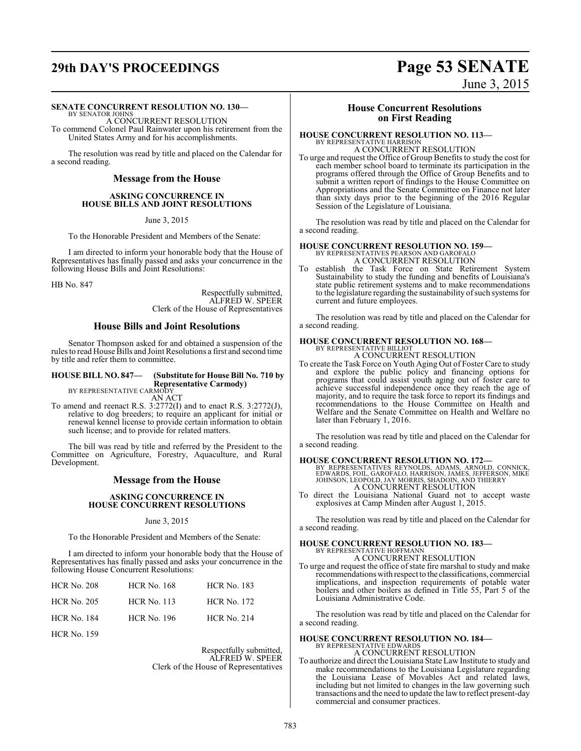# **29th DAY'S PROCEEDINGS Page 53 SENATE**

June 3, 2015

### **SENATE CONCURRENT RESOLUTION NO. 130—**

BY SENATOR JOHNS A CONCURRENT RESOLUTION To commend Colonel Paul Rainwater upon his retirement from the United States Army and for his accomplishments.

The resolution was read by title and placed on the Calendar for a second reading.

### **Message from the House**

### **ASKING CONCURRENCE IN HOUSE BILLS AND JOINT RESOLUTIONS**

June 3, 2015

To the Honorable President and Members of the Senate:

I am directed to inform your honorable body that the House of Representatives has finally passed and asks your concurrence in the following House Bills and Joint Resolutions:

HB No. 847

Respectfully submitted, ALFRED W. SPEER Clerk of the House of Representatives

### **House Bills and Joint Resolutions**

Senator Thompson asked for and obtained a suspension of the rules to read House Bills and Joint Resolutions a first and second time by title and refer them to committee.

### **HOUSE BILL NO. 847— (Substitute for House Bill No. 710 by Representative Carmody)**

BY REPRESENTATIVE CARMODY AN ACT

To amend and reenact R.S. 3:2772(I) and to enact R.S. 3:2772(J), relative to dog breeders; to require an applicant for initial or renewal kennel license to provide certain information to obtain such license; and to provide for related matters.

The bill was read by title and referred by the President to the Committee on Agriculture, Forestry, Aquaculture, and Rural Development.

### **Message from the House**

### **ASKING CONCURRENCE IN HOUSE CONCURRENT RESOLUTIONS**

### June 3, 2015

To the Honorable President and Members of the Senate:

I am directed to inform your honorable body that the House of Representatives has finally passed and asks your concurrence in the following House Concurrent Resolutions:

| <b>HCR No. 208</b> | <b>HCR No. 168</b> | <b>HCR No. 183</b> |
|--------------------|--------------------|--------------------|
| <b>HCR No. 205</b> | <b>HCR No. 113</b> | <b>HCR No. 172</b> |
| <b>HCR No. 184</b> | <b>HCR No. 196</b> | <b>HCR No. 214</b> |
| <b>HCR No. 159</b> |                    |                    |

Respectfully submitted, ALFRED W. SPEER Clerk of the House of Representatives

### **House Concurrent Resolutions on First Reading**

### **HOUSE CONCURRENT RESOLUTION NO. 113—** BY REPRESENTATIVE HARRISON

A CONCURRENT RESOLUTION To urge and request the Office of Group Benefits to study the cost for each member school board to terminate its participation in the programs offered through the Office of Group Benefits and to submit a written report of findings to the House Committee on Appropriations and the Senate Committee on Finance not later than sixty days prior to the beginning of the 2016 Regular

The resolution was read by title and placed on the Calendar for a second reading.

### **HOUSE CONCURRENT RESOLUTION NO. 159—** BY REPRESENTATIVES PEARSON AND GAROFALO A CONCURRENT RESOLUTION

Session of the Legislature of Louisiana.

To establish the Task Force on State Retirement System Sustainability to study the funding and benefits of Louisiana's state public retirement systems and to make recommendations to the legislature regarding the sustainability of such systems for current and future employees.

The resolution was read by title and placed on the Calendar for a second reading.

# **HOUSE CONCURRENT RESOLUTION NO. 168—** BY REPRESENTATIVE BILLIOT

A CONCURRENT RESOLUTION

To create the Task Force on Youth Aging Out of Foster Care to study and explore the public policy and financing options for programs that could assist youth aging out of foster care to achieve successful independence once they reach the age of majority, and to require the task force to report its findings and recommendations to the House Committee on Health and Welfare and the Senate Committee on Health and Welfare no later than February 1, 2016.

The resolution was read by title and placed on the Calendar for a second reading.

### **HOUSE CONCURRENT RESOLUTION NO. 172—**

BY REPRESENTATIVES REYNOLDS, ADAMS, ARNOLD, CONNICK, EDWARDS, FOIL, GAROFALO, HARRISON, JAMES, JEFFERSON, MIKE JOHNSON, LEOPOLD, JAY MORRIS, SHADOIN, AND THIERRY A CONCURRENT RESOLUTION

To direct the Louisiana National Guard not to accept waste explosives at Camp Minden after August 1, 2015.

The resolution was read by title and placed on the Calendar for a second reading.

### **HOUSE CONCURRENT RESOLUTION NO. 183—** BY REPRESENTATIVE HOFFMANN A CONCURRENT RESOLUTION

To urge and request the office of state fire marshal to study and make recommendations with respect to the classifications, commercial implications, and inspection requirements of potable water boilers and other boilers as defined in Title 55, Part 5 of the Louisiana Administrative Code.

The resolution was read by title and placed on the Calendar for a second reading.

### **HOUSE CONCURRENT RESOLUTION NO. 184—** BY REPRESENTATIVE EDWARDS A CONCURRENT RESOLUTION

To authorize and direct the Louisiana State Law Institute to study and make recommendations to the Louisiana Legislature regarding the Louisiana Lease of Movables Act and related laws, including but not limited to changes in the law governing such transactions and the need to update the lawto reflect present-day commercial and consumer practices.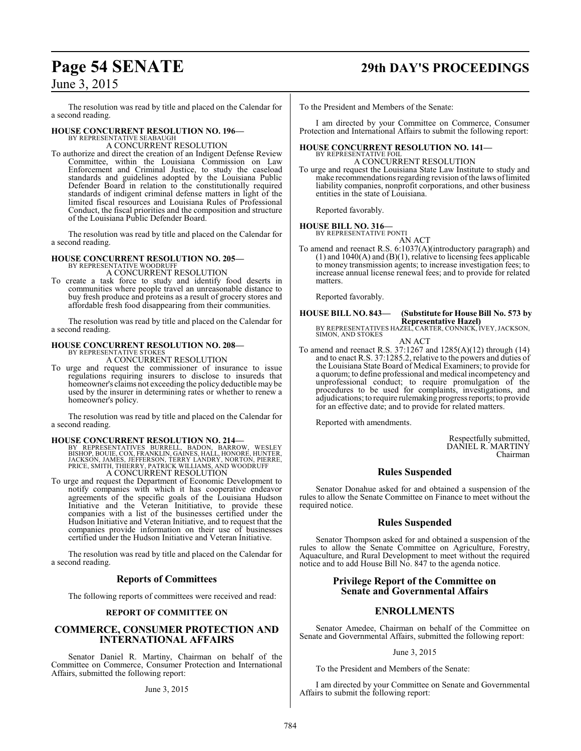# **Page 54 SENATE 29th DAY'S PROCEEDINGS**

## June 3, 2015

The resolution was read by title and placed on the Calendar for a second reading.

### **HOUSE CONCURRENT RESOLUTION NO. 196—**

BY REPRESENTATIVE SEABAUGH A CONCURRENT RESOLUTION

To authorize and direct the creation of an Indigent Defense Review Committee, within the Louisiana Commission on Law Enforcement and Criminal Justice, to study the caseload standards and guidelines adopted by the Louisiana Public Defender Board in relation to the constitutionally required standards of indigent criminal defense matters in light of the limited fiscal resources and Louisiana Rules of Professional Conduct, the fiscal priorities and the composition and structure of the Louisiana Public Defender Board.

The resolution was read by title and placed on the Calendar for a second reading.

# **HOUSE CONCURRENT RESOLUTION NO. 205—** BY REPRESENTATIVE WOODRUFF

A CONCURRENT RESOLUTION

To create a task force to study and identify food deserts in communities where people travel an unreasonable distance to buy fresh produce and proteins as a result of grocery stores and affordable fresh food disappearing from their communities.

The resolution was read by title and placed on the Calendar for a second reading.

### **HOUSE CONCURRENT RESOLUTION NO. 208—**

BY REPRESENTATIVE STOKES A CONCURRENT RESOLUTION

To urge and request the commissioner of insurance to issue regulations requiring insurers to disclose to insureds that homeowner's claims not exceeding the policy deductible may be used by the insurer in determining rates or whether to renew a homeowner's policy.

The resolution was read by title and placed on the Calendar for a second reading.

### **HOUSE CONCURRENT RESOLUTION NO. 214—**

BY REPRESENTATIVES BURRELL, BADON, BARROW, WESLEY<br>BISHOP, BOUIE,COX,FRANKLIN,GAINES,HALL,HONORE,HUNTER,<br>JACKSON,JAMES,JEFFERSON,TERRY LANDRY,NORTON,PIERRE,<br>PRICE,SMITH,THIERRY,PATRICK WILLIAMS,AND WOODRUFF A CONCURRENT RESOLUTION

To urge and request the Department of Economic Development to notify companies with which it has cooperative endeavor agreements of the specific goals of the Louisiana Hudson Initiative and the Veteran Inititiative, to provide these companies with a list of the businesses certified under the Hudson Initiative and Veteran Initiative, and to request that the companies provide information on their use of businesses certified under the Hudson Initiative and Veteran Initiative.

The resolution was read by title and placed on the Calendar for a second reading.

### **Reports of Committees**

The following reports of committees were received and read:

### **REPORT OF COMMITTEE ON**

### **COMMERCE, CONSUMER PROTECTION AND INTERNATIONAL AFFAIRS**

Senator Daniel R. Martiny, Chairman on behalf of the Committee on Commerce, Consumer Protection and International Affairs, submitted the following report:

### June 3, 2015

To the President and Members of the Senate:

I am directed by your Committee on Commerce, Consumer Protection and International Affairs to submit the following report:

### **HOUSE CONCURRENT RESOLUTION NO. 141—** BY REPRESENTATIVE FOIL A CONCURRENT RESOLUTION

To urge and request the Louisiana State Law Institute to study and make recommendations regarding revision of the laws of limited liability companies, nonprofit corporations, and other business entities in the state of Louisiana.

Reported favorably.

# **HOUSE BILL NO. 316—** BY REPRESENTATIVE PONTI

AN ACT

To amend and reenact R.S. 6:1037(A)(introductory paragraph) and  $(1)$  and  $1040(A)$  and  $(B)(1)$ , relative to licensing fees applicable to money transmission agents; to increase investigation fees; to increase annual license renewal fees; and to provide for related matters.

Reported favorably.

# **HOUSE BILL NO. 843— (Substitute for House Bill No. 573 by**

**Representative Hazel)** BY REPRESENTATIVES HAZEL, CARTER, CONNICK, IVEY, JACKSON, SIMON, AND STOKES

AN ACT

To amend and reenact R.S. 37:1267 and 1285(A)(12) through (14) and to enact R.S. 37:1285.2, relative to the powers and duties of the Louisiana State Board of Medical Examiners; to provide for a quorum; to define professional and medical incompetency and unprofessional conduct; to require promulgation of the procedures to be used for complaints, investigations, and adjudications; to require rulemaking progress reports; to provide for an effective date; and to provide for related matters.

Reported with amendments.

Respectfully submitted, DANIEL R. MARTINY Chairman

### **Rules Suspended**

Senator Donahue asked for and obtained a suspension of the rules to allow the Senate Committee on Finance to meet without the required notice.

### **Rules Suspended**

Senator Thompson asked for and obtained a suspension of the rules to allow the Senate Committee on Agriculture, Forestry, Aquaculture, and Rural Development to meet without the required notice and to add House Bill No. 847 to the agenda notice.

### **Privilege Report of the Committee on Senate and Governmental Affairs**

### **ENROLLMENTS**

Senator Amedee, Chairman on behalf of the Committee on Senate and Governmental Affairs, submitted the following report:

### June 3, 2015

To the President and Members of the Senate:

I am directed by your Committee on Senate and Governmental Affairs to submit the following report: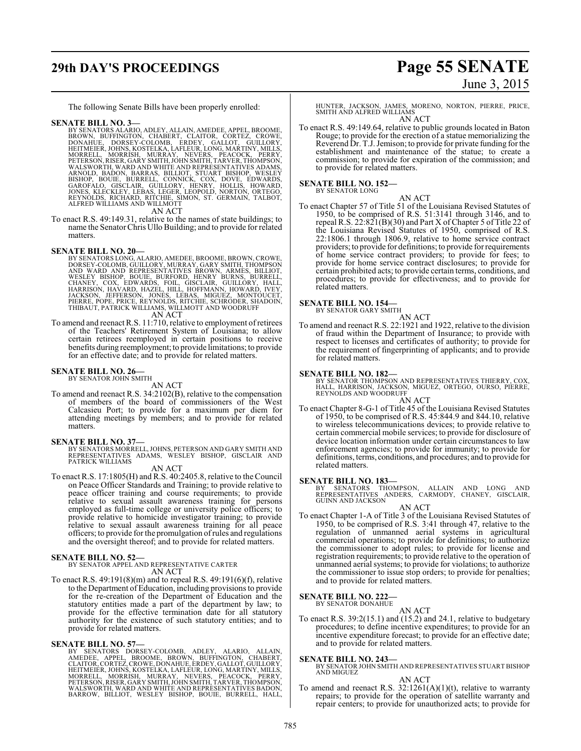# **29th DAY'S PROCEEDINGS Page 55 SENATE**

# June 3, 2015

The following Senate Bills have been properly enrolled:

### **SENATE BILL NO. 3—**

BY SENATORS ALARIO, ADLEY, ALLAIN, AMEDEE, APPEL, BROOME,<br>BROWN, BUFFINGTON, CHABERT, CLAITOR, CORTEZ, CROWE,<br>DONAHUE, DORSEY-COLOMB, ERDEY, GALLOT, GUILLORY,<br>HEITMEIER, JOHNS, KOSTELKA, LAFLEUR, LONG, MARTINY, MILLS,<br>MORR WALSWORTH, WARD AND WHITE AND REPRESENTATIVES ADAMS,<br>ARNOLD, BADON, BARRAS, BILLIOT, STUART BISHOP, WESLEY<br>BISHOP, BOUIE, BURRELL, CONNICK, COX, DOVE, EDWARDS,<br>GAROFALO, GISCLAIR, GUILLORY, HENRY, HOLLIS, HOWARD,<br>JONES, KL ALFRED WILLIAMS AND WILLMOTT

AN ACT

To enact R.S. 49:149.31, relative to the names of state buildings; to name the SenatorChris Ullo Building; and to provide for related matters.

- **SENATE BILL NO. 20—**<br>BY SENATORS LONG, ALARIO, AMEDEE, BROOME, BROWN, CROWE, DORSEY-COLOMB, GUILLORY, MURRAY, GARY SMITH, THOMPSON<br>AND WARD AND REPRESENTATIVES BROWN, ARMÉS, BILLIOT,<br>WESLEY BISHOP, BOUIE, BURFORD, HENRY B
	- AN ACT
- To amend and reenact R.S. 11:710, relative to employment ofretirees of the Teachers' Retirement System of Louisiana; to allow certain retirees reemployed in certain positions to receive benefits during reemployment; to provide limitations; to provide for an effective date; and to provide for related matters.

# **SENATE BILL NO. 26—**<br>BY SENATOR JOHN SMITH

AN ACT

To amend and reenact R.S. 34:2102(B), relative to the compensation of members of the board of commissioners of the West Calcasieu Port; to provide for a maximum per diem for attending meetings by members; and to provide for related matters.

### **SENATE BILL NO. 37—**

BY SENATORS MORRELL, JOHNS, PETERSON AND GARY SMITH AND<br>REPRESENTATIVES ADAMS, WESLEY BISHOP, GISCLAIR AND<br>PATRICK WILLIAMS

### AN ACT

To enact R.S. 17:1805(H) and R.S. 40:2405.8, relative to the Council on Peace Officer Standards and Training; to provide relative to peace officer training and course requirements; to provide relative to sexual assault awareness training for persons employed as full-time college or university police officers; to provide relative to homicide investigator training; to provide relative to sexual assault awareness training for all peace officers; to provide for the promulgation ofrules and regulations and the oversight thereof; and to provide for related matters.

### **SENATE BILL NO. 52—**

### BY SENATOR APPEL AND REPRESENTATIVE CARTER AN ACT

To enact R.S. 49:191(8)(m) and to repeal R.S. 49:191(6)(f), relative to the Department of Education, including provisions to provide for the re-creation of the Department of Education and the statutory entities made a part of the department by law; to provide for the effective termination date for all statutory authority for the existence of such statutory entities; and to provide for related matters.

**SENATE BILL NO. 57—**<br>BY SENATORS DORSEY-COLOMB, ADLEY, ALARIO, ALLAIN, BY SENATORS DORSEY-COLOMB, BROWN, BUFFINGTON, CHABERT,<br>CLAITOR, CORTEZ, CROWE, DONAHUE, ERDEY, GALLOT, GUILLORY,<br>HEITMEIER, JOHNS, KOSTELKA, LAFLEUR,

HUNTER, JACKSON, JAMES, MORENO, NORTON, PIERRE, PRICE, SMITH AND ALFRED WILLIAMS AN ACT

To enact R.S. 49:149.64, relative to public grounds located in Baton Rouge; to provide for the erection of a statue memorializing the Reverend Dr. T.J. Jemison; to provide for private funding for the establishment and maintenance of the statue; to create a commission; to provide for expiration of the commission; and to provide for related matters.

### **SENATE BILL NO. 152—**

BY SENATOR LONG

AN ACT To enact Chapter 57 of Title 51 of the Louisiana Revised Statutes of 1950, to be comprised of R.S. 51:3141 through 3146, and to repeal R.S. 22:821(B)(30) and Part X of Chapter 5 of Title 22 of the Louisiana Revised Statutes of 1950, comprised of R.S. 22:1806.1 through 1806.9, relative to home service contract providers; to provide for definitions; to provide for requirements of home service contract providers; to provide for fees; to provide for home service contract disclosures; to provide for certain prohibited acts; to provide certain terms, conditions, and procedures; to provide for effectiveness; and to provide for related matters.

### **SENATE BILL NO. 154—** BY SENATOR GARY SMITH

$$
\rm_{\rm AN\,ACT}^{\rm{min}}
$$

To amend and reenact R.S. 22:1921 and 1922, relative to the division of fraud within the Department of Insurance; to provide with respect to licenses and certificates of authority; to provide for the requirement of fingerprinting of applicants; and to provide for related matters.

**SENATE BILL NO. 182—** BY SENATOR THOMPSON AND REPRESENTATIVES THIERRY, COX, HALL, HARRISON, JACKSON, MIGUEZ, ORTEGO, OURSO, PIERRE, REYNOLDS AND WOODRUFF AN ACT

To enact Chapter 8-G-1 of Title 45 of the Louisiana Revised Statutes of 1950, to be comprised of R.S. 45:844.9 and 844.10, relative to wireless telecommunications devices; to provide relative to certain commercial mobile services; to provide for disclosure of device location information under certain circumstances to law enforcement agencies; to provide for immunity; to provide for definitions, terms, conditions, and procedures; and to provide for related matters.

**SENATE BILL NO. 183—**<br>BY SENATORS THOMPSON, ALLAIN AND LONG AND<br>REPRESENTATIVES ANDERS, CARMODY, CHANEY, GISCLAIR,<br>GUINN AND JACKSON

AN ACT To enact Chapter 1-A of Title 3 of the Louisiana Revised Statutes of 1950, to be comprised of R.S. 3:41 through 47, relative to the regulation of unmanned aerial systems in agricultural commercial operations; to provide for definitions; to authorize the commissioner to adopt rules; to provide for license and registration requirements; to provide relative to the operation of unmanned aerial systems; to provide for violations; to authorize the commissioner to issue stop orders; to provide for penalties; and to provide for related matters.

# **SENATE BILL NO. 222—** BY SENATOR DONAHUE

AN ACT To enact R.S. 39:2(15.1) and (15.2) and 24.1, relative to budgetary procedures; to define incentive expenditures; to provide for an incentive expenditure forecast; to provide for an effective date; and to provide for related matters.

- **SENATE BILL NO. 243—** BY SENATOR JOHN SMITH AND REPRESENTATIVES STUART BISHOP AND MIGUEZ AN ACT
- To amend and reenact R.S.  $32:1261(A)(1)(t)$ , relative to warranty repairs; to provide for the operation of satellite warranty and repair centers; to provide for unauthorized acts; to provide for